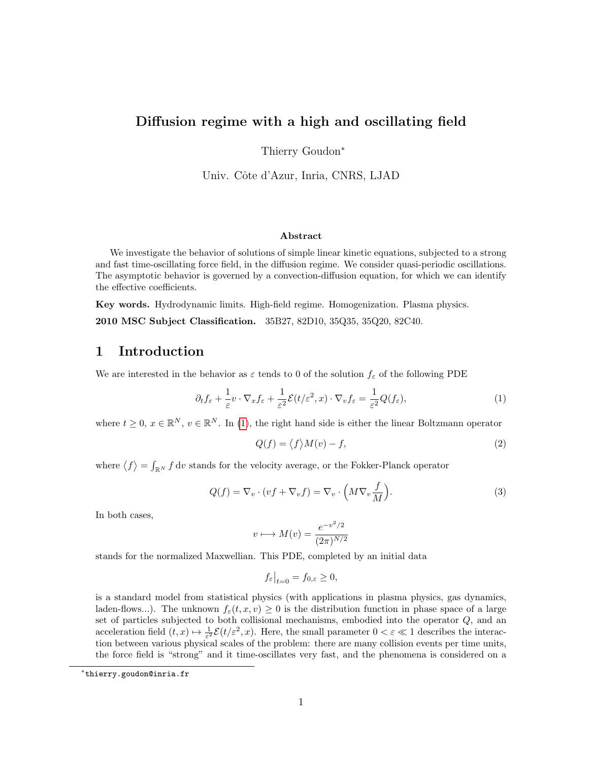# Diffusion regime with a high and oscillating field

Thierry Goudon<sup>∗</sup>

Univ. Côte d'Azur, Inria, CNRS, LJAD

#### Abstract

We investigate the behavior of solutions of simple linear kinetic equations, subjected to a strong and fast time-oscillating force field, in the diffusion regime. We consider quasi-periodic oscillations. The asymptotic behavior is governed by a convection-diffusion equation, for which we can identify the effective coefficients.

Key words. Hydrodynamic limits. High-field regime. Homogenization. Plasma physics. 2010 MSC Subject Classification. 35B27, 82D10, 35Q35, 35Q20, 82C40.

### 1 Introduction

We are interested in the behavior as  $\varepsilon$  tends to 0 of the solution  $f_{\varepsilon}$  of the following PDE

<span id="page-0-0"></span>
$$
\partial_t f_{\varepsilon} + \frac{1}{\varepsilon} v \cdot \nabla_x f_{\varepsilon} + \frac{1}{\varepsilon^2} \mathcal{E}(t/\varepsilon^2, x) \cdot \nabla_v f_{\varepsilon} = \frac{1}{\varepsilon^2} Q(f_{\varepsilon}), \tag{1}
$$

where  $t \geq 0, x \in \mathbb{R}^N$ ,  $v \in \mathbb{R}^N$ . In [\(1\)](#page-0-0), the right hand side is either the linear Boltzmann operator

<span id="page-0-1"></span>
$$
Q(f) = \langle f \rangle M(v) - f,\tag{2}
$$

where  $\langle f \rangle = \int_{\mathbb{R}^N} f \, \mathrm{d}v$  stands for the velocity average, or the Fokker-Planck operator

<span id="page-0-2"></span>
$$
Q(f) = \nabla_v \cdot (vf + \nabla_v f) = \nabla_v \cdot \left(M\nabla_v \frac{f}{M}\right).
$$
\n(3)

In both cases,

$$
v \longmapsto M(v) = \frac{e^{-v^2/2}}{(2\pi)^{N/2}}
$$

stands for the normalized Maxwellian. This PDE, completed by an initial data

$$
f_{\varepsilon}|_{t=0} = f_{0,\varepsilon} \ge 0,
$$

is a standard model from statistical physics (with applications in plasma physics, gas dynamics, laden-flows...). The unknown  $f_{\epsilon}(t, x, v) \geq 0$  is the distribution function in phase space of a large set of particles subjected to both collisional mechanisms, embodied into the operator Q, and an acceleration field  $(t, x) \mapsto \frac{1}{\varepsilon^2} \mathcal{E}(t/\varepsilon^2, x)$ . Here, the small parameter  $0 < \varepsilon \ll 1$  describes the interaction between various physical scales of the problem: there are many collision events per time units, the force field is "strong" and it time-oscillates very fast, and the phenomena is considered on a

<sup>∗</sup> thierry.goudon@inria.fr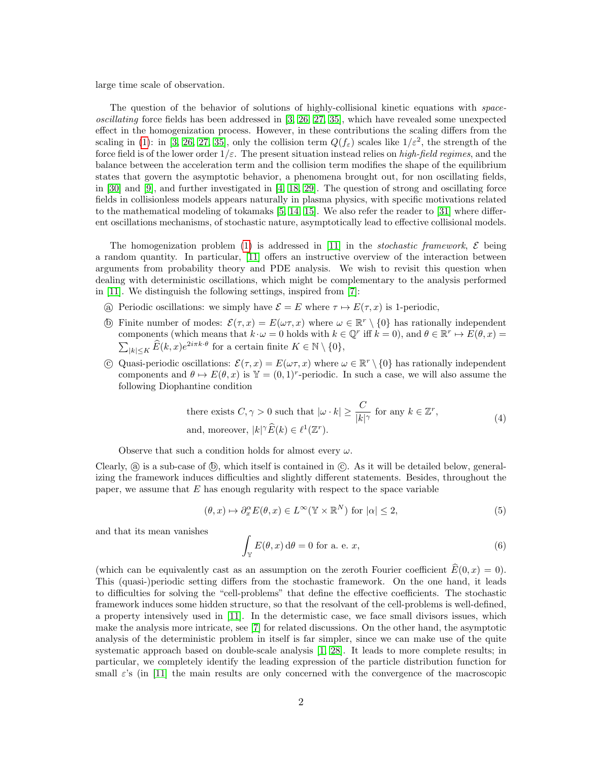large time scale of observation.

The question of the behavior of solutions of highly-collisional kinetic equations with spaceoscillating force fields has been addressed in [\[3,](#page-37-0) [26,](#page-38-0) [27,](#page-38-1) [35\]](#page-38-2), which have revealed some unexpected effect in the homogenization process. However, in these contributions the scaling differs from the scaling in [\(1\)](#page-0-0): in [\[3,](#page-37-0) [26,](#page-38-0) [27,](#page-38-1) [35\]](#page-38-2), only the collision term  $Q(f_{\varepsilon})$  scales like  $1/\varepsilon^2$ , the strength of the force field is of the lower order  $1/\varepsilon$ . The present situation instead relies on *high-field regimes*, and the balance between the acceleration term and the collision term modifies the shape of the equilibrium states that govern the asymptotic behavior, a phenomena brought out, for non oscillating fields, in [\[30\]](#page-38-3) and [\[9\]](#page-37-1), and further investigated in [\[4,](#page-37-2) [18,](#page-37-3) [29\]](#page-38-4). The question of strong and oscillating force fields in collisionless models appears naturally in plasma physics, with specific motivations related to the mathematical modeling of tokamaks [\[5,](#page-37-4) [14,](#page-37-5) [15\]](#page-37-6). We also refer the reader to [\[31\]](#page-38-5) where different oscillations mechanisms, of stochastic nature, asymptotically lead to effective collisional models.

The homogenization problem [\(1\)](#page-0-0) is addressed in [\[11\]](#page-37-7) in the *stochastic framework*,  $\mathcal{E}$  being a random quantity. In particular, [\[11\]](#page-37-7) offers an instructive overview of the interaction between arguments from probability theory and PDE analysis. We wish to revisit this question when dealing with deterministic oscillations, which might be complementary to the analysis performed in [\[11\]](#page-37-7). We distinguish the following settings, inspired from [\[7\]](#page-37-8):

- (a) Periodic oscillations: we simply have  $\mathcal{E} = E$  where  $\tau \mapsto E(\tau, x)$  is 1-periodic,
- **(b)** Finite number of modes:  $\mathcal{E}(\tau, x) = E(\omega \tau, x)$  where  $\omega \in \mathbb{R}^r \setminus \{0\}$  has rationally independent components (which means that  $k \cdot \omega = 0$  holds with  $k \in \mathbb{Q}^r$  iff  $k = 0$ ), and  $\theta \in \mathbb{R}^r \mapsto E(\theta, x) =$  $\sum_{|k| \leq K} \widehat{E}(k, x) e^{2i\pi k \cdot \theta}$  for a certain finite  $K \in \mathbb{N} \setminus \{0\},$
- C Quasi-periodic oscillations:  $\mathcal{E}(\tau, x) = E(\omega \tau, x)$  where  $\omega \in \mathbb{R}^r \setminus \{0\}$  has rationally independent components and  $\theta \mapsto E(\theta, x)$  is  $\mathbb{Y} = (0, 1)^r$ -periodic. In such a case, we will also assume the following Diophantine condition

<span id="page-1-2"></span>there exists 
$$
C, \gamma > 0
$$
 such that  $|\omega \cdot k| \ge \frac{C}{|k|^\gamma}$  for any  $k \in \mathbb{Z}^r$ ,  
and, moreover,  $|k|^\gamma \widehat{E}(k) \in \ell^1(\mathbb{Z}^r)$ . 
$$
(4)
$$

Observe that such a condition holds for almost every  $\omega$ .

Clearly,  $(a)$  is a sub-case of  $(b)$ , which itself is contained in  $(c)$ . As it will be detailed below, generalizing the framework induces difficulties and slightly different statements. Besides, throughout the paper, we assume that  $E$  has enough regularity with respect to the space variable

<span id="page-1-0"></span>
$$
(\theta, x) \mapsto \partial_x^{\alpha} E(\theta, x) \in L^{\infty}(\mathbb{Y} \times \mathbb{R}^{N}) \text{ for } |\alpha| \le 2,
$$
 (5)

and that its mean vanishes

<span id="page-1-1"></span>
$$
\int_{\mathbb{Y}} E(\theta, x) \, d\theta = 0 \text{ for a. e. } x,\tag{6}
$$

(which can be equivalently cast as an assumption on the zeroth Fourier coefficient  $\widehat{E}(0, x) = 0$ ). This (quasi-)periodic setting differs from the stochastic framework. On the one hand, it leads to difficulties for solving the "cell-problems" that define the effective coefficients. The stochastic framework induces some hidden structure, so that the resolvant of the cell-problems is well-defined, a property intensively used in [\[11\]](#page-37-7). In the determistic case, we face small divisors issues, which make the analysis more intricate, see [\[7\]](#page-37-8) for related discussions. On the other hand, the asymptotic analysis of the deterministic problem in itself is far simpler, since we can make use of the quite systematic approach based on double-scale analysis [\[1,](#page-36-0) [28\]](#page-38-6). It leads to more complete results; in particular, we completely identify the leading expression of the particle distribution function for small  $\varepsilon$ 's (in [\[11\]](#page-37-7) the main results are only concerned with the convergence of the macroscopic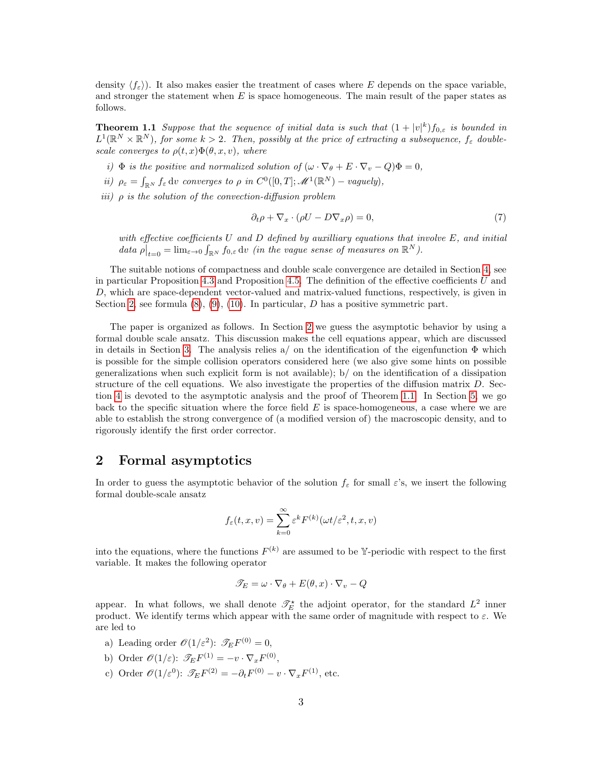density  $\langle f_{\varepsilon} \rangle$ . It also makes easier the treatment of cases where E depends on the space variable, and stronger the statement when  $E$  is space homogeneous. The main result of the paper states as follows.

<span id="page-2-1"></span>**Theorem 1.1** Suppose that the sequence of initial data is such that  $(1+|v|^k)f_{0,\varepsilon}$  is bounded in  $L^1(\mathbb{R}^N\times\mathbb{R}^N)$ , for some  $k>2$ . Then, possibly at the price of extracting a subsequence,  $f_\varepsilon$  doublescale converges to  $\rho(t,x)\Phi(\theta,x,v)$ , where

- i)  $\Phi$  is the positive and normalized solution of  $(\omega \cdot \nabla_{\theta} + E \cdot \nabla_{\nu} Q)\Phi = 0$ ,
- ii)  $\rho_{\varepsilon} = \int_{\mathbb{R}^N} f_{\varepsilon} \, dv$  converges to  $\rho$  in  $C^0([0,T]; \mathscr{M}^1(\mathbb{R}^N)$  vaguely),
- iii)  $\rho$  is the solution of the convection-diffusion problem

<span id="page-2-2"></span>
$$
\partial_t \rho + \nabla_x \cdot (\rho U - D \nabla_x \rho) = 0,\tag{7}
$$

with effective coefficients  $U$  and  $D$  defined by auxilliary equations that involve  $E$ , and initial data  $\rho|_{t=0} = \lim_{\varepsilon \to 0} \int_{\mathbb{R}^N} f_{0,\varepsilon} \, dv$  (in the vague sense of measures on  $\mathbb{R}^N$ ).

The suitable notions of compactness and double scale convergence are detailed in Section [4,](#page-16-0) see in particular Proposition [4.3](#page-17-0) and Proposition [4.5.](#page-17-1) The definition of the effective coefficients  $U$  and D, which are space-dependent vector-valued and matrix-valued functions, respectively, is given in Section [2,](#page-2-0) see formula  $(8)$ ,  $(9)$ ,  $(10)$ . In particular, D has a positive symmetric part.

The paper is organized as follows. In Section [2](#page-2-0) we guess the asymptotic behavior by using a formal double scale ansatz. This discussion makes the cell equations appear, which are discussed in details in Section [3.](#page-4-0) The analysis relies  $a/$  on the identification of the eigenfunction  $\Phi$  which is possible for the simple collision operators considered here (we also give some hints on possible generalizations when such explicit form is not available); b/ on the identification of a dissipation structure of the cell equations. We also investigate the properties of the diffusion matrix D. Section [4](#page-16-0) is devoted to the asymptotic analysis and the proof of Theorem [1.1.](#page-2-1) In Section [5,](#page-22-0) we go back to the specific situation where the force field  $E$  is space-homogeneous, a case where we are able to establish the strong convergence of (a modified version of) the macroscopic density, and to rigorously identify the first order corrector.

## <span id="page-2-0"></span>2 Formal asymptotics

In order to guess the asymptotic behavior of the solution  $f_{\varepsilon}$  for small  $\varepsilon$ 's, we insert the following formal double-scale ansatz

$$
f_{\varepsilon}(t, x, v) = \sum_{k=0}^{\infty} \varepsilon^k F^{(k)}(\omega t/\varepsilon^2, t, x, v)
$$

into the equations, where the functions  $F^{(k)}$  are assumed to be Y-periodic with respect to the first variable. It makes the following operator

$$
\mathscr{T}_E = \omega \cdot \nabla_{\theta} + E(\theta, x) \cdot \nabla_{v} - Q
$$

appear. In what follows, we shall denote  $\mathcal{T}_E^{\star}$  the adjoint operator, for the standard  $L^2$  inner product. We identify terms which appear with the same order of magnitude with respect to  $\varepsilon$ . We are led to

- a) Leading order  $\mathscr{O}(1/\varepsilon^2)$ :  $\mathscr{T}_E F^{(0)} = 0$ ,
- b) Order  $\mathscr{O}(1/\varepsilon)$ :  $\mathscr{T}_E F^{(1)} = -v \cdot \nabla_x F^{(0)}$ ,
- c) Order  $\mathscr{O}(1/\varepsilon^0)$ :  $\mathscr{T}_E F^{(2)} = -\partial_t F^{(0)} v \cdot \nabla_x F^{(1)}$ , etc.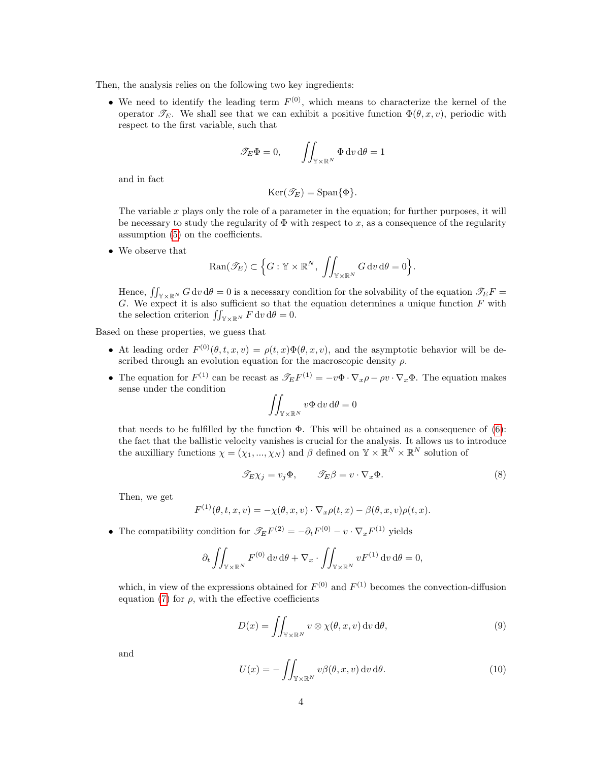Then, the analysis relies on the following two key ingredients:

• We need to identify the leading term  $F^{(0)}$ , which means to characterize the kernel of the operator  $\mathscr{T}_E$ . We shall see that we can exhibit a positive function  $\Phi(\theta, x, v)$ , periodic with respect to the first variable, such that

$$
\mathscr{T}_E \Phi = 0, \qquad \iint_{\mathbb{Y} \times \mathbb{R}^N} \Phi \, dv \, d\theta = 1
$$

and in fact

$$
\operatorname{Ker}(\mathscr{T}_E)=\operatorname{Span}\{\Phi\}.
$$

The variable x plays only the role of a parameter in the equation; for further purposes, it will be necessary to study the regularity of  $\Phi$  with respect to x, as a consequence of the regularity assumption [\(5\)](#page-1-0) on the coefficients.

• We observe that

$$
\text{Ran}(\mathscr{T}_E) \subset \Big\{ G : \mathbb{Y} \times \mathbb{R}^N, \, \, \iint_{\mathbb{Y} \times \mathbb{R}^N} G \, \mathrm{d}v \, \mathrm{d}\theta = 0 \Big\}.
$$

Hence,  $\iint_{\mathbb{Y}\times\mathbb{R}^N} G \,dv \,d\theta = 0$  is a necessary condition for the solvability of the equation  $\mathscr{T}_E F =$ G. We expect it is also sufficient so that the equation determines a unique function  $F$  with the selection criterion  $\iint_{\mathbb{Y}\times\mathbb{R}^N} F \,dv \,d\theta = 0.$ 

Based on these properties, we guess that

- At leading order  $F^{(0)}(\theta, t, x, v) = \rho(t, x) \Phi(\theta, x, v)$ , and the asymptotic behavior will be described through an evolution equation for the macroscopic density  $\rho$ .
- The equation for  $F^{(1)}$  can be recast as  $\mathscr{T}_E F^{(1)} = -v\Phi \cdot \nabla_x \rho \rho v \cdot \nabla_x \Phi$ . The equation makes sense under the condition

$$
\iint_{\mathbb{Y}\times\mathbb{R}^N} v\Phi \,dv\,d\theta = 0
$$

that needs to be fulfilled by the function  $\Phi$ . This will be obtained as a consequence of [\(6\)](#page-1-1): the fact that the ballistic velocity vanishes is crucial for the analysis. It allows us to introduce the auxilliary functions  $\chi = (\chi_1, ..., \chi_N)$  and  $\beta$  defined on  $\mathbb{Y} \times \mathbb{R}^N \times \mathbb{R}^N$  solution of

<span id="page-3-0"></span>
$$
\mathcal{I}_E \chi_j = v_j \Phi, \qquad \mathcal{I}_E \beta = v \cdot \nabla_x \Phi.
$$
 (8)

Then, we get

$$
F^{(1)}(\theta, t, x, v) = -\chi(\theta, x, v) \cdot \nabla_x \rho(t, x) - \beta(\theta, x, v)\rho(t, x).
$$

• The compatibility condition for  $\mathscr{T}_E F^{(2)} = -\partial_t F^{(0)} - v \cdot \nabla_x F^{(1)}$  yields

$$
\partial_t \iint_{\mathbb{Y} \times \mathbb{R}^N} F^{(0)} \, \mathrm{d}v \, \mathrm{d}\theta + \nabla_x \cdot \iint_{\mathbb{Y} \times \mathbb{R}^N} v F^{(1)} \, \mathrm{d}v \, \mathrm{d}\theta = 0,
$$

which, in view of the expressions obtained for  $F^{(0)}$  and  $F^{(1)}$  becomes the convection-diffusion equation [\(7\)](#page-2-2) for  $\rho$ , with the effective coefficients

<span id="page-3-1"></span>
$$
D(x) = \iint_{\mathbb{Y} \times \mathbb{R}^N} v \otimes \chi(\theta, x, v) \, dv \, d\theta,\tag{9}
$$

and

<span id="page-3-2"></span>
$$
U(x) = -\iint_{\mathbb{Y}\times\mathbb{R}^N} v\beta(\theta, x, v) \, dv \, d\theta.
$$
 (10)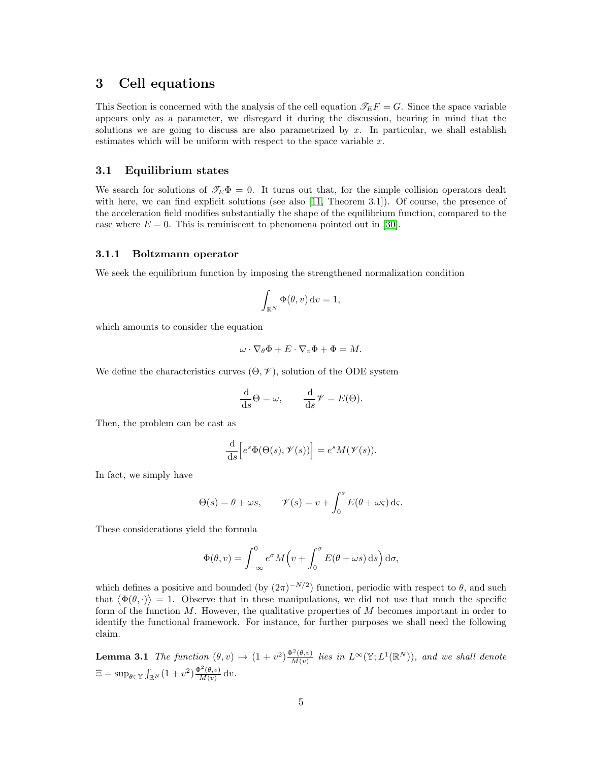# <span id="page-4-0"></span>3 Cell equations

This Section is concerned with the analysis of the cell equation  $\mathcal{T}_E F = G$ . Since the space variable appears only as a parameter, we disregard it during the discussion, bearing in mind that the solutions we are going to discuss are also parametrized by  $x$ . In particular, we shall establish estimates which will be uniform with respect to the space variable  $x$ .

#### 3.1 Equilibrium states

We search for solutions of  $\mathcal{T}_E \Phi = 0$ . It turns out that, for the simple collision operators dealt with here, we can find explicit solutions (see also [\[11,](#page-37-7) Theorem 3.1]). Of course, the presence of the acceleration field modifies substantially the shape of the equilibrium function, compared to the case where  $E = 0$ . This is reminiscent to phenomena pointed out in [\[30\]](#page-38-3).

#### 3.1.1 Boltzmann operator

We seek the equilibrium function by imposing the strengthened normalization condition

$$
\int_{\mathbb{R}^N} \Phi(\theta, v) dv = 1,
$$

which amounts to consider the equation

$$
\omega \cdot \nabla_{\theta} \Phi + E \cdot \nabla_{v} \Phi + \Phi = M.
$$

We define the characteristics curves  $(\Theta, \mathcal{V})$ , solution of the ODE system

$$
\frac{\mathrm{d}}{\mathrm{d}s}\Theta = \omega, \qquad \frac{\mathrm{d}}{\mathrm{d}s}\mathcal{V} = E(\Theta).
$$

Then, the problem can be cast as

$$
\frac{\mathrm{d}}{\mathrm{d}s} \Big[ e^s \Phi(\Theta(s), \mathcal{V}(s)) \Big] = e^s M(\mathcal{V}(s)).
$$

In fact, we simply have

$$
\Theta(s) = \theta + \omega s, \qquad \mathcal{V}(s) = v + \int_0^s E(\theta + \omega \varsigma) \, \mathrm{d}\varsigma.
$$

These considerations yield the formula

$$
\Phi(\theta, v) = \int_{-\infty}^{0} e^{\sigma} M(v + \int_{0}^{\sigma} E(\theta + \omega s) \,ds) d\sigma,
$$

which defines a positive and bounded (by  $(2\pi)^{-N/2}$ ) function, periodic with respect to  $\theta$ , and such that  $\langle \Phi(\theta, \cdot) \rangle = 1$ . Observe that in these manipulations, we did not use that much the specific form of the function  $M$ . However, the qualitative properties of  $M$  becomes important in order to identify the functional framework. For instance, for further purposes we shall need the following claim.

<span id="page-4-1"></span>**Lemma 3.1** The function  $(\theta, v) \mapsto (1 + v^2) \frac{\Phi^2(\theta, v)}{M(v)}$  $\frac{N^{2}(\theta,v)}{M(v)}$  lies in  $L^{\infty}(\mathbb{Y};L^{1}(\mathbb{R}^{N})),$  and we shall denote  $\Xi = \sup_{\theta \in \mathbb{Y}} \int_{\mathbb{R}^N} (1 + v^2) \frac{\Phi^2(\theta, v)}{M(v)}$  $\frac{\partial^{\sigma}(\theta, v)}{\partial(x)}$  dv.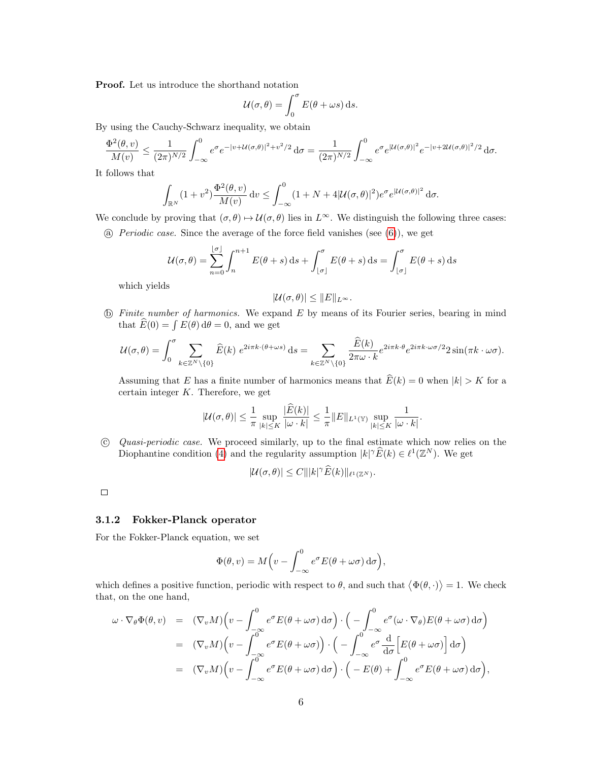Proof. Let us introduce the shorthand notation

$$
U(\sigma,\theta) = \int_0^{\sigma} E(\theta + \omega s) \,ds.
$$

By using the Cauchy-Schwarz inequality, we obtain

$$
\frac{\Phi^2(\theta, v)}{M(v)} \le \frac{1}{(2\pi)^{N/2}} \int_{-\infty}^0 e^{\sigma} e^{-|v + \mathcal{U}(\sigma, \theta)|^2 + v^2/2} d\sigma = \frac{1}{(2\pi)^{N/2}} \int_{-\infty}^0 e^{\sigma} e^{|\mathcal{U}(\sigma, \theta)|^2} e^{-|v + 2\mathcal{U}(\sigma, \theta)|^2/2} d\sigma.
$$

It follows that

$$
\int_{\mathbb{R}^N} (1+v^2) \frac{\Phi^2(\theta, v)}{M(v)} dv \le \int_{-\infty}^0 (1+N+4|\mathcal{U}(\sigma, \theta)|^2) e^{\sigma} e^{|\mathcal{U}(\sigma, \theta)|^2} d\sigma.
$$

We conclude by proving that  $(\sigma, \theta) \mapsto \mathcal{U}(\sigma, \theta)$  lies in  $L^{\infty}$ . We distinguish the following three cases: (a) Periodic case. Since the average of the force field vanishes (see  $(6)$ ), we get

$$
\mathcal{U}(\sigma,\theta) = \sum_{n=0}^{\lfloor \sigma \rfloor} \int_n^{n+1} E(\theta+s) \,ds + \int_{\lfloor \sigma \rfloor}^{\sigma} E(\theta+s) \,ds = \int_{\lfloor \sigma \rfloor}^{\sigma} E(\theta+s) \,ds
$$

which yields

$$
|\mathcal{U}(\sigma,\theta)| \leq ||E||_{L^{\infty}}.
$$

 $\Phi$  Finite number of harmonics. We expand E by means of its Fourier series, bearing in mind that  $\hat{E}(0) = \int E(\theta) d\theta = 0$ , and we get

$$
\mathcal{U}(\sigma,\theta) = \int_0^{\sigma} \sum_{k \in \mathbb{Z}^N \setminus \{0\}} \widehat{E}(k) \ e^{2i\pi k \cdot (\theta + \omega s)} \, \mathrm{d}s = \sum_{k \in \mathbb{Z}^N \setminus \{0\}} \frac{\widehat{E}(k)}{2\pi \omega \cdot k} e^{2i\pi k \cdot \theta} e^{2i\pi k \cdot \omega \sigma/2} 2 \sin(\pi k \cdot \omega \sigma).
$$

Assuming that E has a finite number of harmonics means that  $\widehat{E}(k) = 0$  when  $|k| > K$  for a certain integer  $K$ . Therefore, we get

$$
|\mathcal{U}(\sigma,\theta)| \leq \frac{1}{\pi} \sup_{|k| \leq K} \frac{|\overline{E}(k)|}{|\omega \cdot k|} \leq \frac{1}{\pi} \|E\|_{L^1(\mathbb{Y})} \sup_{|k| \leq K} \frac{1}{|\omega \cdot k|}
$$

.

 c Quasi-periodic case. We proceed similarly, up to the final estimate which now relies on the Diophantine condition [\(4\)](#page-1-2) and the regularity assumption  $|k| \hat{E}(k) \in \ell^1(\mathbb{Z}^N)$ . We get

$$
|\mathcal{U}(\sigma,\theta)| \leq C |||k|^\gamma \widehat{E}(k)||_{\ell^1(\mathbb{Z}^N)}.
$$

 $\Box$ 

#### 3.1.2 Fokker-Planck operator

For the Fokker-Planck equation, we set

$$
\Phi(\theta, v) = M \left( v - \int_{-\infty}^{0} e^{\sigma} E(\theta + \omega \sigma) d\sigma \right),
$$

which defines a positive function, periodic with respect to  $\theta$ , and such that  $\langle \Phi(\theta, \cdot) \rangle = 1$ . We check that, on the one hand,

$$
\omega \cdot \nabla_{\theta} \Phi(\theta, v) = (\nabla_{v} M) \Big( v - \int_{-\infty}^{0} e^{\sigma} E(\theta + \omega \sigma) d\sigma \Big) \cdot \Big( - \int_{-\infty}^{0} e^{\sigma} (\omega \cdot \nabla_{\theta}) E(\theta + \omega \sigma) d\sigma \Big)
$$
  
\n
$$
= (\nabla_{v} M) \Big( v - \int_{-\infty}^{0} e^{\sigma} E(\theta + \omega \sigma) \Big) \cdot \Big( - \int_{-\infty}^{0} e^{\sigma} \frac{d}{d\sigma} \Big[ E(\theta + \omega \sigma) \Big] d\sigma \Big)
$$
  
\n
$$
= (\nabla_{v} M) \Big( v - \int_{-\infty}^{0} e^{\sigma} E(\theta + \omega \sigma) d\sigma \Big) \cdot \Big( - E(\theta) + \int_{-\infty}^{0} e^{\sigma} E(\theta + \omega \sigma) d\sigma \Big),
$$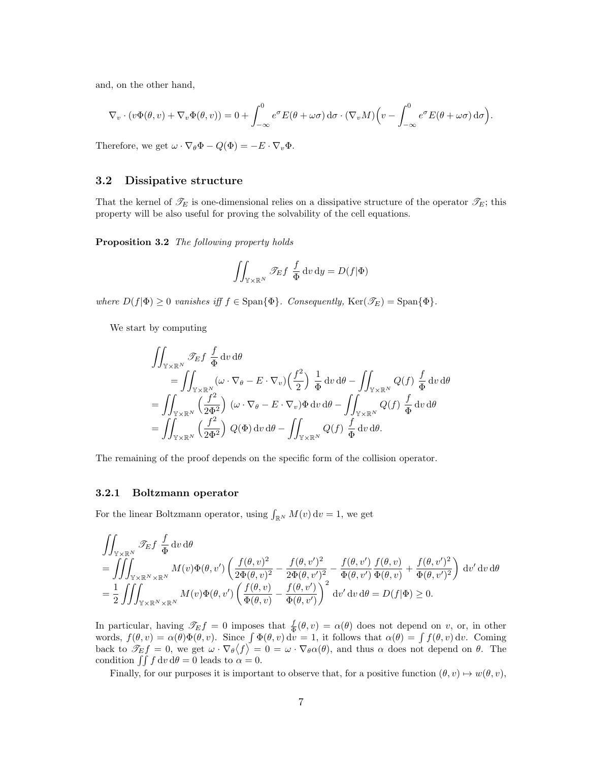and, on the other hand,

$$
\nabla_v \cdot (v\Phi(\theta, v) + \nabla_v \Phi(\theta, v)) = 0 + \int_{-\infty}^0 e^{\sigma} E(\theta + \omega \sigma) d\sigma \cdot (\nabla_v M) \Big( v - \int_{-\infty}^0 e^{\sigma} E(\theta + \omega \sigma) d\sigma \Big).
$$

Therefore, we get  $\omega \cdot \nabla_{\theta} \Phi - Q(\Phi) = -E \cdot \nabla_{v} \Phi$ .

#### 3.2 Dissipative structure

That the kernel of  $\mathcal{T}_E$  is one-dimensional relies on a dissipative structure of the operator  $\mathcal{T}_E$ ; this property will be also useful for proving the solvability of the cell equations.

<span id="page-6-0"></span>Proposition 3.2 The following property holds

$$
\iint_{\mathbb{Y}\times\mathbb{R}^N} \mathscr{T}_E f \, \frac{f}{\Phi} \, \mathrm{d}v \, \mathrm{d}y = D(f|\Phi)
$$

where  $D(f|\Phi) \geq 0$  vanishes iff  $f \in \text{Span}\{\Phi\}$ . Consequently,  $\text{Ker}(\mathscr{T}_E) = \text{Span}\{\Phi\}$ .

We start by computing

$$
\iint_{\mathbb{Y}\times\mathbb{R}^N} \mathcal{F}_E f \frac{f}{\Phi} dv d\theta \n= \iint_{\mathbb{Y}\times\mathbb{R}^N} (\omega \cdot \nabla_\theta - E \cdot \nabla_v) \left(\frac{f^2}{2}\right) \frac{1}{\Phi} dv d\theta - \iint_{\mathbb{Y}\times\mathbb{R}^N} Q(f) \frac{f}{\Phi} dv d\theta \n= \iint_{\mathbb{Y}\times\mathbb{R}^N} \left(\frac{f^2}{2\Phi^2}\right) (\omega \cdot \nabla_\theta - E \cdot \nabla_v) \Phi dv d\theta - \iint_{\mathbb{Y}\times\mathbb{R}^N} Q(f) \frac{f}{\Phi} dv d\theta \n= \iint_{\mathbb{Y}\times\mathbb{R}^N} \left(\frac{f^2}{2\Phi^2}\right) Q(\Phi) dv d\theta - \iint_{\mathbb{Y}\times\mathbb{R}^N} Q(f) \frac{f}{\Phi} dv d\theta.
$$

The remaining of the proof depends on the specific form of the collision operator.

#### 3.2.1 Boltzmann operator

For the linear Boltzmann operator, using  $\int_{\mathbb{R}^N} M(v) dv = 1$ , we get

$$
\iint_{\mathbb{Y}\times\mathbb{R}^N} \mathcal{F}_E f \frac{f}{\Phi} dv d\theta \n= \iiint_{\mathbb{Y}\times\mathbb{R}^N\times\mathbb{R}^N} M(v)\Phi(\theta, v') \left(\frac{f(\theta, v)^2}{2\Phi(\theta, v)^2} - \frac{f(\theta, v')^2}{2\Phi(\theta, v')^2} - \frac{f(\theta, v')}{\Phi(\theta, v')} \frac{f(\theta, v)}{\Phi(\theta, v)} + \frac{f(\theta, v')^2}{\Phi(\theta, v')^2}\right) dv' dv d\theta \n= \frac{1}{2} \iiint_{\mathbb{Y}\times\mathbb{R}^N\times\mathbb{R}^N} M(v)\Phi(\theta, v') \left(\frac{f(\theta, v)}{\Phi(\theta, v)} - \frac{f(\theta, v')}{\Phi(\theta, v')}\right)^2 dv' dv d\theta = D(f|\Phi) \ge 0.
$$

In particular, having  $\mathscr{T}_E f = 0$  imposes that  $\frac{f}{\Phi}(\theta, v) = \alpha(\theta)$  does not depend on v, or, in other words,  $f(\theta, v) = \alpha(\theta) \Phi(\theta, v)$ . Since  $\int \Phi(\theta, v) dv = 1$ , it follows that  $\alpha(\theta) = \int f(\theta, v) dv$ . Coming back to  $\mathscr{T}_E f = 0$ , we get  $\omega \cdot \nabla_{\theta} \langle f \rangle = 0 = \omega \cdot \nabla_{\theta} \alpha(\theta)$ , and thus  $\alpha$  does not depend on  $\theta$ . The condition  $\int \int f \, dv \, d\theta = 0$  leads to  $\alpha = 0$ .

Finally, for our purposes it is important to observe that, for a positive function  $(\theta, v) \mapsto w(\theta, v)$ ,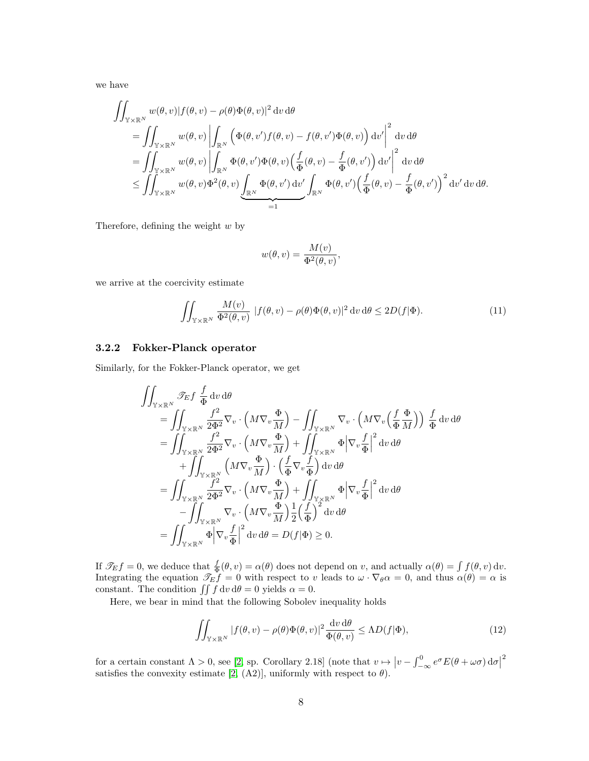we have

$$
\iint_{\mathbb{Y}\times\mathbb{R}^N} w(\theta,v) |f(\theta,v) - \rho(\theta)\Phi(\theta,v)|^2 dv d\theta \n= \iint_{\mathbb{Y}\times\mathbb{R}^N} w(\theta,v) \left| \int_{\mathbb{R}^N} \left( \Phi(\theta,v') f(\theta,v) - f(\theta,v') \Phi(\theta,v) \right) dv' \right|^2 dv d\theta \n= \iint_{\mathbb{Y}\times\mathbb{R}^N} w(\theta,v) \left| \int_{\mathbb{R}^N} \Phi(\theta,v') \Phi(\theta,v) \left( \frac{f}{\Phi}(\theta,v) - \frac{f}{\Phi}(\theta,v') \right) dv' \right|^2 dv d\theta \n\leq \iint_{\mathbb{Y}\times\mathbb{R}^N} w(\theta,v) \Phi^2(\theta,v) \underbrace{\int_{\mathbb{R}^N} \Phi(\theta,v') dv'}_{=1} \int_{\mathbb{R}^N} \Phi(\theta,v') \left( \frac{f}{\Phi}(\theta,v) - \frac{f}{\Phi}(\theta,v') \right)^2 dv' dv d\theta.
$$

Therefore, defining the weight  $w$  by

$$
w(\theta, v) = \frac{M(v)}{\Phi^2(\theta, v)},
$$

we arrive at the coercivity estimate

<span id="page-7-0"></span>
$$
\iint_{\mathbb{Y}\times\mathbb{R}^N} \frac{M(v)}{\Phi^2(\theta, v)} |f(\theta, v) - \rho(\theta)\Phi(\theta, v)|^2 dv d\theta \le 2D(f|\Phi). \tag{11}
$$

#### 3.2.2 Fokker-Planck operator

Similarly, for the Fokker-Planck operator, we get

$$
\iint_{\mathbb{Y}\times\mathbb{R}^N} \mathcal{F}_E f \frac{f}{\Phi} dv d\theta \n= \iint_{\mathbb{Y}\times\mathbb{R}^N} \frac{f^2}{2\Phi^2} \nabla_v \cdot \left( M \nabla_v \frac{\Phi}{M} \right) - \iint_{\mathbb{Y}\times\mathbb{R}^N} \nabla_v \cdot \left( M \nabla_v \left( \frac{f}{\Phi} \frac{\Phi}{M} \right) \right) \frac{f}{\Phi} dv d\theta \n= \iint_{\mathbb{Y}\times\mathbb{R}^N} \frac{f^2}{2\Phi^2} \nabla_v \cdot \left( M \nabla_v \frac{\Phi}{M} \right) + \iint_{\mathbb{Y}\times\mathbb{R}^N} \Phi \left| \nabla_v \frac{f}{\Phi} \right|^2 dv d\theta \n+ \iint_{\mathbb{Y}\times\mathbb{R}^N} \left( M \nabla_v \frac{\Phi}{M} \right) \cdot \left( \frac{f}{\Phi} \nabla_v \frac{f}{\Phi} \right) dv d\theta \n= \iint_{\mathbb{Y}\times\mathbb{R}^N} \frac{f^2}{2\Phi^2} \nabla_v \cdot \left( M \nabla_v \frac{\Phi}{M} \right) + \iint_{\mathbb{Y}\times\mathbb{R}^N} \Phi \left| \nabla_v \frac{f}{\Phi} \right|^2 dv d\theta \n- \iint_{\mathbb{Y}\times\mathbb{R}^N} \nabla_v \cdot \left( M \nabla_v \frac{\Phi}{M} \right) \frac{1}{2} \left( \frac{f}{\Phi} \right)^2 dv d\theta \n= \iint_{\mathbb{Y}\times\mathbb{R}^N} \Phi \left| \nabla_v \frac{f}{\Phi} \right|^2 dv d\theta = D(f|\Phi) \ge 0.
$$

If  $\mathcal{T}_E f = 0$ , we deduce that  $\frac{f}{\Phi}(\theta, v) = \alpha(\theta)$  does not depend on v, and actually  $\alpha(\theta) = \int f(\theta, v) dv$ . Integrating the equation  $\mathcal{T}_E f = 0$  with respect to v leads to  $\omega \cdot \nabla_{\theta} \alpha = 0$ , and thus  $\alpha(\theta) = \alpha$  is constant. The condition  $\iint f \, dv \, d\theta = 0$  yields  $\alpha = 0$ .

Here, we bear in mind that the following Sobolev inequality holds

<span id="page-7-1"></span>
$$
\iint_{\mathbb{Y}\times\mathbb{R}^N} |f(\theta, v) - \rho(\theta)\Phi(\theta, v)|^2 \frac{\mathrm{d}v \,\mathrm{d}\theta}{\Phi(\theta, v)} \le \Lambda D(f|\Phi),\tag{12}
$$

for a certain constant  $\Lambda > 0$ , see [\[2,](#page-36-1) sp. Corollary 2.18] (note that  $v \mapsto |v - \int_{-\infty}^{0} e^{\sigma} E(\theta + \omega \sigma) d\sigma|$ 2 satisfies the convexity estimate [\[2,](#page-36-1) (A2)], uniformly with respect to  $\theta$ ).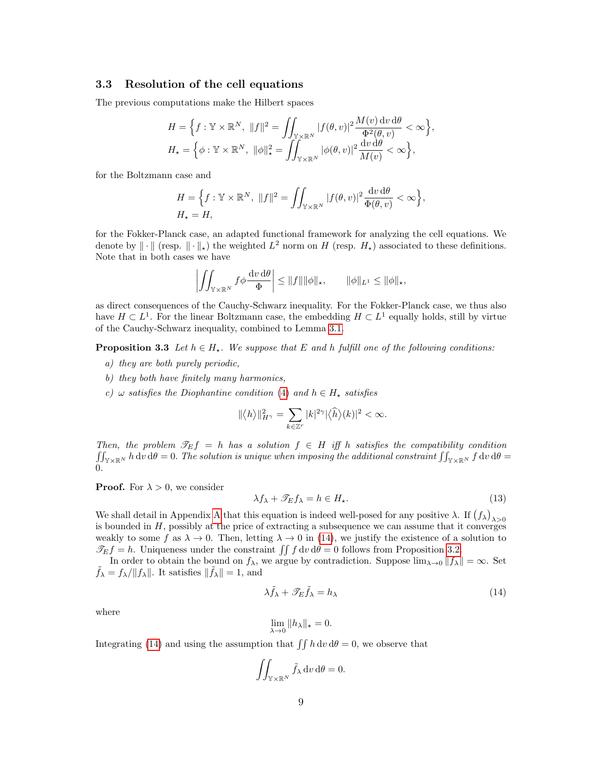#### 3.3 Resolution of the cell equations

The previous computations make the Hilbert spaces

$$
H = \left\{ f : \mathbb{Y} \times \mathbb{R}^N, \ \|f\|^2 = \iint_{\mathbb{Y} \times \mathbb{R}^N} |f(\theta, v)|^2 \frac{M(v) dv d\theta}{\Phi^2(\theta, v)} < \infty \right\},
$$
  

$$
H_{\star} = \left\{ \phi : \mathbb{Y} \times \mathbb{R}^N, \ \|\phi\|_{\star}^2 = \iint_{\mathbb{Y} \times \mathbb{R}^N} |\phi(\theta, v)|^2 \frac{dv d\theta}{M(v)} < \infty \right\},
$$

for the Boltzmann case and

$$
H = \left\{ f : \mathbb{Y} \times \mathbb{R}^N, \ \|f\|^2 = \iint_{\mathbb{Y} \times \mathbb{R}^N} |f(\theta, v)|^2 \frac{\mathrm{d}v \, \mathrm{d}\theta}{\Phi(\theta, v)} < \infty \right\},
$$
  

$$
H_{\star} = H,
$$

for the Fokker-Planck case, an adapted functional framework for analyzing the cell equations. We denote by  $\|\cdot\|$  (resp.  $\|\cdot\|_{\star}$ ) the weighted  $L^2$  norm on H (resp.  $H_{\star}$ ) associated to these definitions. Note that in both cases we have

$$
\left| \iint_{\mathbb{Y} \times \mathbb{R}^N} f \phi \frac{\mathrm{d}v \, \mathrm{d}\theta}{\Phi} \right| \le \|f\| \|\phi\|_{\star}, \qquad \|\phi\|_{L^1} \le \|\phi\|_{\star},
$$

as direct consequences of the Cauchy-Schwarz inequality. For the Fokker-Planck case, we thus also have  $H \subset L<sup>1</sup>$ . For the linear Boltzmann case, the embedding  $H \subset L<sup>1</sup>$  equally holds, still by virtue of the Cauchy-Schwarz inequality, combined to Lemma [3.1.](#page-4-1)

<span id="page-8-1"></span>**Proposition 3.3** Let  $h \in H_{\star}$ . We suppose that E and h fulfill one of the following conditions:

- a) they are both purely periodic,
- b) they both have finitely many harmonics,
- c)  $\omega$  satisfies the Diophantine condition [\(4\)](#page-1-2) and  $h \in H_{\star}$  satisfies

$$
\|\langle h\rangle\|^2_{H^\gamma}=\sum_{k\in\mathbb{Z}^r}|k|^{2\gamma}|\langle\widehat{h}\rangle(k)|^2<\infty.
$$

Then, the problem  $\mathcal{T}_E f = h$  has a solution  $f \in H$  iff h satisfies the compatibility condition  $\iint_{\mathbb{Y}\times\mathbb{R}^N} h\,\mathrm{d} v\,\mathrm{d}\theta=0.$  The solution is unique when imposing the additional constraint  $\iint_{\mathbb{Y}\times\mathbb{R}^N} f\,\mathrm{d} v\,\mathrm{d}\theta=0$  $\Omega$ 

**Proof.** For  $\lambda > 0$ , we consider

$$
\lambda f_{\lambda} + \mathcal{F}_E f_{\lambda} = h \in H_{\star}.
$$
\n(13)

We shall detail in [A](#page-30-0)ppendix A that this equation is indeed well-posed for any positive  $\lambda$ . If  $(f_{\lambda})_{\lambda>0}$ is bounded in  $H$ , possibly at the price of extracting a subsequence we can assume that it converges weakly to some f as  $\lambda \to 0$ . Then, letting  $\lambda \to 0$  in [\(14\)](#page-8-0), we justify the existence of a solution to  $\mathcal{T}_E f = h$ . Uniqueness under the constraint  $\iint f \, dv \, d\theta = 0$  follows from Proposition [3.2.](#page-6-0)

In order to obtain the bound on  $f_{\lambda}$ , we argue by contradiction. Suppose  $\lim_{\lambda\to 0}||f_{\lambda}|| = \infty$ . Set  $\tilde{f}_{\lambda} = f_{\lambda}/||f_{\lambda}||.$  It satisfies  $||\tilde{f}_{\lambda}|| = 1$ , and

<span id="page-8-0"></span>
$$
\lambda \tilde{f}_{\lambda} + \mathcal{F}_{E} \tilde{f}_{\lambda} = h_{\lambda} \tag{14}
$$

where

$$
\lim_{\lambda \to 0} ||h_\lambda||_* = 0.
$$

Integrating [\(14\)](#page-8-0) and using the assumption that  $\iint h \, dv \, d\theta = 0$ , we observe that

$$
\iint_{\mathbb{Y}\times\mathbb{R}^N}\tilde{f}_{\lambda}\,\mathrm{d}v\,\mathrm{d}\theta=0.
$$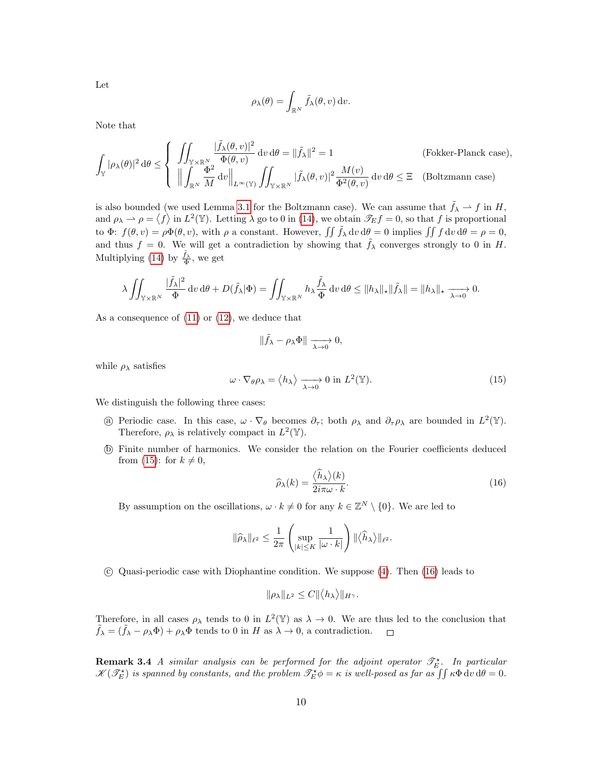Let

$$
\rho_{\lambda}(\theta) = \int_{\mathbb{R}^N} \tilde{f}_{\lambda}(\theta, v) dv.
$$

Note that

$$
\int_{\mathbb{Y}} |\rho_{\lambda}(\theta)|^2 d\theta \leq \begin{cases} \iint_{\mathbb{Y} \times \mathbb{R}^N} \frac{|\tilde{f}_{\lambda}(\theta, v)|^2}{\Phi(\theta, v)} dv d\theta = ||\tilde{f}_{\lambda}||^2 = 1 & \text{(Fokker-Planck case)},\\ \left\| \int_{\mathbb{R}^N} \frac{\Phi^2}{M} dv \right\|_{L^{\infty}(\mathbb{Y})} \iint_{\mathbb{Y} \times \mathbb{R}^N} |\tilde{f}_{\lambda}(\theta, v)|^2 \frac{M(v)}{\Phi^2(\theta, v)} dv d\theta \leq \Xi & \text{(Boltzmann case)} \end{cases}
$$

is also bounded (we used Lemma [3.1](#page-4-1) for the Boltzmann case). We can assume that  $\tilde{f}_{\lambda} \to f$  in H, and  $\rho_{\lambda} \to \rho = \langle f \rangle$  in  $L^2(\mathbb{Y})$ . Letting  $\lambda$  go to 0 in [\(14\)](#page-8-0), we obtain  $\mathscr{T}_E f = 0$ , so that f is proportional to  $\Phi: f(\theta, v) = \rho \Phi(\theta, v)$ , with  $\rho$  a constant. However,  $\iint \tilde{f}_{\lambda} dv d\theta = 0$  implies  $\iint f dv d\theta = \rho = 0$ , and thus  $f = 0$ . We will get a contradiction by showing that  $\tilde{f}_{\lambda}$  converges strongly to 0 in H. Multiplying [\(14\)](#page-8-0) by  $\frac{\tilde{f}_{\lambda}}{\Phi}$ , we get

$$
\lambda \iint_{\mathbb{Y} \times \mathbb{R}^N} \frac{|\tilde{f}_{\lambda}|^2}{\Phi} dv \, d\theta + D(\tilde{f}_{\lambda} | \Phi) = \iint_{\mathbb{Y} \times \mathbb{R}^N} h_{\lambda} \frac{\tilde{f}_{\lambda}}{\Phi} dv \, d\theta \leq \|h_{\lambda}\|_{\star} \|\tilde{f}_{\lambda}\| = \|h_{\lambda}\|_{\star} \xrightarrow[\lambda \to 0]{} 0.
$$

As a consequence of [\(11\)](#page-7-0) or [\(12\)](#page-7-1), we deduce that

$$
\|\tilde{f}_{\lambda}-\rho_{\lambda}\Phi\|\xrightarrow[\lambda\to 0]{}0,
$$

while  $\rho_{\lambda}$  satisfies

<span id="page-9-0"></span>
$$
\omega \cdot \nabla_{\theta} \rho_{\lambda} = \langle h_{\lambda} \rangle \xrightarrow[\lambda \to 0]{} 0 \text{ in } L^{2}(\mathbb{Y}).
$$
\n(15)

We distinguish the following three cases:

- (a) Periodic case. In this case,  $\omega \cdot \nabla_{\theta}$  becomes  $\partial_{\tau}$ ; both  $\rho_{\lambda}$  and  $\partial_{\tau} \rho_{\lambda}$  are bounded in  $L^2(\mathbb{Y})$ . Therefore,  $\rho_{\lambda}$  is relatively compact in  $L^2(\mathbb{Y})$ .
- b Finite number of harmonics. We consider the relation on the Fourier coefficients deduced from [\(15\)](#page-9-0): for  $k \neq 0$ ,

<span id="page-9-1"></span>
$$
\widehat{\rho}_{\lambda}(k) = \frac{\langle \widehat{h}_{\lambda} \rangle(k)}{2i\pi\omega \cdot k}.
$$
\n(16)

By assumption on the oscillations,  $\omega \cdot k \neq 0$  for any  $k \in \mathbb{Z}^N \setminus \{0\}$ . We are led to

$$
\|\widehat{\rho}_{\lambda}\|_{\ell^2} \leq \frac{1}{2\pi} \left( \sup_{|k| \leq K} \frac{1}{|\omega \cdot k|} \right) \| \langle \widehat{h}_{\lambda} \rangle \|_{\ell^2}.
$$

c Quasi-periodic case with Diophantine condition. We suppose [\(4\)](#page-1-2). Then [\(16\)](#page-9-1) leads to

$$
\|\rho_{\lambda}\|_{L^2}\leq C\|\langle h_{\lambda}\rangle\|_{H^{\gamma}}.
$$

Therefore, in all cases  $\rho_{\lambda}$  tends to 0 in  $L^2(\mathbb{Y})$  as  $\lambda \to 0$ . We are thus led to the conclusion that  $\tilde{f}_{\lambda} = (\tilde{f}_{\lambda} - \rho_{\lambda} \Phi) + \rho_{\lambda} \Phi$  tends to 0 in H as  $\lambda \to 0$ , a contradiction.  $\Box$ 

<span id="page-9-2"></span>**Remark 3.4** A similar analysis can be performed for the adjoint operator  $\mathscr{T}_{E}^{\star}$ . In particular  $\mathscr{K}(\mathscr{T}_{E}^{\star})$  is spanned by constants, and the problem  $\mathscr{T}_{E}^{\star}\phi=\kappa$  is well-posed as far as  $\iint \kappa \Phi \,dv \,d\theta=0$ .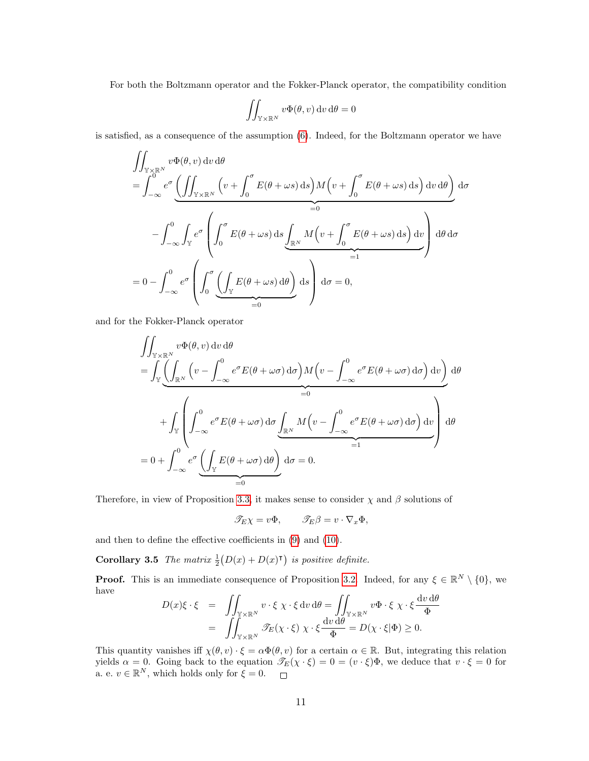For both the Boltzmann operator and the Fokker-Planck operator, the compatibility condition

$$
\iint_{\mathbb{Y}\times\mathbb{R}^N} v\Phi(\theta, v) \, dv \, d\theta = 0
$$

is satisfied, as a consequence of the assumption [\(6\)](#page-1-1). Indeed, for the Boltzmann operator we have

$$
\iint_{\mathbb{Y}\times\mathbb{R}^N} v\Phi(\theta, v) dv d\theta
$$
\n
$$
= \int_{-\infty}^0 e^{\sigma} \underbrace{\left(\iint_{\mathbb{Y}\times\mathbb{R}^N} \left(v + \int_0^{\sigma} E(\theta + \omega s) ds\right) M\left(v + \int_0^{\sigma} E(\theta + \omega s) ds\right) dv d\theta}_{=0} d\sigma
$$
\n
$$
- \int_{-\infty}^0 \int_{\mathbb{Y}} e^{\sigma} \left(\int_0^{\sigma} E(\theta + \omega s) ds \underbrace{\int_{\mathbb{R}^N} M\left(v + \int_0^{\sigma} E(\theta + \omega s) ds\right) dv}_{=1} \right) d\theta d\sigma
$$
\n
$$
= 0 - \int_{-\infty}^0 e^{\sigma} \left(\int_0^{\sigma} \underbrace{\left(\int_{\mathbb{Y}} E(\theta + \omega s) d\theta\right)}_{=0} ds\right) d\sigma = 0,
$$

and for the Fokker-Planck operator

 $\overline{a}$ 

$$
\iint_{\mathbb{Y}\times\mathbb{R}^N} v\Phi(\theta, v) dv d\theta
$$
\n
$$
= \int_{\mathbb{Y}} \underbrace{\left(\int_{\mathbb{R}^N} \left(v - \int_{-\infty}^0 e^{\sigma} E(\theta + \omega \sigma) d\sigma\right) M\left(v - \int_{-\infty}^0 e^{\sigma} E(\theta + \omega \sigma) d\sigma\right) dv}_{=0}\right) d\theta
$$
\n
$$
+ \int_{\mathbb{Y}} \left(\int_{-\infty}^0 e^{\sigma} E(\theta + \omega \sigma) d\sigma \underbrace{\int_{\mathbb{R}^N} M\left(v - \int_{-\infty}^0 e^{\sigma} E(\theta + \omega \sigma) d\sigma\right) dv}_{=1}\right) d\theta
$$
\n
$$
= 0 + \int_{-\infty}^0 e^{\sigma} \underbrace{\left(\int_{\mathbb{Y}} E(\theta + \omega \sigma) d\theta\right) d\sigma}_{=0} = 0.
$$

Therefore, in view of Proposition [3.3,](#page-8-1) it makes sense to consider  $\chi$  and  $\beta$  solutions of

$$
\mathscr{T}_E \chi = v\Phi, \qquad \mathscr{T}_E \beta = v \cdot \nabla_x \Phi,
$$

and then to define the effective coefficients in [\(9\)](#page-3-1) and [\(10\)](#page-3-2).

**Corollary 3.5** The matrix  $\frac{1}{2}(D(x) + D(x)^{\mathsf{T}})$  is positive definite.

**Proof.** This is an immediate consequence of Proposition [3.2.](#page-6-0) Indeed, for any  $\xi \in \mathbb{R}^N \setminus \{0\}$ , we have  $\overline{a}$  $\overline{a}$ 

$$
D(x)\xi \cdot \xi = \iint_{\mathbb{Y} \times \mathbb{R}^N} v \cdot \xi \chi \cdot \xi dv d\theta = \iint_{\mathbb{Y} \times \mathbb{R}^N} v \Phi \cdot \xi \chi \cdot \xi \frac{dv d\theta}{\Phi} = \iint_{\mathbb{Y} \times \mathbb{R}^N} \mathcal{F}_E(\chi \cdot \xi) \chi \cdot \xi \frac{dv d\theta}{\Phi} = D(\chi \cdot \xi | \Phi) \ge 0.
$$

This quantity vanishes iff  $\chi(\theta, v) \cdot \xi = \alpha \Phi(\theta, v)$  for a certain  $\alpha \in \mathbb{R}$ . But, integrating this relation yields  $\alpha = 0$ . Going back to the equation  $\mathscr{T}_E(\chi \cdot \xi) = 0 = (v \cdot \xi)\Phi$ , we deduce that  $v \cdot \xi = 0$  for a. e.  $v \in \mathbb{R}^N$ , which holds only for  $\xi = 0$ .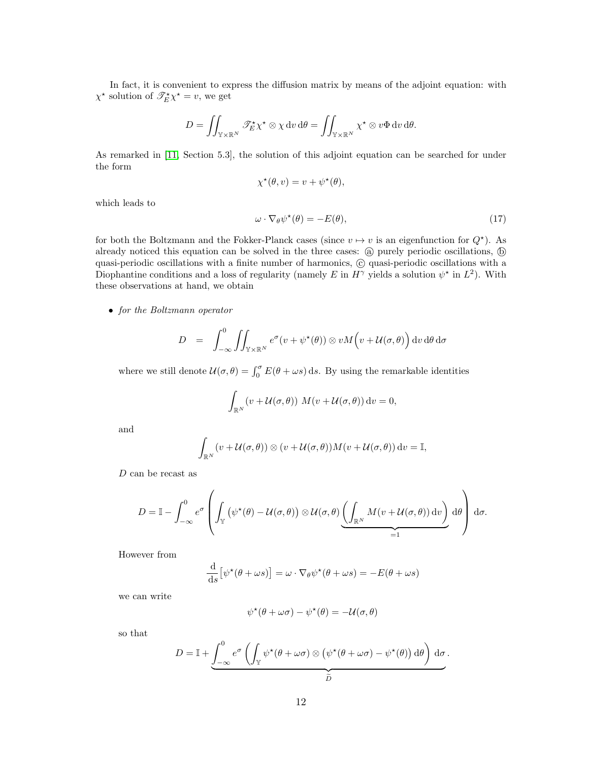In fact, it is convenient to express the diffusion matrix by means of the adjoint equation: with  $\chi^*$  solution of  $\mathscr{T}_{E}^{\star}\chi^* = v$ , we get

$$
D = \iint_{\mathbb{Y} \times \mathbb{R}^N} \mathscr{T}_{E}^{\star} \chi^{\star} \otimes \chi \, dv \, d\theta = \iint_{\mathbb{Y} \times \mathbb{R}^N} \chi^{\star} \otimes v \Phi \, dv \, d\theta.
$$

As remarked in [\[11,](#page-37-7) Section 5.3], the solution of this adjoint equation can be searched for under the form

$$
\chi^{\star}(\theta, v) = v + \psi^{\star}(\theta),
$$

which leads to

<span id="page-11-0"></span>
$$
\omega \cdot \nabla_{\theta} \psi^{\star}(\theta) = -E(\theta), \qquad (17)
$$

for both the Boltzmann and the Fokker-Planck cases (since  $v \mapsto v$  is an eigenfunction for  $Q^*$ ). As already noticed this equation can be solved in the three cases: (a) purely periodic oscillations, (b) quasi-periodic oscillations with a finite number of harmonics,  $\odot$  quasi-periodic oscillations with a Diophantine conditions and a loss of regularity (namely E in  $H^{\gamma}$  yields a solution  $\psi^*$  in  $L^2$ ). With these observations at hand, we obtain

• for the Boltzmann operator

$$
D = \int_{-\infty}^{0} \iint_{\mathbb{Y} \times \mathbb{R}^N} e^{\sigma}(v + \psi^{\star}(\theta)) \otimes v M(v + \mathcal{U}(\sigma, \theta)) \, dv \, d\theta \, d\sigma
$$

where we still denote  $\mathcal{U}(\sigma,\theta) = \int_0^{\sigma} E(\theta + \omega s) ds$ . By using the remarkable identities

$$
\int_{\mathbb{R}^N} (v + \mathcal{U}(\sigma, \theta)) M(v + \mathcal{U}(\sigma, \theta)) dv = 0,
$$

and

$$
\int_{\mathbb{R}^N} (v + \mathcal{U}(\sigma, \theta)) \otimes (v + \mathcal{U}(\sigma, \theta)) M(v + \mathcal{U}(\sigma, \theta)) dv = \mathbb{I},
$$

D can be recast as

$$
D = \mathbb{I} - \int_{-\infty}^{0} e^{\sigma} \left( \int_{\mathbb{Y}} \left( \psi^{\star}(\theta) - \mathcal{U}(\sigma, \theta) \right) \otimes \mathcal{U}(\sigma, \theta) \underbrace{\left( \int_{\mathbb{R}^{N}} M(v + \mathcal{U}(\sigma, \theta)) dv \right)}_{=1} d\theta \right) d\sigma.
$$

However from

$$
\frac{\mathrm{d}}{\mathrm{d}s} \left[ \psi^{\star}(\theta + \omega s) \right] = \omega \cdot \nabla_{\theta} \psi^{\star}(\theta + \omega s) = -E(\theta + \omega s)
$$

we can write

$$
\psi^{\star}(\theta + \omega \sigma) - \psi^{\star}(\theta) = -\mathcal{U}(\sigma, \theta)
$$

so that

$$
D = \mathbb{I} + \underbrace{\int_{-\infty}^{0} e^{\sigma} \left( \int_{\mathbb{Y}} \psi^{\star}(\theta + \omega \sigma) \otimes (\psi^{\star}(\theta + \omega \sigma) - \psi^{\star}(\theta)) d\theta \right) d\sigma}_{\widetilde{D}}.
$$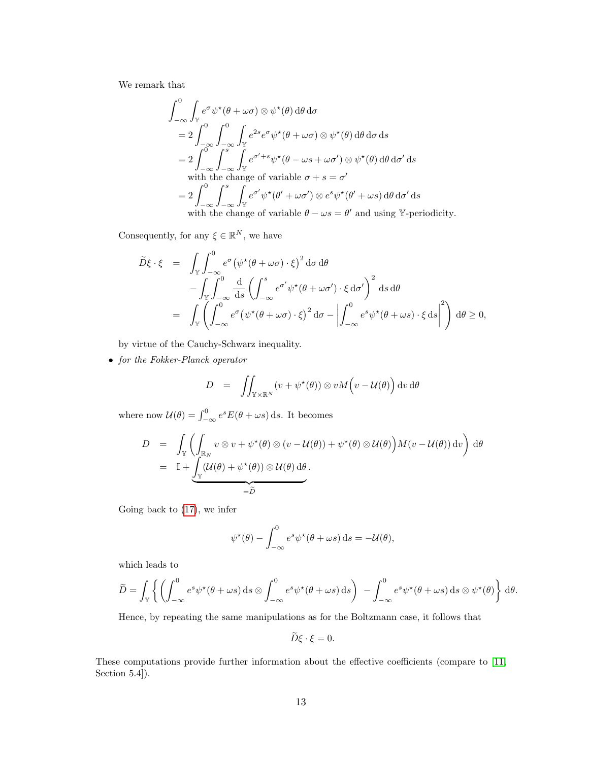We remark that

$$
\int_{-\infty}^{0} \int_{\mathbb{Y}} e^{\sigma} \psi^{\star}(\theta + \omega \sigma) \otimes \psi^{\star}(\theta) d\theta d\sigma
$$
\n
$$
= 2 \int_{-\infty}^{0} \int_{-\infty}^{0} \int_{\mathbb{Y}} e^{2s} e^{\sigma} \psi^{\star}(\theta + \omega \sigma) \otimes \psi^{\star}(\theta) d\theta d\sigma ds
$$
\n
$$
= 2 \int_{-\infty}^{0} \int_{-\infty}^{s} \int_{\mathbb{Y}} e^{\sigma' + s} \psi^{\star}(\theta - \omega s + \omega \sigma') \otimes \psi^{\star}(\theta) d\theta d\sigma' ds
$$
\nwith the change of variable  $\sigma + s = \sigma'$   
\n
$$
= 2 \int_{-\infty}^{0} \int_{-\infty}^{s} \int_{\mathbb{Y}} e^{\sigma'} \psi^{\star}(\theta' + \omega \sigma') \otimes e^{s} \psi^{\star}(\theta' + \omega s) d\theta d\sigma' ds
$$
\nwith the change of variable  $\theta - \omega s = \theta'$  and using  $\mathbb{Y}$ -periodicity.

Consequently, for any  $\xi \in \mathbb{R}^N$ , we have

$$
\tilde{D}\xi \cdot \xi = \int_{\mathbb{Y}} \int_{-\infty}^{0} e^{\sigma} (\psi^{\star}(\theta + \omega \sigma) \cdot \xi)^{2} d\sigma d\theta \n- \int_{\mathbb{Y}} \int_{-\infty}^{0} \frac{d}{ds} \left( \int_{-\infty}^{s} e^{\sigma'} \psi^{\star}(\theta + \omega \sigma') \cdot \xi d\sigma' \right)^{2} ds d\theta \n= \int_{\mathbb{Y}} \left( \int_{-\infty}^{0} e^{\sigma} (\psi^{\star}(\theta + \omega \sigma) \cdot \xi)^{2} d\sigma - \left| \int_{-\infty}^{0} e^{s} \psi^{\star}(\theta + \omega s) \cdot \xi d s \right|^{2} \right) d\theta \ge 0,
$$

by virtue of the Cauchy-Schwarz inequality.

• for the Fokker-Planck operator

$$
D = \iint_{\mathbb{Y} \times \mathbb{R}^N} (v + \psi^\star(\theta)) \otimes v M(v - \mathcal{U}(\theta)) \, dv \, d\theta
$$

where now  $\mathcal{U}(\theta) = \int_{-\infty}^{0} e^{s} E(\theta + \omega s) \, ds$ . It becomes

$$
D = \int_{\mathbb{Y}} \left( \int_{\mathbb{R}_N} v \otimes v + \psi^{\star}(\theta) \otimes (v - \mathcal{U}(\theta)) + \psi^{\star}(\theta) \otimes \mathcal{U}(\theta) \right) M(v - \mathcal{U}(\theta)) dv d\theta
$$
  
=  $\mathbb{I} + \underbrace{\int_{\mathbb{Y}} (\mathcal{U}(\theta) + \psi^{\star}(\theta)) \otimes \mathcal{U}(\theta) d\theta}_{= \widetilde{D}}.$ 

Going back to [\(17\)](#page-11-0), we infer

$$
\psi^{\star}(\theta) - \int_{-\infty}^{0} e^{s} \psi^{\star}(\theta + \omega s) ds = -\mathcal{U}(\theta),
$$

which leads to

$$
\widetilde{D} = \int_{\mathbb{Y}} \left\{ \left( \int_{-\infty}^{0} e^s \psi^{\star}(\theta + \omega s) \,ds \otimes \int_{-\infty}^{0} e^s \psi^{\star}(\theta + \omega s) \,ds \right) \right. \\ \left. - \int_{-\infty}^{0} e^s \psi^{\star}(\theta + \omega s) \,ds \otimes \psi^{\star}(\theta) \right\} \,d\theta.
$$

Hence, by repeating the same manipulations as for the Boltzmann case, it follows that

$$
D\xi \cdot \xi = 0.
$$

These computations provide further information about the effective coefficients (compare to [\[11,](#page-37-7) Section 5.4]).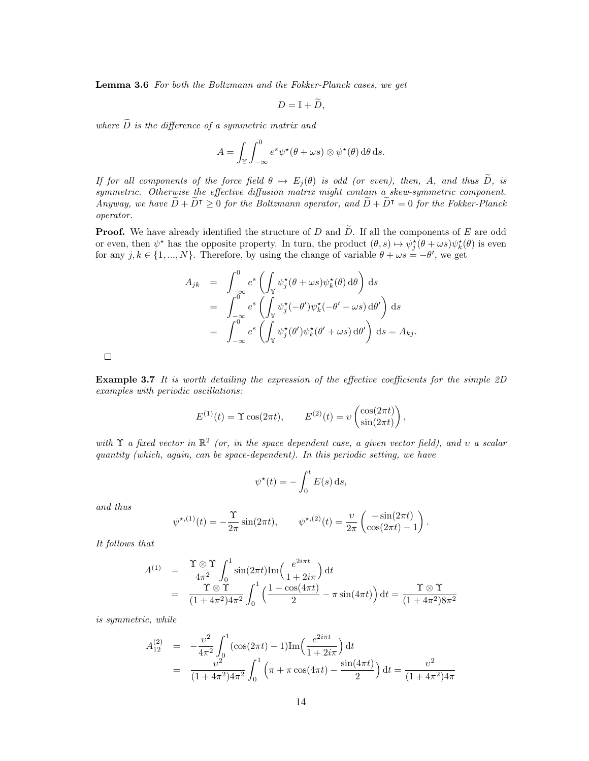Lemma 3.6 For both the Boltzmann and the Fokker-Planck cases, we get

$$
D=\mathbb{I}+\widetilde{D},
$$

where  $\widetilde{D}$  is the difference of a symmetric matrix and

$$
A = \int_{\mathbb{Y}} \int_{-\infty}^{0} e^{s} \psi^{\star}(\theta + \omega s) \otimes \psi^{\star}(\theta) d\theta ds.
$$

If for all components of the force field  $\theta \mapsto E_j(\theta)$  is odd (or even), then, A, and thus  $\widetilde{D}$ , is symmetric. Otherwise the effective diffusion matrix might contain a skew-symmetric component. Anyway, we have  $\widetilde{D} + \widetilde{D}^{\intercal} \geq 0$  for the Boltzmann operator, and  $\widetilde{D} + \widetilde{D}^{\intercal} = 0$  for the Fokker-Planck operator.

**Proof.** We have already identified the structure of D and  $\tilde{D}$ . If all the components of E are odd or even, then  $\psi^*$  has the opposite property. In turn, the product  $(\theta, s) \mapsto \psi_j^*(\theta + \omega s) \psi_k^*(\theta)$  is even for any  $j, k \in \{1, ..., N\}$ . Therefore, by using the change of variable  $\theta + \omega s = -\theta'$ , we get

$$
A_{jk} = \int_{-\infty}^{0} e^{s} \left( \int_{\mathbb{Y}} \psi_{j}^{\star}(\theta + \omega s) \psi_{k}^{\star}(\theta) d\theta \right) ds
$$
  
\n
$$
= \int_{-\infty}^{0} e^{s} \left( \int_{\mathbb{Y}} \psi_{j}^{\star}(-\theta') \psi_{k}^{\star}(-\theta' - \omega s) d\theta' \right) ds
$$
  
\n
$$
= \int_{-\infty}^{0} e^{s} \left( \int_{\mathbb{Y}} \psi_{j}^{\star}(\theta') \psi_{k}^{\star}(\theta' + \omega s) d\theta' \right) ds = A_{kj}.
$$

 $\Box$ 

Example 3.7 It is worth detailing the expression of the effective coefficients for the simple 2D examples with periodic oscillations:

$$
E^{(1)}(t) = \Upsilon \cos(2\pi t), \qquad E^{(2)}(t) = \nu \left( \frac{\cos(2\pi t)}{\sin(2\pi t)} \right),
$$

with  $\Upsilon$  a fixed vector in  $\mathbb{R}^2$  (or, in the space dependent case, a given vector field), and v a scalar quantity (which, again, can be space-dependent). In this periodic setting, we have

$$
\psi^*(t) = -\int_0^t E(s) \, \mathrm{d} s,
$$

and thus

$$
\psi^{*,(1)}(t) = -\frac{\Upsilon}{2\pi} \sin(2\pi t), \qquad \psi^{*,(2)}(t) = \frac{\nu}{2\pi} \begin{pmatrix} -\sin(2\pi t) \\ \cos(2\pi t) - 1 \end{pmatrix}.
$$

It follows that

$$
A^{(1)} = \frac{\Upsilon \otimes \Upsilon}{4\pi^2} \int_0^1 \sin(2\pi t) \mathrm{Im}\left(\frac{e^{2i\pi t}}{1+2i\pi}\right) dt
$$
  
= 
$$
\frac{\Upsilon \otimes \Upsilon}{(1+4\pi^2)4\pi^2} \int_0^1 \left(\frac{1-\cos(4\pi t)}{2} - \pi \sin(4\pi t)\right) dt = \frac{\Upsilon \otimes \Upsilon}{(1+4\pi^2)8\pi^2}
$$

is symmetric, while

$$
A_{12}^{(2)} = -\frac{v^2}{4\pi^2} \int_0^1 (\cos(2\pi t) - 1) \text{Im}\left(\frac{e^{2i\pi t}}{1 + 2i\pi}\right) dt
$$
  
= 
$$
\frac{v^2}{(1 + 4\pi^2)4\pi^2} \int_0^1 \left(\pi + \pi \cos(4\pi t) - \frac{\sin(4\pi t)}{2}\right) dt = \frac{v^2}{(1 + 4\pi^2)4\pi}
$$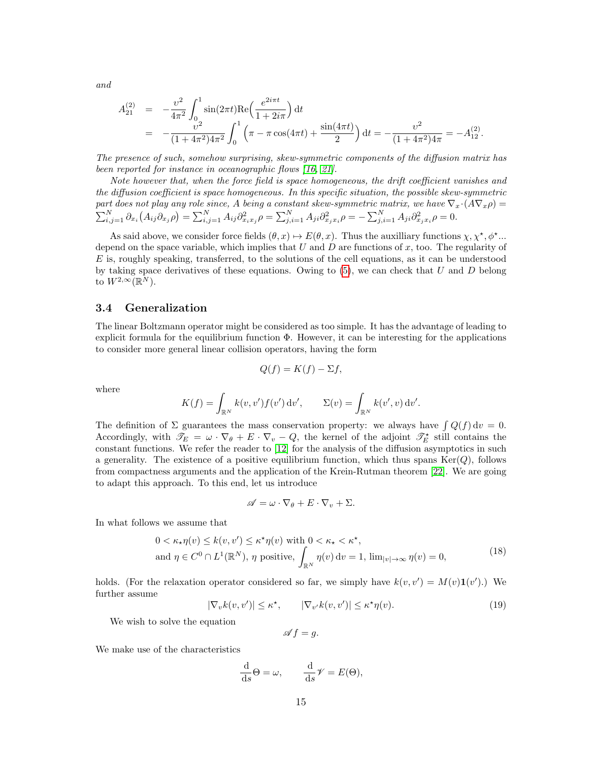and

$$
A_{21}^{(2)} = -\frac{v^2}{4\pi^2} \int_0^1 \sin(2\pi t) \text{Re}\left(\frac{e^{2i\pi t}}{1+2i\pi}\right) dt
$$
  
= 
$$
-\frac{v^2}{(1+4\pi^2)4\pi^2} \int_0^1 \left(\pi - \pi \cos(4\pi t) + \frac{\sin(4\pi t)}{2}\right) dt = -\frac{v^2}{(1+4\pi^2)4\pi} = -A_{12}^{(2)}.
$$

The presence of such, somehow surprising, skew-symmetric components of the diffusion matrix has been reported for instance in oceanographic flows [\[16,](#page-37-9) [21\]](#page-37-10).

Note however that, when the force field is space homogeneous, the drift coefficient vanishes and the diffusion coefficient is space homogeneous. In this specific situation, the possible skew-symmetric part does not play any role since, A being a constant skew-symmetric matrix, we have  $\nabla_x \cdot (A \nabla_x \rho) =$  $\sum_{i,j=1}^{N} \partial_{x_i} (A_{ij} \partial_{x_j} \rho) = \sum_{i,j=1}^{N} A_{ij} \partial_{x_i x_j}^2 \rho = \sum_{j,i=1}^{N} A_{ji} \partial_{x_j x_i}^2 \rho = - \sum_{j,i=1}^{N} A_{ji} \partial_{x_j x_i}^2 \rho = 0.$ 

As said above, we consider force fields  $(\theta, x) \mapsto E(\theta, x)$ . Thus the auxilliary functions  $\chi, \chi^*, \phi^*$ ... depend on the space variable, which implies that  $U$  and  $D$  are functions of  $x$ , too. The regularity of  $E$  is, roughly speaking, transferred, to the solutions of the cell equations, as it can be understood by taking space derivatives of these equations. Owing to  $(5)$ , we can check that U and D belong to  $W^{2,\infty}(\mathbb{R}^N)$ .

#### <span id="page-14-2"></span>3.4 Generalization

The linear Boltzmann operator might be considered as too simple. It has the advantage of leading to explicit formula for the equilibrium function Φ. However, it can be interesting for the applications to consider more general linear collision operators, having the form

$$
Q(f) = K(f) - \Sigma f,
$$

where

$$
K(f) = \int_{\mathbb{R}^N} k(v, v') f(v') \, \mathrm{d}v', \qquad \Sigma(v) = \int_{\mathbb{R}^N} k(v', v) \, \mathrm{d}v'.
$$

The definition of  $\Sigma$  guarantees the mass conservation property: we always have  $\int Q(f) dv = 0$ . Accordingly, with  $\mathscr{T}_E = \omega \cdot \nabla_{\theta} + E \cdot \nabla_{\theta} - Q$ , the kernel of the adjoint  $\mathscr{T}_E^{\star}$  still contains the constant functions. We refer the reader to [\[12\]](#page-37-11) for the analysis of the diffusion asymptotics in such a generality. The existence of a positive equilibrium function, which thus spans Ker( $Q$ ), follows from compactness arguments and the application of the Krein-Rutman theorem [\[22\]](#page-37-12). We are going to adapt this approach. To this end, let us introduce

$$
\mathscr{A} = \omega \cdot \nabla_{\theta} + E \cdot \nabla_{v} + \Sigma.
$$

In what follows we assume that

<span id="page-14-0"></span>
$$
0 < \kappa_{\star} \eta(v) \le k(v, v') \le \kappa^{\star} \eta(v) \text{ with } 0 < \kappa_{\star} < \kappa^{\star},
$$
\n
$$
\text{and } \eta \in C^{0} \cap L^{1}(\mathbb{R}^{N}), \eta \text{ positive, } \int_{\mathbb{R}^{N}} \eta(v) \, \mathrm{d}v = 1, \lim_{|v| \to \infty} \eta(v) = 0,
$$
\n
$$
(18)
$$

holds. (For the relaxation operator considered so far, we simply have  $k(v, v') = M(v) \mathbf{1}(v')$ .) We further assume

<span id="page-14-1"></span>
$$
|\nabla_v k(v, v')| \le \kappa^*, \qquad |\nabla_{v'} k(v, v')| \le \kappa^* \eta(v). \tag{19}
$$

We wish to solve the equation

$$
\mathscr{A}f=g.
$$

We make use of the characteristics

$$
\frac{\mathrm{d}}{\mathrm{d}s}\Theta = \omega, \qquad \frac{\mathrm{d}}{\mathrm{d}s}\mathscr{V} = E(\Theta),
$$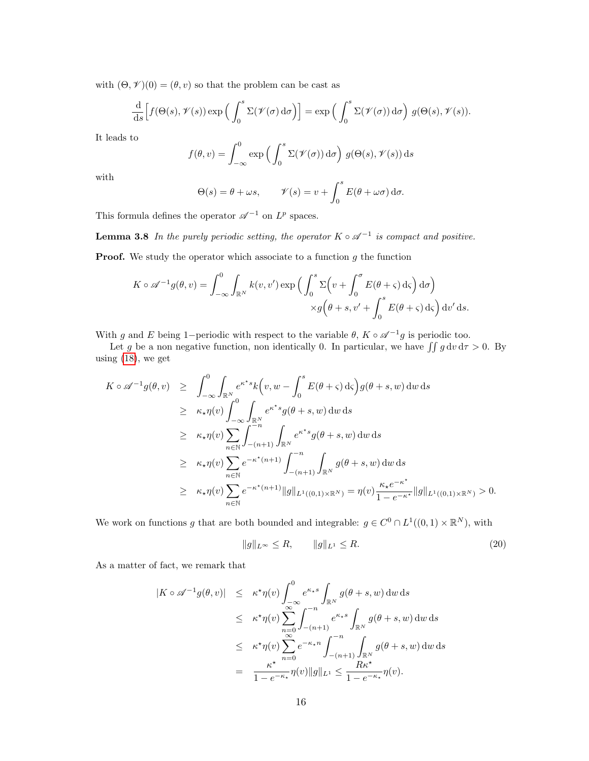with  $(\Theta, \mathcal{V})(0) = (\theta, v)$  so that the problem can be cast as

$$
\frac{\mathrm{d}}{\mathrm{d}s}\Big[f(\Theta(s),\mathscr{V}(s))\exp\Big(\int_0^s \Sigma(\mathscr{V}(\sigma)\,\mathrm{d}\sigma\Big)\Big] = \exp\Big(\int_0^s \Sigma(\mathscr{V}(\sigma))\,\mathrm{d}\sigma\Big) \; g(\Theta(s),\mathscr{V}(s)).
$$

It leads to

$$
f(\theta, v) = \int_{-\infty}^{0} \exp\left(\int_{0}^{s} \Sigma(\mathcal{V}(\sigma)) d\sigma\right) g(\Theta(s), \mathcal{V}(s)) ds
$$

with

$$
\Theta(s) = \theta + \omega s, \qquad \mathcal{V}(s) = v + \int_0^s E(\theta + \omega \sigma) d\sigma.
$$

This formula defines the operator  $\mathscr{A}^{-1}$  on  $L^p$  spaces.

**Lemma 3.8** In the purely periodic setting, the operator  $K \circ \mathscr{A}^{-1}$  is compact and positive.

**Proof.** We study the operator which associate to a function  $g$  the function

$$
K \circ \mathscr{A}^{-1}g(\theta, v) = \int_{-\infty}^{0} \int_{\mathbb{R}^{N}} k(v, v') \exp\left(\int_{0}^{s} \Sigma \left(v + \int_{0}^{\sigma} E(\theta + \varsigma) d\varsigma\right) d\sigma\right) \times g\left(\theta + s, v' + \int_{0}^{s} E(\theta + \varsigma) d\varsigma\right) dv' ds.
$$

With g and E being 1–periodic with respect to the variable  $\theta$ ,  $K \circ \mathscr{A}^{-1}g$  is periodic too.

Let g be a non negative function, non identically 0. In particular, we have  $\iint g \, dv \, d\tau > 0$ . By using [\(18\)](#page-14-0), we get

$$
K \circ \mathscr{A}^{-1}g(\theta, v) \geq \int_{-\infty}^{0} \int_{\mathbb{R}^{N}} e^{\kappa^{*} s} k(v, w - \int_{0}^{s} E(\theta + \varsigma) d\varsigma) g(\theta + s, w) dw ds
$$
  
\n
$$
\geq \kappa_{\star} \eta(v) \int_{-\infty}^{0} \int_{\mathbb{R}^{N}} e^{\kappa^{*} s} g(\theta + s, w) dw ds
$$
  
\n
$$
\geq \kappa_{\star} \eta(v) \sum_{n \in \mathbb{N}} \int_{-(n+1)}^{-n} \int_{\mathbb{R}^{N}} e^{\kappa^{*} s} g(\theta + s, w) dw ds
$$
  
\n
$$
\geq \kappa_{\star} \eta(v) \sum_{n \in \mathbb{N}} e^{-\kappa^{*}(n+1)} \int_{-(n+1)}^{-n} \int_{\mathbb{R}^{N}} g(\theta + s, w) dw ds
$$
  
\n
$$
\geq \kappa_{\star} \eta(v) \sum_{n \in \mathbb{N}} e^{-\kappa^{*}(n+1)} ||g||_{L^{1}((0,1) \times \mathbb{R}^{N})} = \eta(v) \frac{\kappa_{\star} e^{-\kappa^{*}}}{1 - e^{-\kappa^{*}}} ||g||_{L^{1}((0,1) \times \mathbb{R}^{N})} > 0.
$$

We work on functions g that are both bounded and integrable:  $g \in C^0 \cap L^1((0,1) \times \mathbb{R}^N)$ , with

<span id="page-15-0"></span>
$$
||g||_{L^{\infty}} \le R, \qquad ||g||_{L^{1}} \le R. \tag{20}
$$

As a matter of fact, we remark that

$$
|K \circ \mathscr{A}^{-1}g(\theta, v)| \leq \kappa^{\star}\eta(v)\int_{-\infty}^{0} e^{\kappa_{\star}s}\int_{\mathbb{R}^{N}}g(\theta+s, w) dw ds
$$
  
\n
$$
\leq \kappa^{\star}\eta(v)\sum_{n=0}^{\infty}\int_{-(n+1)}^{-n} e^{\kappa_{\star}s}\int_{\mathbb{R}^{N}}g(\theta+s, w) dw ds
$$
  
\n
$$
\leq \kappa^{\star}\eta(v)\sum_{n=0}^{\infty} e^{-\kappa_{\star}n}\int_{-(n+1)}^{-n}\int_{\mathbb{R}^{N}}g(\theta+s, w) dw ds
$$
  
\n
$$
= \frac{\kappa^{\star}}{1-e^{-\kappa_{\star}}}\eta(v)||g||_{L^{1}} \leq \frac{R\kappa^{\star}}{1-e^{-\kappa_{\star}}}\eta(v).
$$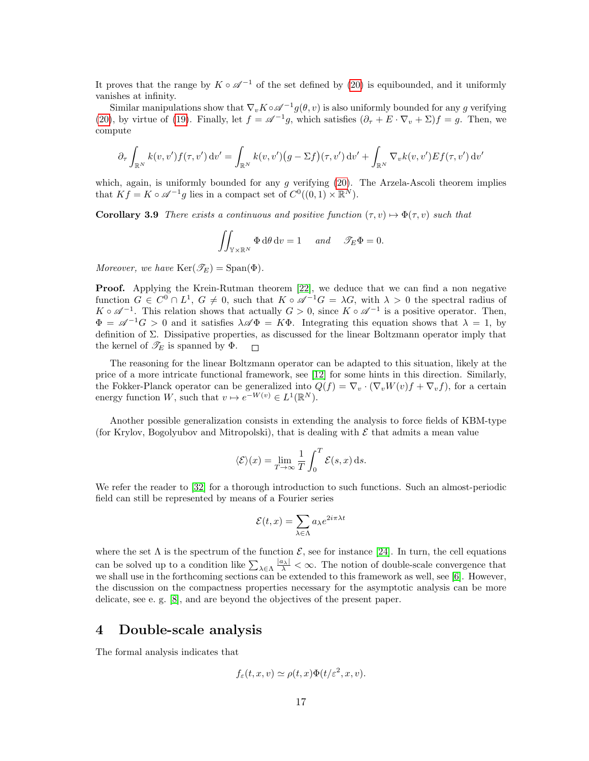It proves that the range by  $K \circ \mathscr{A}^{-1}$  of the set defined by [\(20\)](#page-15-0) is equibounded, and it uniformly vanishes at infinity.

Similar manipulations show that  $\nabla_v K \circ \mathscr{A}^{-1} g(\theta, v)$  is also uniformly bounded for any g verifying [\(20\)](#page-15-0), by virtue of [\(19\)](#page-14-1). Finally, let  $f = \mathscr{A}^{-1}g$ , which satisfies  $(\partial_{\tau} + E \cdot \nabla_{v} + \Sigma)f = g$ . Then, we compute

$$
\partial_{\tau} \int_{\mathbb{R}^N} k(v, v') f(\tau, v') dv' = \int_{\mathbb{R}^N} k(v, v') (g - \Sigma f)(\tau, v') dv' + \int_{\mathbb{R}^N} \nabla_v k(v, v') Ef(\tau, v') dv'
$$

which, again, is uniformly bounded for any  $g$  verifying  $(20)$ . The Arzela-Ascoli theorem implies that  $Kf = K \circ \mathscr{A}^{-1}g$  lies in a compact set of  $C^0((0,1) \times \mathbb{R}^N)$ .

Corollary 3.9 There exists a continuous and positive function  $(\tau, v) \mapsto \Phi(\tau, v)$  such that

$$
\iint_{\mathbb{Y}\times\mathbb{R}^N}\Phi\,\mathrm{d}\theta\,\mathrm{d}v=1 \quad \text{and} \quad \mathscr{T}_E\Phi=0.
$$

Moreover, we have  $\text{Ker}(\mathscr{T}_E) = \text{Span}(\Phi)$ .

**Proof.** Applying the Krein-Rutman theorem [\[22\]](#page-37-12), we deduce that we can find a non negative function  $G \in C^0 \cap L^1$ ,  $G \neq 0$ , such that  $K \circ \mathscr{A}^{-1}G = \lambda G$ , with  $\lambda > 0$  the spectral radius of  $K \circ \mathscr{A}^{-1}$ . This relation shows that actually  $G > 0$ , since  $K \circ \mathscr{A}^{-1}$  is a positive operator. Then,  $\Phi = \mathscr{A}^{-1}G > 0$  and it satisfies  $\lambda \mathscr{A} \Phi = K \Phi$ . Integrating this equation shows that  $\lambda = 1$ , by definition of Σ. Dissipative properties, as discussed for the linear Boltzmann operator imply that the kernel of  $\mathscr{T}_E$  is spanned by  $\Phi$ .  $\Box$ 

The reasoning for the linear Boltzmann operator can be adapted to this situation, likely at the price of a more intricate functional framework, see [\[12\]](#page-37-11) for some hints in this direction. Similarly, the Fokker-Planck operator can be generalized into  $Q(f) = \nabla_v \cdot (\nabla_v W(v) f + \nabla_v f)$ , for a certain energy function W, such that  $v \mapsto e^{-W(v)} \in L^1(\mathbb{R}^N)$ .

Another possible generalization consists in extending the analysis to force fields of KBM-type (for Krylov, Bogolyubov and Mitropolski), that is dealing with  $\mathcal E$  that admits a mean value

$$
\langle \mathcal{E} \rangle(x) = \lim_{T \to \infty} \frac{1}{T} \int_0^T \mathcal{E}(s, x) \,ds.
$$

We refer the reader to [\[32\]](#page-38-7) for a thorough introduction to such functions. Such an almost-periodic field can still be represented by means of a Fourier series

$$
\mathcal{E}(t,x) = \sum_{\lambda \in \Lambda} a_{\lambda} e^{2i\pi\lambda t}
$$

where the set  $\Lambda$  is the spectrum of the function  $\mathcal{E}$ , see for instance [\[24\]](#page-37-13). In turn, the cell equations can be solved up to a condition like  $\sum_{\lambda \in \Lambda} \frac{|a_{\lambda}|}{\lambda} < \infty$ . The notion of double-scale convergence that we shall use in the forthcoming sections can be extended to this framework as well, see [\[6\]](#page-37-14). However, the discussion on the compactness properties necessary for the asymptotic analysis can be more delicate, see e. g. [\[8\]](#page-37-15), and are beyond the objectives of the present paper.

## <span id="page-16-0"></span>4 Double-scale analysis

The formal analysis indicates that

$$
f_{\varepsilon}(t, x, v) \simeq \rho(t, x) \Phi(t/\varepsilon^2, x, v).
$$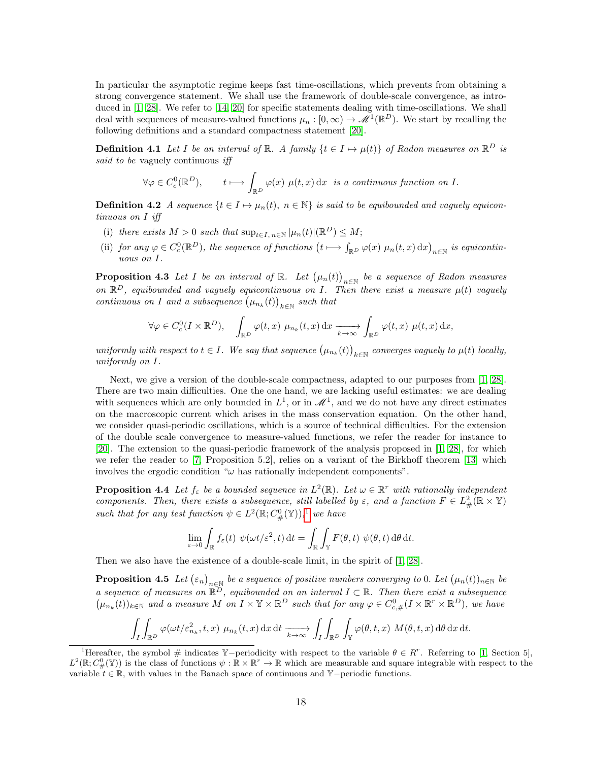In particular the asymptotic regime keeps fast time-oscillations, which prevents from obtaining a strong convergence statement. We shall use the framework of double-scale convergence, as introduced in [\[1,](#page-36-0) [28\]](#page-38-6). We refer to [\[14,](#page-37-5) [20\]](#page-37-16) for specific statements dealing with time-oscillations. We shall deal with sequences of measure-valued functions  $\mu_n : [0, \infty) \to \mathcal{M}^1(\mathbb{R}^D)$ . We start by recalling the following definitions and a standard compactness statement [\[20\]](#page-37-16).

**Definition 4.1** Let I be an interval of  $\mathbb{R}$ . A family  $\{t \in I \mapsto \mu(t)\}$  of Radon measures on  $\mathbb{R}^D$  is said to be vaguely continuous iff

$$
\forall \varphi \in C_c^0(\mathbb{R}^D), \qquad t \longmapsto \int_{\mathbb{R}^D} \varphi(x) \ \mu(t, x) \, dx \text{ is a continuous function on } I.
$$

**Definition 4.2** A sequence  $\{t \in I \mapsto \mu_n(t), n \in \mathbb{N}\}\$ is said to be equibounded and vaguely equicontinuous on I iff

- (i) there exists  $M > 0$  such that  $\sup_{t \in I, n \in \mathbb{N}} |\mu_n(t)| (\mathbb{R}^D) \leq M;$
- (ii) for any  $\varphi \in C_c^0(\mathbb{R}^D)$ , the sequence of functions  $(t \mapsto \int_{\mathbb{R}^D} \varphi(x) \mu_n(t,x) dx)_{n \in \mathbb{N}}$  is equicontinuous on I.

<span id="page-17-0"></span>**Proposition 4.3** Let I be an interval of  $\mathbb{R}$ . Let  $(\mu_n(t))_{n\in\mathbb{N}}$  be a sequence of Radon measures on  $\mathbb{R}^D$ , equibounded and vaguely equicontinuous on I. Then there exist a measure  $\mu(t)$  vaguely continuous on I and a subsequence  $(\mu_{n_k}(t))_{k \in \mathbb{N}}$  such that

$$
\forall \varphi \in C_c^0(I \times \mathbb{R}^D), \quad \int_{\mathbb{R}^D} \varphi(t, x) \mu_{n_k}(t, x) dx \xrightarrow[k \to \infty]{} \int_{\mathbb{R}^D} \varphi(t, x) \mu(t, x) dx,
$$

uniformly with respect to  $t \in I$ . We say that sequence  $(\mu_{n_k}(t))_{k \in \mathbb{N}}$  converges vaguely to  $\mu(t)$  locally, uniformly on I.

Next, we give a version of the double-scale compactness, adapted to our purposes from [\[1,](#page-36-0) [28\]](#page-38-6). There are two main difficulties. One the one hand, we are lacking useful estimates: we are dealing with sequences which are only bounded in  $L^1$ , or in  $\mathcal{M}^1$ , and we do not have any direct estimates on the macroscopic current which arises in the mass conservation equation. On the other hand, we consider quasi-periodic oscillations, which is a source of technical difficulties. For the extension of the double scale convergence to measure-valued functions, we refer the reader for instance to [\[20\]](#page-37-16). The extension to the quasi-periodic framework of the analysis proposed in [\[1,](#page-36-0) [28\]](#page-38-6), for which we refer the reader to [\[7,](#page-37-8) Proposition 5.2], relies on a variant of the Birkhoff theorem [\[13\]](#page-37-17) which involves the ergodic condition " $\omega$  has rationally independent components".

**Proposition 4.4** Let  $f_{\varepsilon}$  be a bounded sequence in  $L^2(\mathbb{R})$ . Let  $\omega \in \mathbb{R}^r$  with rationally independent components. Then, there exists a subsequence, still labelled by  $\varepsilon$ , and a function  $F \in L^2_{\#}(\mathbb{R} \times \mathbb{Y})$ such that for any test function  $\psi \in L^2(\mathbb{R}; C^0_\#(\mathbb{Y}))$ ,<sup>[1](#page-17-2)</sup> we have

$$
\lim_{\varepsilon \to 0} \int_{\mathbb{R}} f_{\varepsilon}(t) \ \psi(\omega t/\varepsilon^2, t) \, \mathrm{d}t = \int_{\mathbb{R}} \int_{\mathbb{Y}} F(\theta, t) \ \psi(\theta, t) \, \mathrm{d}\theta \, \mathrm{d}t.
$$

<span id="page-17-1"></span>Then we also have the existence of a double-scale limit, in the spirit of [\[1,](#page-36-0) [28\]](#page-38-6).

**Proposition 4.5** Let  $(\varepsilon_n)_{n\in\mathbb{N}}$  be a sequence of positive numbers converging to 0. Let  $(\mu_n(t))_{n\in\mathbb{N}}$  be a sequence of measures on  $\mathbb{R}^D$ , equibounded on an interval  $I \subset \mathbb{R}$ . Then there exist a subsequence  $(\mu_{n_k}(t))_{k\in\mathbb{N}}$  and a measure M on  $I\times\mathbb{Y}\times\mathbb{R}^D$  such that for any  $\varphi\in C^0_{c,\#}(I\times\mathbb{R}^r\times\mathbb{R}^D)$ , we have

$$
\int_I \int_{\mathbb{R}^D} \varphi(\omega t/\varepsilon_{n_k}^2, t, x) \mu_{n_k}(t, x) dx dt \xrightarrow[k \to \infty]{} \int_I \int_{\mathbb{R}^D} \int_{\mathbb{Y}} \varphi(\theta, t, x) M(\theta, t, x) d\theta dx dt.
$$

<span id="page-17-2"></span><sup>&</sup>lt;sup>1</sup>Hereafter, the symbol # indicates Y-periodicity with respect to the variable  $\theta \in R^r$ . Referring to [\[1,](#page-36-0) Section 5],  $L^2(\mathbb{R}; C^0_\#(\mathbb{Y}))$  is the class of functions  $\psi : \mathbb{R} \times \mathbb{R}^r \to \mathbb{R}$  which are measurable and square integrable with respect to the variable  $t \in \mathbb{R}$ , with values in the Banach space of continuous and Y−periodic functions.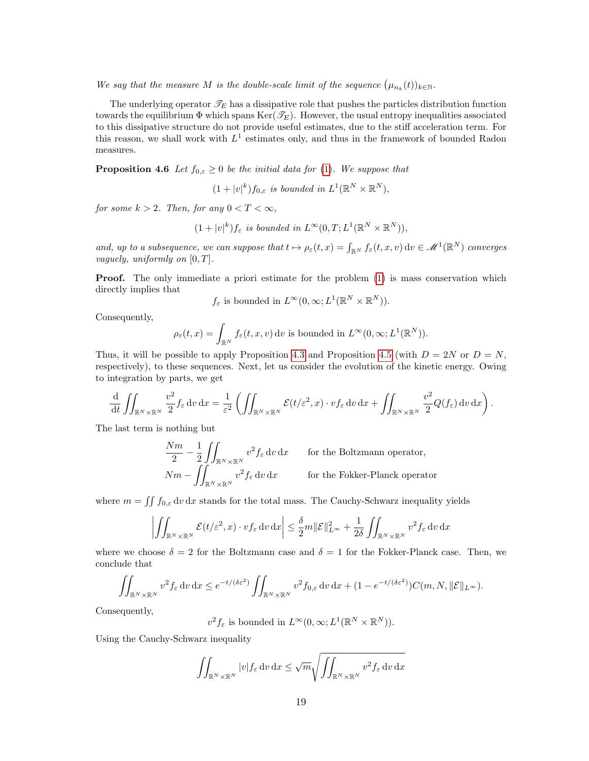We say that the measure M is the double-scale limit of the sequence  $(\mu_{n_k}(t))_{k\in\mathbb{N}}$ .

The underlying operator  $\mathcal{T}_E$  has a dissipative role that pushes the particles distribution function towards the equilibrium  $\Phi$  which spans Ker( $\mathcal{T}_E$ ). However, the usual entropy inequalities associated to this dissipative structure do not provide useful estimates, due to the stiff acceleration term. For this reason, we shall work with  $L^1$  estimates only, and thus in the framework of bounded Radon measures.

**Proposition 4.6** Let  $f_{0,\varepsilon} \geq 0$  be the initial data for [\(1\)](#page-0-0). We suppose that

 $(1+|v|^k)f_{0,\varepsilon}$  is bounded in  $L^1(\mathbb{R}^N\times\mathbb{R}^N)$ ,

for some  $k > 2$ . Then, for any  $0 < T < \infty$ ,

$$
(1+|v|^k)f_{\varepsilon} \text{ is bounded in } L^{\infty}(0,T;L^1(\mathbb{R}^N\times\mathbb{R}^N)),
$$

and, up to a subsequence, we can suppose that  $t \mapsto \rho_{\varepsilon}(t, x) = \int_{\mathbb{R}^N} f_{\varepsilon}(t, x, v) dv \in \mathcal{M}^1(\mathbb{R}^N)$  converges vaguely, uniformly on  $[0, T]$ .

**Proof.** The only immediate a priori estimate for the problem [\(1\)](#page-0-0) is mass conservation which directly implies that

 $f_{\varepsilon}$  is bounded in  $L^{\infty}(0,\infty; L^{1}(\mathbb{R}^{N} \times \mathbb{R}^{N})).$ 

Consequently,

$$
\rho_{\varepsilon}(t,x) = \int_{\mathbb{R}^N} f_{\varepsilon}(t,x,v) dv \text{ is bounded in } L^{\infty}(0,\infty; L^1(\mathbb{R}^N)).
$$

Thus, it will be possible to apply Proposition [4.3](#page-17-0) and Proposition [4.5](#page-17-1) (with  $D = 2N$  or  $D = N$ , respectively), to these sequences. Next, let us consider the evolution of the kinetic energy. Owing to integration by parts, we get

$$
\frac{\mathrm{d}}{\mathrm{d}t} \iint_{\mathbb{R}^N \times \mathbb{R}^N} \frac{v^2}{2} f_{\varepsilon} \, dv \, dx = \frac{1}{\varepsilon^2} \left( \iint_{\mathbb{R}^N \times \mathbb{R}^N} \mathcal{E}(t/\varepsilon^2, x) \cdot v f_{\varepsilon} \, dv \, dx + \iint_{\mathbb{R}^N \times \mathbb{R}^N} \frac{v^2}{2} Q(f_{\varepsilon}) \, dv \, dx \right).
$$

The last term is nothing but

$$
\frac{Nm}{2} - \frac{1}{2} \iint_{\mathbb{R}^N \times \mathbb{R}^N} v^2 f_{\varepsilon} dv dx \quad \text{for the Boltzmann operator,}
$$
  

$$
Nm - \iint_{\mathbb{R}^N \times \mathbb{R}^N} v^2 f_{\varepsilon} dv dx \quad \text{for the Fokker-Planck operator}
$$

where  $m = \iint f_{0,\varepsilon} dv dx$  stands for the total mass. The Cauchy-Schwarz inequality yields

$$
\left| \iint_{\mathbb{R}^N \times \mathbb{R}^N} \mathcal{E}(t/\varepsilon^2, x) \cdot v f_\varepsilon \, dv \, dx \right| \leq \frac{\delta}{2} m \|\mathcal{E}\|_{L^\infty}^2 + \frac{1}{2\delta} \iint_{\mathbb{R}^N \times \mathbb{R}^N} v^2 f_\varepsilon \, dv \, dx
$$

where we choose  $\delta = 2$  for the Boltzmann case and  $\delta = 1$  for the Fokker-Planck case. Then, we conclude that

$$
\iint_{\mathbb{R}^N\times\mathbb{R}^N} v^2 f_{\varepsilon} \, dv \, dx \le e^{-t/(\delta \varepsilon^2)} \iint_{\mathbb{R}^N\times\mathbb{R}^N} v^2 f_{0,\varepsilon} \, dv \, dx + (1 - e^{-t/(\delta \varepsilon^2)}) C(m, N, \|\mathcal{E}\|_{L^{\infty}}).
$$

Consequently,

 $v^2 f_\varepsilon$  is bounded in  $L^\infty(0,\infty; L^1(\mathbb{R}^N \times \mathbb{R}^N)).$ 

Using the Cauchy-Schwarz inequality

$$
\iint_{\mathbb{R}^N \times \mathbb{R}^N} |v| f_{\varepsilon} \, \mathrm{d}v \, \mathrm{d}x \leq \sqrt{m} \sqrt{\iint_{\mathbb{R}^N \times \mathbb{R}^N} v^2 f_{\varepsilon} \, \mathrm{d}v \, \mathrm{d}x}
$$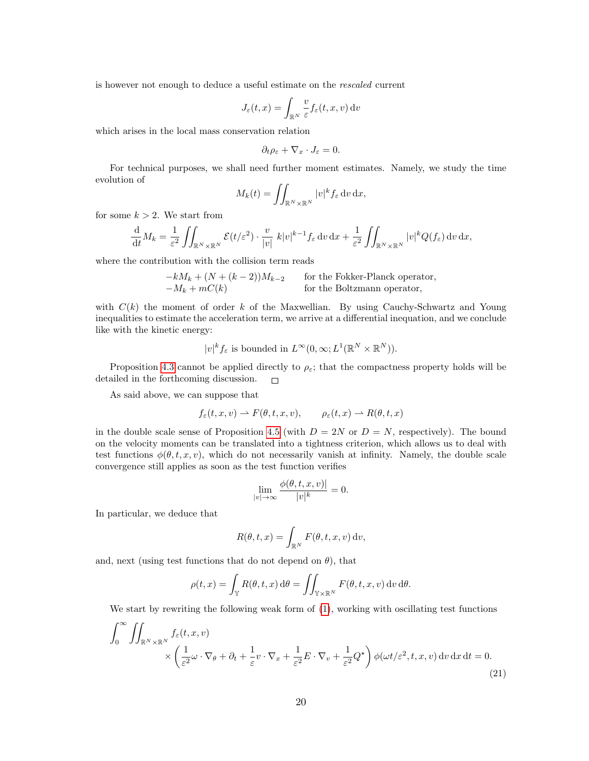is however not enough to deduce a useful estimate on the rescaled current

$$
J_{\varepsilon}(t,x) = \int_{\mathbb{R}^N} \frac{v}{\varepsilon} f_{\varepsilon}(t,x,v) \, \mathrm{d}v
$$

which arises in the local mass conservation relation

$$
\partial_t \rho_{\varepsilon} + \nabla_x \cdot J_{\varepsilon} = 0.
$$

For technical purposes, we shall need further moment estimates. Namely, we study the time evolution of

$$
M_k(t) = \iint_{\mathbb{R}^N \times \mathbb{R}^N} |v|^k f_{\varepsilon} \, \mathrm{d}v \, \mathrm{d}x,
$$

for some  $k > 2$ . We start from

$$
\frac{\mathrm{d}}{\mathrm{d}t}M_k = \frac{1}{\varepsilon^2} \iint_{\mathbb{R}^N \times \mathbb{R}^N} \mathcal{E}(t/\varepsilon^2) \cdot \frac{v}{|v|} k|v|^{k-1} f_{\varepsilon} \, dv \, dx + \frac{1}{\varepsilon^2} \iint_{\mathbb{R}^N \times \mathbb{R}^N} |v|^k Q(f_{\varepsilon}) \, dv \, dx,
$$

where the contribution with the collision term reads

 $-kM_k + (N + (k-2))M_{k-2}$  for the Fokker-Planck operator,  $-M_k + mC(k)$  for the Boltzmann operator,

with  $C(k)$  the moment of order k of the Maxwellian. By using Cauchy-Schwartz and Young inequalities to estimate the acceleration term, we arrive at a differential inequation, and we conclude like with the kinetic energy:

$$
|v|^k f_\varepsilon
$$
 is bounded in  $L^\infty(0,\infty; L^1(\mathbb{R}^N \times \mathbb{R}^N)).$ 

Proposition [4.3](#page-17-0) cannot be applied directly to  $\rho_{\varepsilon}$ ; that the compactness property holds will be detailed in the forthcoming discussion.  $\Box$ 

As said above, we can suppose that

$$
f_{\varepsilon}(t, x, v) \rightharpoonup F(\theta, t, x, v), \qquad \rho_{\varepsilon}(t, x) \rightharpoonup R(\theta, t, x)
$$

in the double scale sense of Proposition [4.5](#page-17-1) (with  $D = 2N$  or  $D = N$ , respectively). The bound on the velocity moments can be translated into a tightness criterion, which allows us to deal with test functions  $\phi(\theta, t, x, v)$ , which do not necessarily vanish at infinity. Namely, the double scale convergence still applies as soon as the test function verifies

$$
\lim_{|v| \to \infty} \frac{\phi(\theta, t, x, v)|}{|v|^k} = 0.
$$

In particular, we deduce that

$$
R(\theta, t, x) = \int_{\mathbb{R}^N} F(\theta, t, x, v) \, dv,
$$

and, next (using test functions that do not depend on  $\theta$ ), that

$$
\rho(t,x) = \int_{\mathbb{Y}} R(\theta, t, x) d\theta = \iint_{\mathbb{Y} \times \mathbb{R}^N} F(\theta, t, x, v) dv d\theta.
$$

We start by rewriting the following weak form of  $(1)$ , working with oscillating test functions

<span id="page-19-0"></span>
$$
\int_0^\infty \iint_{\mathbb{R}^N \times \mathbb{R}^N} f_{\varepsilon}(t, x, v) \times \left( \frac{1}{\varepsilon^2} \omega \cdot \nabla_{\theta} + \partial_t + \frac{1}{\varepsilon} v \cdot \nabla_x + \frac{1}{\varepsilon^2} E \cdot \nabla_v + \frac{1}{\varepsilon^2} Q^{\star} \right) \phi(\omega t/\varepsilon^2, t, x, v) \, dv \, dx \, dt = 0.
$$
\n(21)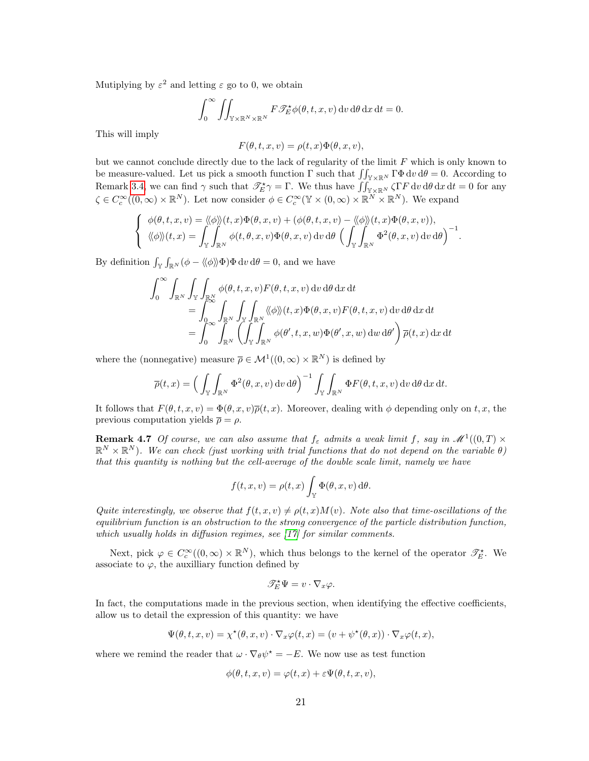Mutiplying by  $\varepsilon^2$  and letting  $\varepsilon$  go to 0, we obtain

$$
\int_0^\infty \iint_{\mathbb{Y}\times\mathbb{R}^N\times\mathbb{R}^N} F\mathscr{T}_E^{\star}\phi(\theta,t,x,v) dv d\theta dx dt = 0.
$$

This will imply

$$
F(\theta, t, x, v) = \rho(t, x)\Phi(\theta, x, v),
$$

but we cannot conclude directly due to the lack of regularity of the limit  $F$  which is only known to be measure-valued. Let us pick a smooth function  $\Gamma$  such that  $\iint_{\mathbb{Y}\times\mathbb{R}^N} \Gamma\Phi \,dv \,d\theta = 0$ . According to Remark [3.4,](#page-9-2) we can find  $\gamma$  such that  $\mathscr{T}_{E}^{\star}\gamma = \Gamma$ . We thus have  $\iint_{\mathbb{Y}\times\mathbb{R}^{N}} \zeta \Gamma F dv d\theta dx dt = 0$  for any  $\zeta \in C_c^{\infty}((0,\infty) \times \mathbb{R}^N)$ . Let now consider  $\phi \in C_c^{\infty}(\mathbb{Y} \times (0,\infty) \times \mathbb{R}^N \times \mathbb{R}^N)$ . We expand

$$
\begin{cases}\n\phi(\theta, t, x, v) = \langle \phi \rangle \rangle(t, x) \Phi(\theta, x, v) + (\phi(\theta, t, x, v) - \langle \phi \rangle \rangle(t, x) \Phi(\theta, x, v)), \\
\langle \phi \rangle \rangle(t, x) = \int_{\mathbb{Y}} \int_{\mathbb{R}^N} \phi(t, \theta, x, v) \Phi(\theta, x, v) dv d\theta \left( \int_{\mathbb{Y}} \int_{\mathbb{R}^N} \Phi^2(\theta, x, v) dv d\theta \right)^{-1}.\n\end{cases}
$$

By definition  $\int_{\mathbb{Y}} \int_{\mathbb{R}^N} (\phi - \langle \phi \rangle) \Phi \, dv \, d\theta = 0$ , and we have

$$
\int_0^\infty \int_{\mathbb{R}^N} \int_{\mathbb{Y}} \int_{\mathbb{R}^N} \phi(\theta, t, x, v) F(\theta, t, x, v) dv d\theta dx dt \n= \int_0^\infty \int_{\mathbb{R}^N} \int_{\mathbb{Y}} \int_{\mathbb{R}^N} \langle \langle \phi \rangle \rangle(t, x) \Phi(\theta, x, v) F(\theta, t, x, v) dv d\theta dx dt \n= \int_0^\infty \int_{\mathbb{R}^N} \left( \int_{\mathbb{Y}} \int_{\mathbb{R}^N} \phi(\theta', t, x, w) \Phi(\theta', x, w) dw d\theta' \right) \overline{\rho}(t, x) dx dt
$$

where the (nonnegative) measure  $\bar{\rho} \in \mathcal{M}^1((0,\infty) \times \mathbb{R}^N)$  is defined by

$$
\overline{\rho}(t,x) = \left(\int_{\mathbb{Y}} \int_{\mathbb{R}^N} \Phi^2(\theta, x, v) dv d\theta\right)^{-1} \int_{\mathbb{Y}} \int_{\mathbb{R}^N} \Phi F(\theta, t, x, v) dv d\theta dx dt.
$$

It follows that  $F(\theta, t, x, v) = \Phi(\theta, x, v) \overline{\rho}(t, x)$ . Moreover, dealing with  $\phi$  depending only on t, x, the previous computation yields  $\bar{\rho} = \rho$ .

**Remark 4.7** Of course, we can also assume that  $f_{\varepsilon}$  admits a weak limit f, say in  $\mathcal{M}^1((0,T) \times$  $\mathbb{R}^N\times\mathbb{R}^N$ ). We can check (just working with trial functions that do not depend on the variable  $\theta$ ) that this quantity is nothing but the cell-average of the double scale limit, namely we have

$$
f(t, x, v) = \rho(t, x) \int_{\mathbb{Y}} \Phi(\theta, x, v) d\theta.
$$

Quite interestingly, we observe that  $f(t, x, v) \neq \rho(t, x)M(v)$ . Note also that time-oscillations of the equilibrium function is an obstruction to the strong convergence of the particle distribution function, which usually holds in diffusion regimes, see [\[17\]](#page-37-18) for similar comments.

Next, pick  $\varphi \in C_c^{\infty}((0,\infty) \times \mathbb{R}^N)$ , which thus belongs to the kernel of the operator  $\mathscr{T}_E^{\star}$ . We associate to  $\varphi$ , the auxilliary function defined by

$$
\mathscr{T}_E^\star \Psi = v \cdot \nabla_x \varphi.
$$

In fact, the computations made in the previous section, when identifying the effective coefficients, allow us to detail the expression of this quantity: we have

$$
\Psi(\theta, t, x, v) = \chi^{\star}(\theta, x, v) \cdot \nabla_x \varphi(t, x) = (v + \psi^{\star}(\theta, x)) \cdot \nabla_x \varphi(t, x),
$$

where we remind the reader that  $\omega \cdot \nabla_{\theta} \psi^* = -E$ . We now use as test function

$$
\phi(\theta, t, x, v) = \varphi(t, x) + \varepsilon \Psi(\theta, t, x, v),
$$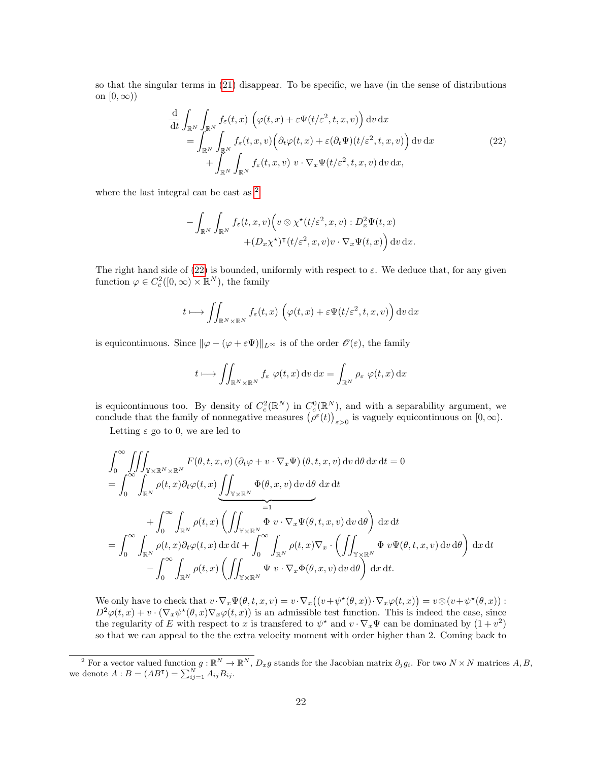so that the singular terms in [\(21\)](#page-19-0) disappear. To be specific, we have (in the sense of distributions on  $[0, \infty)$ 

<span id="page-21-1"></span>
$$
\frac{\mathrm{d}}{\mathrm{d}t} \int_{\mathbb{R}^N} \int_{\mathbb{R}^N} f_{\varepsilon}(t,x) \left( \varphi(t,x) + \varepsilon \Psi(t/\varepsilon^2, t, x, v) \right) \mathrm{d}v \, \mathrm{d}x \n= \int_{\mathbb{R}^N} \int_{\mathbb{R}^N} f_{\varepsilon}(t,x,v) \left( \partial_t \varphi(t,x) + \varepsilon (\partial_t \Psi)(t/\varepsilon^2, t, x, v) \right) \mathrm{d}v \, \mathrm{d}x \n+ \int_{\mathbb{R}^N} \int_{\mathbb{R}^N} f_{\varepsilon}(t,x,v) \, v \cdot \nabla_x \Psi(t/\varepsilon^2, t, x, v) \, \mathrm{d}v \, \mathrm{d}x,
$$
\n(22)

where the last integral can be cast as  $^2$  $^2$ 

$$
- \int_{\mathbb{R}^N} \int_{\mathbb{R}^N} f_{\varepsilon}(t, x, v) \Big( v \otimes \chi^{\star}(t/\varepsilon^2, x, v) : D_x^2 \Psi(t, x) + (D_x \chi^{\star})^{\intercal} (t/\varepsilon^2, x, v) v \cdot \nabla_x \Psi(t, x) \Big) dv dx.
$$

The right hand side of [\(22\)](#page-21-1) is bounded, uniformly with respect to  $\varepsilon$ . We deduce that, for any given function  $\varphi \in C_c^2([0,\infty) \times \mathbb{R}^N)$ , the family

$$
t \longmapsto \iint_{\mathbb{R}^N \times \mathbb{R}^N} f_{\varepsilon}(t,x) \left( \varphi(t,x) + \varepsilon \Psi(t/\varepsilon^2, t, x, v) \right) dv dx
$$

is equicontinuous. Since  $\|\varphi - (\varphi + \varepsilon \Psi)\|_{L^{\infty}}$  is of the order  $\mathscr{O}(\varepsilon)$ , the family

$$
t \longmapsto \iint_{\mathbb{R}^N \times \mathbb{R}^N} f_{\varepsilon} \varphi(t, x) \, dv \, dx = \int_{\mathbb{R}^N} \rho_{\varepsilon} \varphi(t, x) \, dx
$$

is equicontinuous too. By density of  $C_c^2(\mathbb{R}^N)$  in  $C_c^0(\mathbb{R}^N)$ , and with a separability argument, we conclude that the family of nonnegative measures  $(\rho^{\varepsilon}(t))_{\varepsilon>0}$  is vaguely equicontinuous on  $[0,\infty)$ .

Letting  $\varepsilon$  go to 0, we are led to

$$
\int_{0}^{\infty} \iiint_{\mathbb{Y} \times \mathbb{R}^{N} \times \mathbb{R}^{N}} F(\theta, t, x, v) (\partial_{t} \varphi + v \cdot \nabla_{x} \Psi) (\theta, t, x, v) dv d\theta dx dt = 0
$$
\n
$$
= \int_{0}^{\infty} \int_{\mathbb{R}^{N}} \rho(t, x) \partial_{t} \varphi(t, x) \underbrace{\iint_{\mathbb{Y} \times \mathbb{R}^{N}} \Phi(\theta, x, v) dv d\theta dx dt}_{= 1}
$$
\n
$$
+ \int_{0}^{\infty} \int_{\mathbb{R}^{N}} \rho(t, x) \left( \iint_{\mathbb{Y} \times \mathbb{R}^{N}} \Phi(v \cdot \nabla_{x} \Psi(\theta, t, x, v) dv d\theta \right) dx dt
$$
\n
$$
= \int_{0}^{\infty} \int_{\mathbb{R}^{N}} \rho(t, x) \partial_{t} \varphi(t, x) dx dt + \int_{0}^{\infty} \int_{\mathbb{R}^{N}} \rho(t, x) \nabla_{x} \cdot \left( \iint_{\mathbb{Y} \times \mathbb{R}^{N}} \Phi(v \Psi(\theta, t, x, v) dv d\theta \right) dx dt
$$
\n
$$
- \int_{0}^{\infty} \int_{\mathbb{R}^{N}} \rho(t, x) \left( \iint_{\mathbb{Y} \times \mathbb{R}^{N}} \Psi(v \cdot \nabla_{x} \Phi(\theta, x, v) dv d\theta \right) dx dt.
$$

We only have to check that  $v \cdot \nabla_x \Psi(\theta, t, x, v) = v \cdot \nabla_x ((v + \psi^*(\theta, x)) \cdot \nabla_x \varphi(t, x)) = v \otimes (v + \psi^*(\theta, x))$ :  $D^2\varphi(t,x) + v \cdot (\nabla_x \psi^*(\theta,x) \nabla_x \varphi(t,x))$  is an admissible test function. This is indeed the case, since the regularity of E with respect to x is transfered to  $\psi^*$  and  $v \cdot \nabla_x \Psi$  can be dominated by  $(1 + v^2)$ so that we can appeal to the the extra velocity moment with order higher than 2. Coming back to

<span id="page-21-0"></span><sup>&</sup>lt;sup>2</sup> For a vector valued function  $g: \mathbb{R}^N \to \mathbb{R}^N$ ,  $D_x g$  stands for the Jacobian matrix  $\partial_j g_i$ . For two  $N \times N$  matrices  $A, B$ , we denote  $A : B = (AB^{\mathsf{T}}) = \sum_{ij=1}^{N} A_{ij} B_{ij}$ .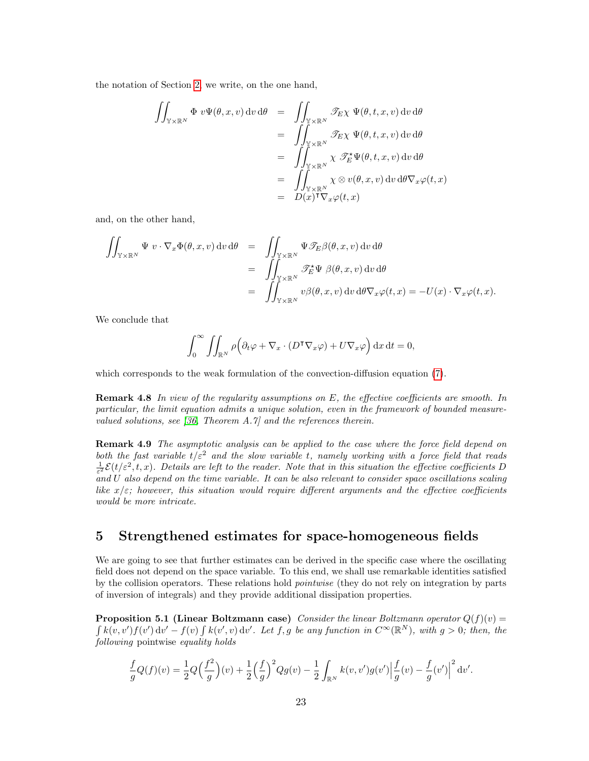the notation of Section [2,](#page-2-0) we write, on the one hand,

$$
\iint_{\mathbb{Y}\times\mathbb{R}^N} \Phi \, v\Psi(\theta, x, v) \, dv \, d\theta = \iint_{\mathbb{Y}\times\mathbb{R}^N} \mathscr{T}_{E}\chi \, \Psi(\theta, t, x, v) \, dv \, d\theta
$$
\n
$$
= \iint_{\mathbb{Y}\times\mathbb{R}^N} \mathscr{T}_{E}\chi \, \Psi(\theta, t, x, v) \, dv \, d\theta
$$
\n
$$
= \iint_{\mathbb{Y}\times\mathbb{R}^N} \chi \, \mathscr{T}_{E}^{\star}\Psi(\theta, t, x, v) \, dv \, d\theta
$$
\n
$$
= \iint_{\mathbb{Y}\times\mathbb{R}^N} \chi \otimes v(\theta, x, v) \, dv \, d\theta \nabla_x \varphi(t, x)
$$
\n
$$
= D(x)^\mathsf{T} \nabla_x \varphi(t, x)
$$

and, on the other hand,

$$
\iint_{\mathbb{Y}\times\mathbb{R}^N} \Psi \, v \cdot \nabla_x \Phi(\theta, x, v) \, dv \, d\theta = \iint_{\mathbb{Y}\times\mathbb{R}^N} \Psi \mathcal{F}_E \beta(\theta, x, v) \, dv \, d\theta
$$
\n
$$
= \iint_{\mathbb{Y}\times\mathbb{R}^N} \mathcal{F}_E^* \Psi \, \beta(\theta, x, v) \, dv \, d\theta
$$
\n
$$
= \iint_{\mathbb{Y}\times\mathbb{R}^N} v \beta(\theta, x, v) \, dv \, d\theta \nabla_x \varphi(t, x) = -U(x) \cdot \nabla_x \varphi(t, x).
$$

We conclude that

$$
\int_0^\infty \iint_{\mathbb{R}^N} \rho \Big( \partial_t \varphi + \nabla_x \cdot (D^\mathsf{T} \nabla_x \varphi) + U \nabla_x \varphi \Big) \, dx \, dt = 0,
$$

which corresponds to the weak formulation of the convection-diffusion equation [\(7\)](#page-2-2).

**Remark 4.8** In view of the regularity assumptions on E, the effective coefficients are smooth. In particular, the limit equation admits a unique solution, even in the framework of bounded measurevalued solutions, see [\[36,](#page-38-8) Theorem A.7] and the references therein.

Remark 4.9 The asymptotic analysis can be applied to the case where the force field depend on both the fast variable  $t/\varepsilon^2$  and the slow variable t, namely working with a force field that reads  $\frac{1}{\varepsilon^2} \mathcal{E}(t/\varepsilon^2, t, x)$ . Details are left to the reader. Note that in this situation the effective coefficients D and U also depend on the time variable. It can be also relevant to consider space oscillations scaling like  $x/\varepsilon$ ; however, this situation would require different arguments and the effective coefficients would be more intricate.

## <span id="page-22-0"></span>5 Strengthened estimates for space-homogeneous fields

We are going to see that further estimates can be derived in the specific case where the oscillating field does not depend on the space variable. To this end, we shall use remarkable identities satisfied by the collision operators. These relations hold pointwise (they do not rely on integration by parts of inversion of integrals) and they provide additional dissipation properties.

<span id="page-22-1"></span>**Proposition 5.1 (Linear Boltzmann case)** Consider the linear Boltzmann operator  $Q(f)(v)$  =  $\int k(v, v') f(v') dv' - f(v) \int k(v', v) dv'$ . Let f, g be any function in  $C^{\infty}(\mathbb{R}^N)$ , with  $g > 0$ ; then, the following pointwise equality holds

$$
\frac{f}{g}Q(f)(v) = \frac{1}{2}Q\left(\frac{f^2}{g}\right)(v) + \frac{1}{2}\left(\frac{f}{g}\right)^2 Qg(v) - \frac{1}{2}\int_{\mathbb{R}^N} k(v,v')g(v')\left|\frac{f}{g}(v) - \frac{f}{g}(v')\right|^2 dv'.
$$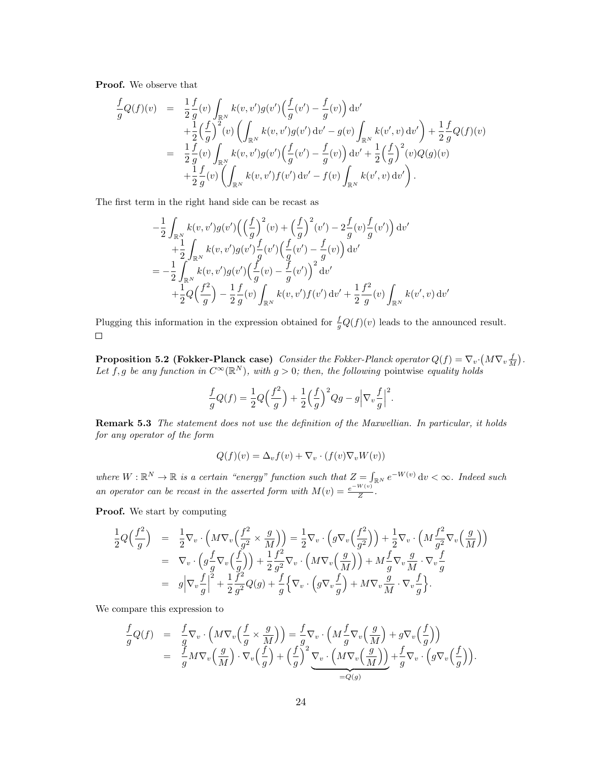Proof. We observe that

$$
\frac{f}{g}Q(f)(v) = \frac{1}{2}\frac{f}{g}(v)\int_{\mathbb{R}^N}k(v,v')g(v')\left(\frac{f}{g}(v') - \frac{f}{g}(v)\right)dv'\n+ \frac{1}{2}\left(\frac{f}{g}\right)^2(v)\left(\int_{\mathbb{R}^N}k(v,v')g(v')\,dv' - g(v)\int_{\mathbb{R}^N}k(v',v)\,dv'\right) + \frac{1}{2}\frac{f}{g}Q(f)(v)\n= \frac{1}{2}\frac{f}{g}(v)\int_{\mathbb{R}^N}k(v,v')g(v')\left(\frac{f}{g}(v') - \frac{f}{g}(v)\right)dv' + \frac{1}{2}\left(\frac{f}{g}\right)^2(v)Q(g)(v)\n+ \frac{1}{2}\frac{f}{g}(v)\left(\int_{\mathbb{R}^N}k(v,v')f(v')\,dv' - f(v)\int_{\mathbb{R}^N}k(v',v)\,dv'\right).
$$

The first term in the right hand side can be recast as

$$
-\frac{1}{2} \int_{\mathbb{R}^N} k(v, v') g(v') \Big( \Big(\frac{f}{g}\Big)^2 (v) + \Big(\frac{f}{g}\Big)^2 (v') - 2 \frac{f}{g}(v) \frac{f}{g}(v') \Big) dv' + \frac{1}{2} \int_{\mathbb{R}^N} k(v, v') g(v') \frac{f}{g}(v') \Big( \frac{f}{g}(v') - \frac{f}{g}(v) \Big) dv' = -\frac{1}{2} \int_{\mathbb{R}^N} k(v, v') g(v') \Big( \frac{f}{g}(v) - \frac{f}{g}(v') \Big)^2 dv' + \frac{1}{2} Q\Big(\frac{f^2}{g}\Big) - \frac{1}{2} \frac{f}{g}(v) \int_{\mathbb{R}^N} k(v, v') f(v') dv' + \frac{1}{2} \frac{f^2}{g}(v) \int_{\mathbb{R}^N} k(v', v) dv'
$$

Plugging this information in the expression obtained for  $\frac{f}{g}Q(f)(v)$  leads to the announced result.  $\Box$ 

<span id="page-23-0"></span>**Proposition 5.2 (Fokker-Planck case)** Consider the Fokker-Planck operator  $Q(f) = \nabla_v \cdot (M \nabla_v \frac{f}{M})$ . Let f, g be any function in  $C^{\infty}(\mathbb{R}^N)$ , with  $g > 0$ ; then, the following pointwise equality holds

$$
\frac{f}{g}Q(f) = \frac{1}{2}Q\left(\frac{f^2}{g}\right) + \frac{1}{2}\left(\frac{f}{g}\right)^2 Qg - g\left|\nabla_v \frac{f}{g}\right|^2.
$$

Remark 5.3 The statement does not use the definition of the Maxwellian. In particular, it holds for any operator of the form

$$
Q(f)(v) = \Delta_v f(v) + \nabla_v \cdot (f(v) \nabla_v W(v))
$$

where  $W : \mathbb{R}^N \to \mathbb{R}$  is a certain "energy" function such that  $Z = \int_{\mathbb{R}^N} e^{-W(v)} dv < \infty$ . Indeed such an operator can be recast in the asserted form with  $M(v) = \frac{e^{-W(v)}}{Z}$  $\frac{X^{(v)}}{Z}$ .

Proof. We start by computing

$$
\frac{1}{2}Q\left(\frac{f^2}{g}\right) = \frac{1}{2}\nabla_v \cdot \left(M\nabla_v \left(\frac{f^2}{g^2} \times \frac{g}{M}\right)\right) = \frac{1}{2}\nabla_v \cdot \left(g\nabla_v \left(\frac{f^2}{g^2}\right)\right) + \frac{1}{2}\nabla_v \cdot \left(M\frac{f^2}{g^2}\nabla_v \left(\frac{g}{M}\right)\right)
$$
\n
$$
= \nabla_v \cdot \left(g\frac{f}{g}\nabla_v \left(\frac{f}{g}\right)\right) + \frac{1}{2}\frac{f^2}{g^2}\nabla_v \cdot \left(M\nabla_v \left(\frac{g}{M}\right)\right) + M\frac{f}{g}\nabla_v \frac{g}{M} \cdot \nabla_v \frac{f}{g}
$$
\n
$$
= g\left|\nabla_v \frac{f}{g}\right|^2 + \frac{1}{2}\frac{f^2}{g^2}Q(g) + \frac{f}{g}\left\{\nabla_v \cdot \left(g\nabla_v \frac{f}{g}\right) + M\nabla_v \frac{g}{M} \cdot \nabla_v \frac{f}{g}\right\}.
$$

We compare this expression to

$$
\frac{f}{g}Q(f) = \frac{f}{g}\nabla_v \cdot \left(M\nabla_v \left(\frac{f}{g} \times \frac{g}{M}\right)\right) = \frac{f}{g}\nabla_v \cdot \left(M\frac{f}{g}\nabla_v \left(\frac{g}{M}\right) + g\nabla_v \left(\frac{f}{g}\right)\right) \n= \frac{f}{g}M\nabla_v \left(\frac{g}{M}\right) \cdot \nabla_v \left(\frac{f}{g}\right) + \left(\frac{f}{g}\right)^2 \underbrace{\nabla_v \cdot \left(M\nabla_v \left(\frac{g}{M}\right)\right)}_{=Q(g)} + \frac{f}{g}\nabla_v \cdot \left(g\nabla_v \left(\frac{f}{g}\right)\right).
$$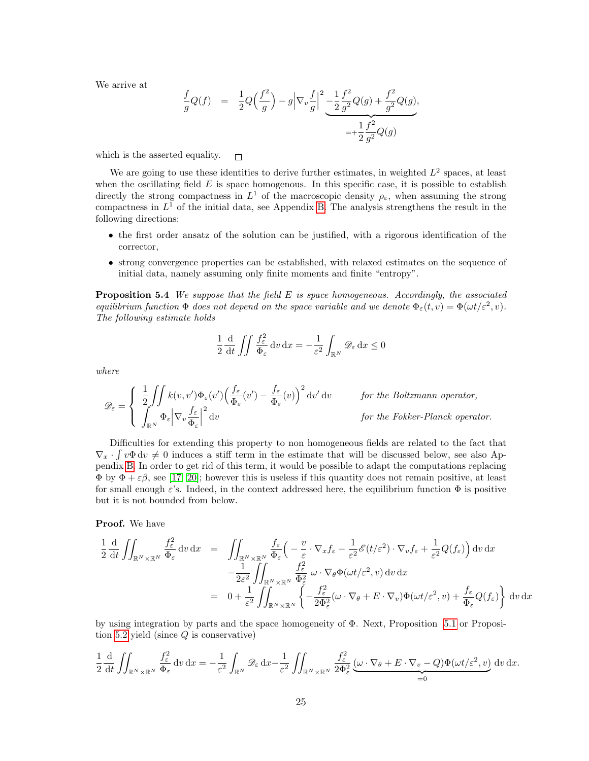We arrive at

$$
\frac{f}{g}Q(f) = \frac{1}{2}Q\left(\frac{f^2}{g}\right) - g\left|\nabla_v \frac{f}{g}\right|^2 - \underbrace{\frac{1}{2}\frac{f^2}{g^2}Q(g) + \frac{f^2}{g^2}Q(g)}_{= + \frac{1}{2}\frac{f^2}{g^2}Q(g)}.
$$

which is the asserted equality.  $\Box$ 

We are going to use these identities to derive further estimates, in weighted  $L^2$  spaces, at least when the oscillating field  $E$  is space homogenous. In this specific case, it is possible to establish directly the strong compactness in  $L^1$  of the macroscopic density  $\rho_{\varepsilon}$ , when assuming the strong compactness in  $L^1$  of the initial data, see Appendix [B.](#page-32-0) The analysis strengthens the result in the following directions:

- the first order ansatz of the solution can be justified, with a rigorous identification of the corrector,
- strong convergence properties can be established, with relaxed estimates on the sequence of initial data, namely assuming only finite moments and finite "entropy".

<span id="page-24-0"></span>**Proposition 5.4** We suppose that the field  $E$  is space homogeneous. Accordingly, the associated equilibrium function  $\Phi$  does not depend on the space variable and we denote  $\Phi_{\varepsilon}(t, v) = \Phi(\omega t/\varepsilon^2, v)$ . The following estimate holds

$$
\frac{1}{2} \frac{d}{dt} \iint \frac{f_{\varepsilon}^{2}}{\Phi_{\varepsilon}} dv \, dx = -\frac{1}{\varepsilon^{2}} \int_{\mathbb{R}^{N}} \mathscr{D}_{\varepsilon} dx \le 0
$$

where

$$
\mathscr{D}_{\varepsilon} = \begin{cases} \frac{1}{2} \iint k(v, v') \Phi_{\varepsilon}(v') \Big( \frac{f_{\varepsilon}}{\Phi_{\varepsilon}}(v') - \frac{f_{\varepsilon}}{\Phi_{\varepsilon}}(v) \Big)^2 \, \mathrm{d}v' \, \mathrm{d}v & \text{for the Boltzmann operator,} \\ \int_{\mathbb{R}^N} \Phi_{\varepsilon} \Big| \nabla_v \frac{f_{\varepsilon}}{\Phi_{\varepsilon}} \Big|^2 \, \mathrm{d}v & \text{for the Fokker-Planck operator.} \end{cases}
$$

Difficulties for extending this property to non homogeneous fields are related to the fact that  $\nabla_x \cdot \int v \Phi \, dv \neq 0$  induces a stiff term in the estimate that will be discussed below, see also Appendix [B.](#page-32-0) In order to get rid of this term, it would be possible to adapt the computations replacing  $\Phi$  by  $\Phi + \varepsilon \beta$ , see [\[17,](#page-37-18) [20\]](#page-37-16); however this is useless if this quantity does not remain positive, at least for small enough  $\varepsilon$ 's. Indeed, in the context addressed here, the equilibrium function  $\Phi$  is positive but it is not bounded from below.

#### Proof. We have

$$
\frac{1}{2} \frac{d}{dt} \iint_{\mathbb{R}^N \times \mathbb{R}^N} \frac{f_{\varepsilon}^2}{\Phi_{\varepsilon}} dv dx = \iint_{\mathbb{R}^N \times \mathbb{R}^N} \frac{f_{\varepsilon}}{\Phi_{\varepsilon}} \left( -\frac{v}{\varepsilon} \cdot \nabla_x f_{\varepsilon} - \frac{1}{\varepsilon^2} \mathscr{E}(t/\varepsilon^2) \cdot \nabla_v f_{\varepsilon} + \frac{1}{\varepsilon^2} Q(f_{\varepsilon}) \right) dv dx \n- \frac{1}{2\varepsilon^2} \iint_{\mathbb{R}^N \times \mathbb{R}^N} \frac{f_{\varepsilon}^2}{\Phi_{\varepsilon}^2} \omega \cdot \nabla_{\theta} \Phi(\omega t/\varepsilon^2, v) dv dx \n= 0 + \frac{1}{\varepsilon^2} \iint_{\mathbb{R}^N \times \mathbb{R}^N} \left\{ -\frac{f_{\varepsilon}^2}{2\Phi_{\varepsilon}^2} (\omega \cdot \nabla_{\theta} + E \cdot \nabla_v) \Phi(\omega t/\varepsilon^2, v) + \frac{f_{\varepsilon}}{\Phi_{\varepsilon}} Q(f_{\varepsilon}) \right\} dv dx
$$

by using integration by parts and the space homogeneity of Φ. Next, Proposition [5.1](#page-22-1) or Proposi-tion [5.2](#page-23-0) yield (since  $Q$  is conservative)

$$
\frac{1}{2} \frac{d}{dt} \iint_{\mathbb{R}^N \times \mathbb{R}^N} \frac{f_{\varepsilon}^2}{\Phi_{\varepsilon}} dv \, dx = -\frac{1}{\varepsilon^2} \int_{\mathbb{R}^N} \mathcal{D}_{\varepsilon} dx - \frac{1}{\varepsilon^2} \iint_{\mathbb{R}^N \times \mathbb{R}^N} \frac{f_{\varepsilon}^2}{2\Phi_{\varepsilon}^2} \underbrace{(\omega \cdot \nabla_{\theta} + E \cdot \nabla_{v} - Q) \Phi(\omega t/\varepsilon^2, v)}_{=0} dv \, dx.
$$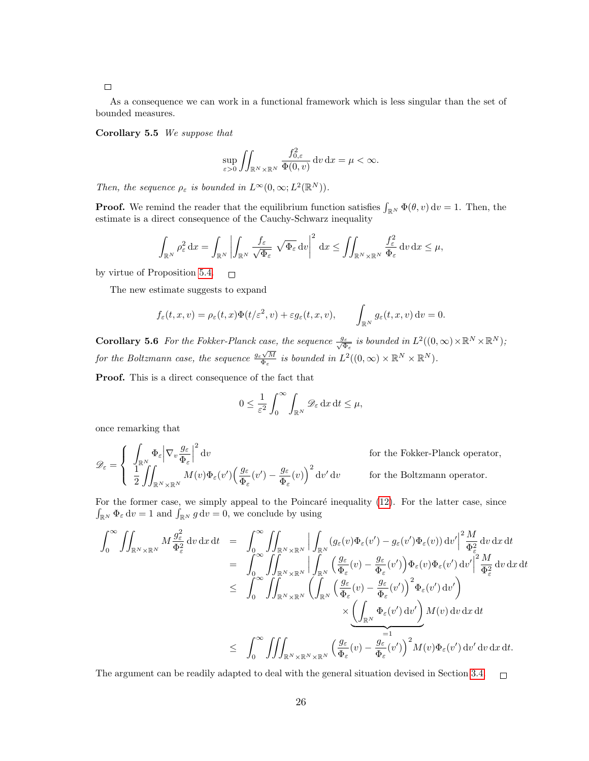#### $\Box$

As a consequence we can work in a functional framework which is less singular than the set of bounded measures.

Corollary 5.5 We suppose that

$$
\sup_{\varepsilon>0}\iint_{\mathbb{R}^N\times\mathbb{R}^N}\frac{f_{0,\varepsilon}^2}{\Phi(0,v)}\,\mathrm{d} v\,\mathrm{d} x=\mu<\infty.
$$

Then, the sequence  $\rho_{\varepsilon}$  is bounded in  $L^{\infty}(0,\infty; L^{2}(\mathbb{R}^{N}))$ .

**Proof.** We remind the reader that the equilibrium function satisfies  $\int_{\mathbb{R}^N} \Phi(\theta, v) dv = 1$ . Then, the estimate is a direct consequence of the Cauchy-Schwarz inequality

$$
\int_{\mathbb{R}^N} \rho_{\varepsilon}^2 dx = \int_{\mathbb{R}^N} \left| \int_{\mathbb{R}^N} \frac{f_{\varepsilon}}{\sqrt{\Phi_{\varepsilon}}} \sqrt{\Phi_{\varepsilon}} dv \right|^2 dx \le \iint_{\mathbb{R}^N \times \mathbb{R}^N} \frac{f_{\varepsilon}^2}{\Phi_{\varepsilon}} dv dx \le \mu,
$$

by virtue of Proposition [5.4.](#page-24-0)  $\Box$ 

The new estimate suggests to expand

$$
f_{\varepsilon}(t,x,v) = \rho_{\varepsilon}(t,x)\Phi(t/\varepsilon^2,v) + \varepsilon g_{\varepsilon}(t,x,v), \qquad \int_{\mathbb{R}^N} g_{\varepsilon}(t,x,v) dv = 0.
$$

<span id="page-25-0"></span>**Corollary 5.6** For the Fokker-Planck case, the sequence  $\frac{g_{\varepsilon}}{\sqrt{\Phi_{\varepsilon}}}$  is bounded in  $L^2((0,\infty)\times \mathbb{R}^N\times \mathbb{R}^N)$ ; for the Boltzmann case, the sequence  $\frac{g_{\varepsilon}\sqrt{M}}{\Phi_{\varepsilon}}$  is bounded in  $L^2((0,\infty)\times \mathbb{R}^N\times \mathbb{R}^N)$ .

Proof. This is a direct consequence of the fact that

$$
0 \le \frac{1}{\varepsilon^2} \int_0^\infty \int_{\mathbb{R}^N} \mathscr{D}_\varepsilon \, \mathrm{d}x \, \mathrm{d}t \le \mu,
$$

once remarking that

$$
\mathscr{D}_{\varepsilon} = \begin{cases} \int_{\mathbb{R}^N} \Phi_{\varepsilon} \Big| \nabla_v \frac{g_{\varepsilon}}{\Phi_{\varepsilon}} \Big|^2 \, \mathrm{d}v & \text{for the Fokker-Planck operator,} \\ \frac{1}{2} \int_{\mathbb{R}^N \times \mathbb{R}^N} M(v) \Phi_{\varepsilon}(v') \Big( \frac{g_{\varepsilon}}{\Phi_{\varepsilon}}(v') - \frac{g_{\varepsilon}}{\Phi_{\varepsilon}}(v) \Big)^2 \, \mathrm{d}v' \, \mathrm{d}v & \text{for the Boltzmann operator.} \end{cases}
$$

For the former case, we simply appeal to the Poincaré inequality  $(12)$ . For the latter case, since  $\int_{\mathbb{R}^N} \Phi_{\varepsilon} dv = 1$  and  $\int_{\mathbb{R}^N} g dv = 0$ , we conclude by using

$$
\int_{0}^{\infty} \iint_{\mathbb{R}^{N} \times \mathbb{R}^{N}} M \frac{g_{\varepsilon}^{2}}{\Phi_{\varepsilon}^{2}} dv dx dt = \int_{0}^{\infty} \iint_{\mathbb{R}^{N} \times \mathbb{R}^{N}} \left| \int_{\mathbb{R}^{N}} (g_{\varepsilon}(v) \Phi_{\varepsilon}(v') - g_{\varepsilon}(v') \Phi_{\varepsilon}(v)) dv' \right|^{2} \frac{M}{\Phi_{\varepsilon}^{2}} dv dx dt \n= \int_{0}^{\infty} \iint_{\mathbb{R}^{N} \times \mathbb{R}^{N}} \left| \int_{\mathbb{R}^{N}} \left( \frac{g_{\varepsilon}}{\Phi_{\varepsilon}} (v) - \frac{g_{\varepsilon}}{\Phi_{\varepsilon}} (v') \right) \Phi_{\varepsilon}(v) \Phi_{\varepsilon}(v') dv' \right|^{2} \frac{M}{\Phi_{\varepsilon}^{2}} dv dx dt \n\leq \int_{0}^{\infty} \iint_{\mathbb{R}^{N} \times \mathbb{R}^{N}} \left( \int_{\mathbb{R}^{N}} \left( \frac{g_{\varepsilon}}{\Phi_{\varepsilon}} (v) - \frac{g_{\varepsilon}}{\Phi_{\varepsilon}} (v') \right)^{2} \Phi_{\varepsilon}(v') dv' \right) \n\times \underbrace{\left( \int_{\mathbb{R}^{N}} \Phi_{\varepsilon}(v') dv' \right)}_{=1} M(v) dv dx dt \n\leq \int_{0}^{\infty} \iiint_{\mathbb{R}^{N} \times \mathbb{R}^{N} \times \mathbb{R}^{N}} \left( \frac{g_{\varepsilon}}{\Phi_{\varepsilon}} (v) - \frac{g_{\varepsilon}}{\Phi_{\varepsilon}} (v') \right)^{2} M(v) \Phi_{\varepsilon}(v') dv' dv dx dt.
$$

The argument can be readily adapted to deal with the general situation devised in Section [3.4.](#page-14-2)  $\Box$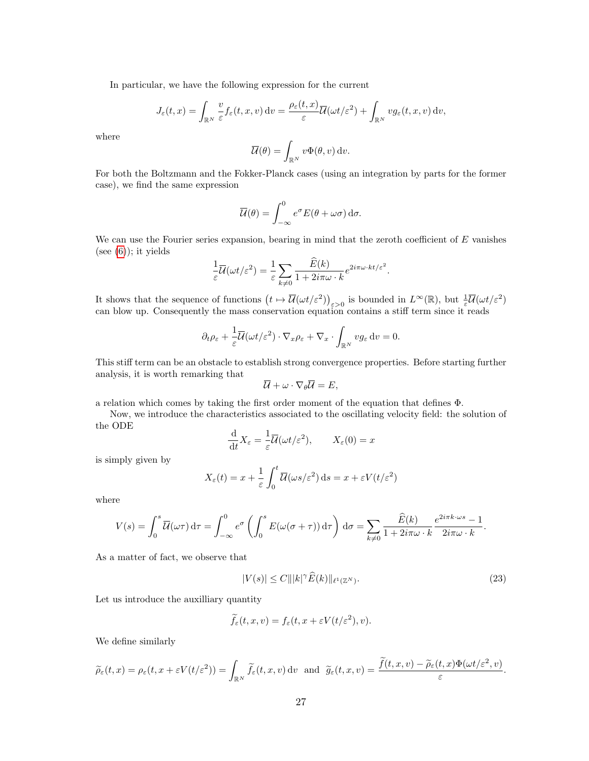In particular, we have the following expression for the current

$$
J_{\varepsilon}(t,x) = \int_{\mathbb{R}^N} \frac{v}{\varepsilon} f_{\varepsilon}(t,x,v) dv = \frac{\rho_{\varepsilon}(t,x)}{\varepsilon} \overline{\mathcal{U}}(\omega t/\varepsilon^2) + \int_{\mathbb{R}^N} v g_{\varepsilon}(t,x,v) dv,
$$

where

$$
\overline{\mathcal{U}}(\theta) = \int_{\mathbb{R}^N} v \Phi(\theta, v) \, \mathrm{d}v.
$$

For both the Boltzmann and the Fokker-Planck cases (using an integration by parts for the former case), we find the same expression

$$
\overline{\mathcal{U}}(\theta) = \int_{-\infty}^{0} e^{\sigma} E(\theta + \omega \sigma) d\sigma.
$$

We can use the Fourier series expansion, bearing in mind that the zeroth coefficient of  $E$  vanishes (see  $(6)$ ); it yields

$$
\frac{1}{\varepsilon}\overline{\mathcal{U}}(\omega t/\varepsilon^2) = \frac{1}{\varepsilon} \sum_{k \neq 0} \frac{\widehat{E}(k)}{1 + 2i\pi\omega \cdot k} e^{2i\pi\omega \cdot kt/\varepsilon^2}.
$$

It shows that the sequence of functions  $\left(t \mapsto \overline{\mathcal{U}}(\omega t/\varepsilon^2)\right)_{\varepsilon > 0}$  is bounded in  $L^{\infty}(\mathbb{R})$ , but  $\frac{1}{\varepsilon} \overline{\mathcal{U}}(\omega t/\varepsilon^2)$ can blow up. Consequently the mass conservation equation contains a stiff term since it reads

$$
\partial_t \rho_{\varepsilon} + \frac{1}{\varepsilon} \overline{\mathcal{U}}(\omega t/\varepsilon^2) \cdot \nabla_x \rho_{\varepsilon} + \nabla_x \cdot \int_{\mathbb{R}^N} v g_{\varepsilon} \, dv = 0.
$$

This stiff term can be an obstacle to establish strong convergence properties. Before starting further analysis, it is worth remarking that

$$
\overline{\mathcal{U}} + \omega \cdot \nabla_{\theta} \overline{\mathcal{U}} = E,
$$

a relation which comes by taking the first order moment of the equation that defines Φ.

Now, we introduce the characteristics associated to the oscillating velocity field: the solution of the ODE

$$
\frac{\mathrm{d}}{\mathrm{d}t}X_{\varepsilon} = \frac{1}{\varepsilon}\overline{\mathcal{U}}(\omega t/\varepsilon^2), \qquad X_{\varepsilon}(0) = x
$$

is simply given by

$$
X_{\varepsilon}(t) = x + \frac{1}{\varepsilon} \int_0^t \overline{\mathcal{U}}(\omega s/\varepsilon^2) \, \mathrm{d}s = x + \varepsilon V(t/\varepsilon^2)
$$

where

$$
V(s) = \int_0^s \overline{\mathcal{U}}(\omega \tau) d\tau = \int_{-\infty}^0 e^{\sigma} \left( \int_0^s E(\omega(\sigma + \tau)) d\tau \right) d\sigma = \sum_{k \neq 0} \frac{\widehat{E}(k)}{1 + 2i\pi\omega \cdot k} \frac{e^{2i\pi k \cdot \omega s} - 1}{2i\pi\omega \cdot k}.
$$

As a matter of fact, we observe that

<span id="page-26-0"></span>
$$
|V(s)| \le C |||k|^\gamma \widehat{E}(k)||_{\ell^1(\mathbb{Z}^N)}.\tag{23}
$$

Let us introduce the auxilliary quantity

$$
\widetilde{f}_{\varepsilon}(t,x,v) = f_{\varepsilon}(t,x + \varepsilon V(t/\varepsilon^2), v).
$$

We define similarly

$$
\widetilde{\rho}_{\varepsilon}(t,x)=\rho_{\varepsilon}(t,x+\varepsilon V(t/\varepsilon^2))=\int_{\mathbb{R}^N}\widetilde{f}_{\varepsilon}(t,x,v)\,\mathrm{d} v\quad\text{and}\quad\widetilde{g}_{\varepsilon}(t,x,v)=\frac{\widetilde{f}(t,x,v)-\widetilde{\rho}_{\varepsilon}(t,x)\Phi(\omega t/\varepsilon^2,v)}{\varepsilon}.
$$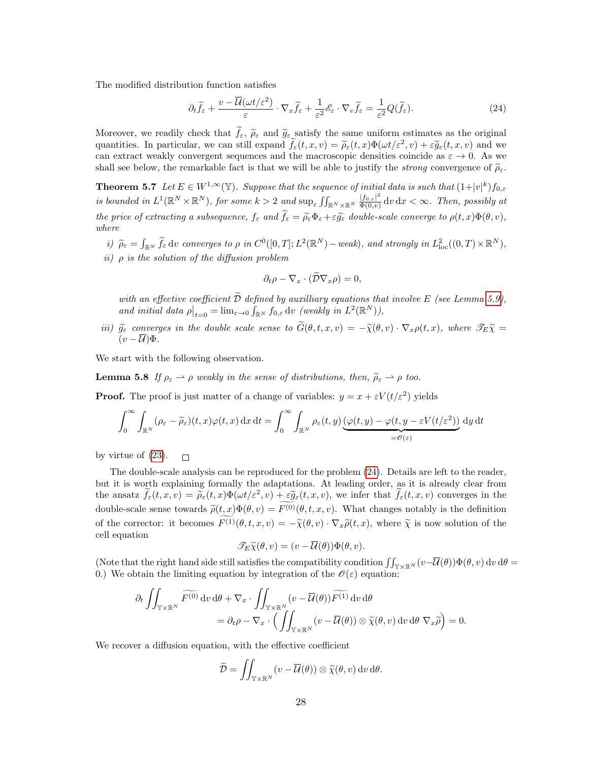The modified distribution function satisfies

<span id="page-27-0"></span>
$$
\partial_t \widetilde{f}_{\varepsilon} + \frac{v - \overline{\mathcal{U}}(\omega t/\varepsilon^2)}{\varepsilon} \cdot \nabla_x \widetilde{f}_{\varepsilon} + \frac{1}{\varepsilon^2} \mathscr{E}_{\varepsilon} \cdot \nabla_v \widetilde{f}_{\varepsilon} = \frac{1}{\varepsilon^2} Q(\widetilde{f}_{\varepsilon}).\tag{24}
$$

Moreover, we readily check that  $\tilde{f}_{\varepsilon}$ ,  $\tilde{\rho}_{\varepsilon}$  and  $\tilde{g}_{\varepsilon}$  satisfy the same uniform estimates as the original quantities. In particular, we can still expand  $\tilde{f}_{\varepsilon}(t, x, v) = \tilde{\rho}_{\varepsilon}(t, x) \Phi(\omega t/\varepsilon^2, v) + \varepsilon \tilde{g}_{\varepsilon}(t, x, v)$  and we<br>can extract workly convergent socuences and the macroscopic densities coincide as  $\varepsilon \to 0$ . As can extract weakly convergent sequences and the macroscopic densities coincide as  $\varepsilon \to 0$ . As we shall see below, the remarkable fact is that we will be able to justify the *strong* convergence of  $\tilde{\rho}_{\varepsilon}$ .

<span id="page-27-1"></span>**Theorem 5.7** Let  $E \in W^{1,\infty}(\mathbb{Y})$ . Suppose that the sequence of initial data is such that  $(1+|v|^k)f_{0,\varepsilon}$ is bounded in  $L^1(\mathbb{R}^N\times\mathbb{R}^N)$ , for some  $k>2$  and  $\sup_{\varepsilon}\iint_{\mathbb{R}^N\times\mathbb{R}^N}\frac{|f_{0,\varepsilon}|^2}{\Phi(0,v)}$  $\frac{|J_{0,\varepsilon}|^2}{\Phi(0,v)}$  dv dx  $<\infty$ . Then, possibly at the price of extracting a subsequence,  $f_{\varepsilon}$  and  $\tilde{f}_{\varepsilon} = \tilde{\rho}_{\varepsilon} \Phi_{\varepsilon} + \varepsilon \tilde{g}_{\varepsilon}$  double-scale converge to  $\rho(t, x) \Phi(\theta, v)$ , where

i)  $\widetilde{\rho}_{\varepsilon} = \int_{\mathbb{R}^N} \widetilde{f}_{\varepsilon} \, dv$  converges to  $\rho$  in  $C^0([0,T]; L^2(\mathbb{R}^N) - weak)$ , and strongly in  $L^2_{loc}((0,T) \times \mathbb{R}^N)$ , ii)  $\rho$  is the solution of the diffusion problem

$$
\partial_t \rho - \nabla_x \cdot (\mathcal{D} \nabla_x \rho) = 0,
$$

with an effective coefficient  $\tilde{\mathcal{D}}$  defined by auxilliary equations that involve E (see Lemma [5.9\)](#page-28-0), and initial data  $\rho\big|_{t=0} = \lim_{\varepsilon \to 0} \int_{\mathbb{R}^N} f_{0,\varepsilon} dv$  (weakly in  $L^2(\mathbb{R}^N)$ ),

iii)  $\tilde{g}_{\varepsilon}$  converges in the double scale sense to  $\tilde{G}(\theta, t, x, v) = -\tilde{\chi}(\theta, v) \cdot \nabla_x \rho(t, x)$ , where  $\mathscr{T}_E \tilde{\chi} =$  $(v - \overline{U})\Phi.$ 

We start with the following observation.

**Lemma 5.8** If  $\rho_{\varepsilon} \to \rho$  weakly in the sense of distributions, then,  $\rho_{\varepsilon} \to \rho$  too.

**Proof.** The proof is just matter of a change of variables:  $y = x + \varepsilon V(t/\varepsilon^2)$  yields

$$
\int_0^\infty \int_{\mathbb{R}^N} (\rho_{\varepsilon} - \widetilde{\rho}_{\varepsilon})(t, x) \varphi(t, x) dx dt = \int_0^\infty \int_{\mathbb{R}^N} \rho_{\varepsilon}(t, y) \underbrace{(\varphi(t, y) - \varphi(t, y - \varepsilon V(t/\varepsilon^2))}_{=\theta(\varepsilon)} dy dt
$$

by virtue of [\(23\)](#page-26-0).  $\Box$ 

The double-scale analysis can be reproduced for the problem [\(24\)](#page-27-0). Details are left to the reader, but it is worth explaining formally the adaptations. At leading order, as it is already clear from the ansatz  $\tilde{f}_{\varepsilon}(t,x,v) = \tilde{\rho}_{\varepsilon}(t,x)\Phi(\omega t/\varepsilon^2, v) + \varepsilon \tilde{g}_{\varepsilon}(t,x,v)$ , we infer that  $\tilde{f}_{\varepsilon}(t,x,v)$  converges in the double-scale sense towards  $\tilde{\rho}(t, x)\Phi(\theta, v) = \tilde{F}^{(0)}(\theta, t, x, v)$ . What changes notably is the definition of the corrector: it becomes  $F^{(1)}(\theta, t, x, v) = -\tilde{\chi}(\theta, v) \cdot \nabla_x \tilde{\rho}(t, x)$ , where  $\tilde{\chi}$  is now solution of the cell equation

$$
\mathscr{T}_E \widetilde{\chi}(\theta, v) = (v - \overline{\mathcal{U}}(\theta)) \Phi(\theta, v).
$$

(Note that the right hand side still satisfies the compatibility condition  $\iint_{\mathbb{Y}\times\mathbb{R}^N}(v-\overline{\mathcal{U}}(\theta))\Phi(\theta, v) dv d\theta =$ 0.) We obtain the limiting equation by integration of the  $\mathcal{O}(\varepsilon)$  equation:

$$
\partial_t \iint_{\mathbb{Y} \times \mathbb{R}^N} \widetilde{F^{(0)}} \, \mathrm{d}v \, \mathrm{d}\theta + \nabla_x \cdot \iint_{\mathbb{Y} \times \mathbb{R}^N} (v - \overline{\mathcal{U}}(\theta)) \widetilde{F^{(1)}} \, \mathrm{d}v \, \mathrm{d}\theta
$$
\n
$$
= \partial_t \rho - \nabla_x \cdot \left( \iint_{\mathbb{Y} \times \mathbb{R}^N} (v - \overline{\mathcal{U}}(\theta)) \otimes \widetilde{\chi}(\theta, v) \, \mathrm{d}v \, \mathrm{d}\theta \, \nabla_x \widetilde{\rho} \right) = 0.
$$

We recover a diffusion equation, with the effective coefficient

$$
\widetilde{\mathcal{D}} = \iint_{\mathbb{Y} \times \mathbb{R}^N} (v - \overline{\mathcal{U}}(\theta)) \otimes \widetilde{\chi}(\theta, v) \, dv \, d\theta.
$$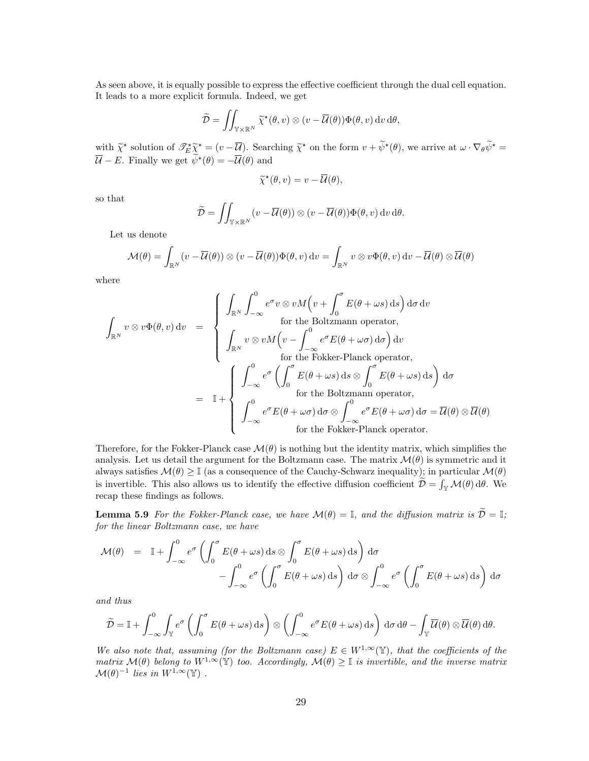As seen above, it is equally possible to express the effective coefficient through the dual cell equation. It leads to a more explicit formula. Indeed, we get

$$
\widetilde{\mathcal{D}} = \iint_{\mathbb{Y} \times \mathbb{R}^N} \widetilde{\chi}^*(\theta, v) \otimes (v - \overline{\mathcal{U}}(\theta)) \Phi(\theta, v) dv d\theta,
$$

with  $\widetilde{\chi}^*$  solution of  $\mathscr{T}_{E}^* \widetilde{\chi}^* = (v - \overline{\mathcal{U}})$ . Searching  $\widetilde{\chi}^*$  on the form  $v + \widetilde{\psi}^*(\theta)$ , we arrive at  $\omega \cdot \nabla_{\theta} \widetilde{\psi}^* = \overline{\mathcal{U}} \cdot \nabla_{\theta} \widetilde{\psi}^* = \overline{\mathcal{U}} \cdot \nabla_{\theta} \widetilde{\psi}^* = \overline{\mathcal{U}} \$  $\overline{\mathcal{U}} - E$ . Finally we get  $\widetilde{\psi}^*(\theta) = -\overline{\mathcal{U}}(\theta)$  and

$$
\widetilde{\chi}^*(\theta, v) = v - \overline{\mathcal{U}}(\theta),
$$

so that

$$
\widetilde{\mathcal{D}} = \iint_{\mathbb{Y} \times \mathbb{R}^N} (v - \overline{\mathcal{U}}(\theta)) \otimes (v - \overline{\mathcal{U}}(\theta)) \Phi(\theta, v) dv d\theta.
$$

Let us denote

$$
\mathcal{M}(\theta) = \int_{\mathbb{R}^N} (v - \overline{\mathcal{U}}(\theta)) \otimes (v - \overline{\mathcal{U}}(\theta)) \Phi(\theta, v) dv = \int_{\mathbb{R}^N} v \otimes v \Phi(\theta, v) dv - \overline{\mathcal{U}}(\theta) \otimes \overline{\mathcal{U}}(\theta)
$$

where

$$
\int_{\mathbb{R}^N} v \otimes v\Phi(\theta, v) dv = \begin{cases}\n\int_{\mathbb{R}^N} \int_{-\infty}^0 e^{\sigma} v \otimes v M \left( v + \int_0^{\sigma} E(\theta + \omega s) ds \right) d\sigma dv \\
\text{for the Boltzmann operator,} \\
\int_{\mathbb{R}^N} v \otimes v M \left( v - \int_{-\infty}^0 e^{\sigma} E(\theta + \omega \sigma) d\sigma \right) dv \\
\text{for the Fokker-Planck operator,} \\
\int_{-\infty}^0 e^{\sigma} \left( \int_0^{\sigma} E(\theta + \omega s) ds \otimes \int_0^{\sigma} E(\theta + \omega s) ds \right) d\sigma \\
\text{for the Boltzmann operator,} \\
\int_{-\infty}^0 e^{\sigma} E(\theta + \omega \sigma) d\sigma \otimes \int_{-\infty}^0 e^{\sigma} E(\theta + \omega \sigma) d\sigma = \overline{U}(\theta) \otimes \overline{U}(\theta) \\
\text{for the Fokker-Planck operator.}\n\end{cases}
$$

Therefore, for the Fokker-Planck case  $\mathcal{M}(\theta)$  is nothing but the identity matrix, which simplifies the analysis. Let us detail the argument for the Boltzmann case. The matrix  $\mathcal{M}(\theta)$  is symmetric and it always satisfies  $\mathcal{M}(\theta) \geq \mathbb{I}$  (as a consequence of the Cauchy-Schwarz inequality); in particular  $\mathcal{M}(\theta)$ is invertible. This also allows us to identify the effective diffusion coefficient  $\mathcal{D} = \int_{\mathbb{Y}} \mathcal{M}(\theta) d\theta$ . We recap these findings as follows.

<span id="page-28-0"></span>**Lemma 5.9** For the Fokker-Planck case, we have  $\mathcal{M}(\theta) = \mathbb{I}$ , and the diffusion matrix is  $\widetilde{\mathcal{D}} = \mathbb{I}$ ; for the linear Boltzmann case, we have

$$
\mathcal{M}(\theta) = \mathbb{I} + \int_{-\infty}^{0} e^{\sigma} \left( \int_{0}^{\sigma} E(\theta + \omega s) \, ds \otimes \int_{0}^{\sigma} E(\theta + \omega s) \, ds \right) d\sigma - \int_{-\infty}^{0} e^{\sigma} \left( \int_{0}^{\sigma} E(\theta + \omega s) \, ds \right) d\sigma \otimes \int_{-\infty}^{0} e^{\sigma} \left( \int_{0}^{\sigma} E(\theta + \omega s) \, ds \right) d\sigma
$$

and thus

$$
\widetilde{\mathcal{D}} = \mathbb{I} + \int_{-\infty}^{0} \int_{\mathbb{Y}} e^{\sigma} \left( \int_{0}^{\sigma} E(\theta + \omega s) \,ds \right) \otimes \left( \int_{-\infty}^{0} e^{\sigma} E(\theta + \omega s) \,ds \right) \,d\sigma \,d\theta - \int_{\mathbb{Y}} \overline{\mathcal{U}}(\theta) \otimes \overline{\mathcal{U}}(\theta) \,d\theta.
$$

We also note that, assuming (for the Boltzmann case)  $E \in W^{1,\infty}(\mathbb{Y})$ , that the coefficients of the matrix  $\mathcal{M}(\theta)$  belong to  $W^{1,\infty}(\mathbb{Y})$  too. Accordingly,  $\mathcal{M}(\theta) \geq \mathbb{I}$  is invertible, and the inverse matrix  $\mathcal{M}(\theta)^{-1}$  lies in  $W^{1,\infty}(\mathbb{Y})$ .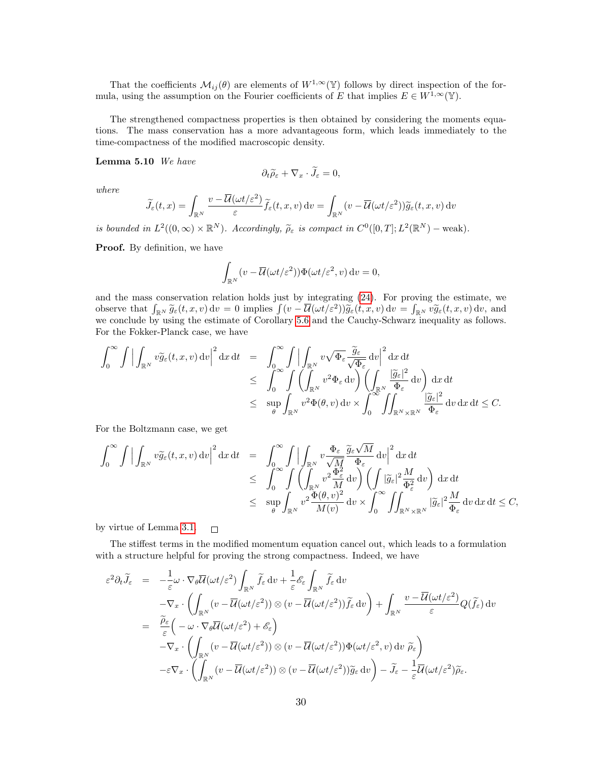That the coefficients  $\mathcal{M}_{ij}(\theta)$  are elements of  $W^{1,\infty}(\mathbb{Y})$  follows by direct inspection of the formula, using the assumption on the Fourier coefficients of E that implies  $E \in W^{1,\infty}(\mathbb{Y})$ .

The strengthened compactness properties is then obtained by considering the moments equations. The mass conservation has a more advantageous form, which leads immediately to the time-compactness of the modified macroscopic density.

#### Lemma 5.10 We have

$$
\partial_t \widetilde{\rho}_{\varepsilon} + \nabla_x \cdot \overline{J}_{\varepsilon} = 0,
$$

where

$$
\widetilde{J}_{\varepsilon}(t,x) = \int_{\mathbb{R}^N} \frac{v - \overline{\mathcal{U}}(\omega t/\varepsilon^2)}{\varepsilon} \widetilde{f}_{\varepsilon}(t,x,v) dv = \int_{\mathbb{R}^N} (v - \overline{\mathcal{U}}(\omega t/\varepsilon^2)) \widetilde{g}_{\varepsilon}(t,x,v) dv
$$

is bounded in  $L^2((0,\infty) \times \mathbb{R}^N)$ . Accordingly,  $\widetilde{\rho}_{\varepsilon}$  is compact in  $C^0([0,T]; L^2(\mathbb{R}^N)$  – weak).

Proof. By definition, we have

$$
\int_{\mathbb{R}^N} (v - \overline{\mathcal{U}}(\omega t/\varepsilon^2)) \Phi(\omega t/\varepsilon^2, v) dv = 0,
$$

and the mass conservation relation holds just by integrating [\(24\)](#page-27-0). For proving the estimate, we observe that  $\int_{\mathbb{R}^N} \widetilde{g}_{\varepsilon}(t, x, v) dv = 0$  implies  $\int (v - \overline{\mathcal{U}}(\omega t/\varepsilon^2)) \widetilde{g}_{\varepsilon}(t, x, v) dv = \int_{\mathbb{R}^N} v \widetilde{g}_{\varepsilon}(t, x, v) dv$ , and we conclude by using the estimate of Corollary [5.6](#page-25-0) and the Cauchy-Schwarz inequality as follows. For the Fokker-Planck case, we have

$$
\int_0^{\infty} \int \Big| \int_{\mathbb{R}^N} v \widetilde{g}_{\varepsilon}(t, x, v) dv \Big|^2 dx dt = \int_0^{\infty} \int \Big| \int_{\mathbb{R}^N} v \sqrt{\Phi_{\varepsilon}} \frac{\widetilde{g}_{\varepsilon}}{\sqrt{\Phi_{\varepsilon}}} dv \Big|^2 dx dt \n\leq \int_0^{\infty} \int \Big( \int_{\mathbb{R}^N} v^2 \Phi_{\varepsilon} dv \Big) \Big( \int_{\mathbb{R}^N} \frac{|\widetilde{g}_{\varepsilon}|^2}{\Phi_{\varepsilon}} dv \Big) dx dt \n\leq \sup_{\theta} \int_{\mathbb{R}^N} v^2 \Phi(\theta, v) dv \times \int_0^{\infty} \int_{\mathbb{R}^N \times \mathbb{R}^N} \frac{|\widetilde{g}_{\varepsilon}|^2}{\Phi_{\varepsilon}} dv dx dt \leq C.
$$

For the Boltzmann case, we get

$$
\int_0^\infty \int \Big| \int_{\mathbb{R}^N} v \widetilde{g}_{\varepsilon}(t, x, v) dv \Big|^2 dx dt = \int_0^\infty \int \Big| \int_{\mathbb{R}^N} v \frac{\Phi_{\varepsilon}}{\sqrt{M}} \frac{\widetilde{g}_{\varepsilon} \sqrt{M}}{\Phi_{\varepsilon}} dv \Big|^2 dx dt \leq \int_0^\infty \int \Big( \int_{\mathbb{R}^N} v^2 \frac{\Phi_{\varepsilon}^2}{M} dv \Big) \Big( \int_{\mathbb{R}^2} |\widetilde{g}_{\varepsilon}|^2 \frac{M}{\Phi_{\varepsilon}^2} dv \Big) dx dt \leq \sup_{\theta} \int_{\mathbb{R}^N} v^2 \frac{\Phi(\theta, v)^2}{M(v)} dv \times \int_0^\infty \int_{\mathbb{R}^N \times \mathbb{R}^N} |\widetilde{g}_{\varepsilon}|^2 \frac{M}{\Phi_{\varepsilon}} dv dx dt \leq C,
$$

by virtue of Lemma [3.1.](#page-4-1)  $\Box$ 

The stiffest terms in the modified momentum equation cancel out, which leads to a formulation with a structure helpful for proving the strong compactness. Indeed, we have

$$
\varepsilon^2 \partial_t \widetilde{J}_{\varepsilon} = -\frac{1}{\varepsilon} \omega \cdot \nabla_{\theta} \overline{\mathcal{U}}(\omega t/\varepsilon^2) \int_{\mathbb{R}^N} \widetilde{f}_{\varepsilon} \, dv + \frac{1}{\varepsilon} \mathscr{E}_{\varepsilon} \int_{\mathbb{R}^N} \widetilde{f}_{\varepsilon} \, dv \n- \nabla_x \cdot \left( \int_{\mathbb{R}^N} (v - \overline{\mathcal{U}}(\omega t/\varepsilon^2)) \otimes (v - \overline{\mathcal{U}}(\omega t/\varepsilon^2)) \widetilde{f}_{\varepsilon} \, dv \right) + \int_{\mathbb{R}^N} \frac{v - \overline{\mathcal{U}}(\omega t/\varepsilon^2)}{\varepsilon} Q(\widetilde{f}_{\varepsilon}) \, dv \n= \frac{\widetilde{\rho}_{\varepsilon}}{\varepsilon} \left( -\omega \cdot \nabla_{\theta} \overline{\mathcal{U}}(\omega t/\varepsilon^2) + \mathscr{E}_{\varepsilon} \right) \n- \nabla_x \cdot \left( \int_{\mathbb{R}^N} (v - \overline{\mathcal{U}}(\omega t/\varepsilon^2)) \otimes (v - \overline{\mathcal{U}}(\omega t/\varepsilon^2)) \widetilde{\Phi}(\omega t/\varepsilon^2, v) \, dv \, \widetilde{\rho}_{\varepsilon} \right) \n- \varepsilon \nabla_x \cdot \left( \int_{\mathbb{R}^N} (v - \overline{\mathcal{U}}(\omega t/\varepsilon^2)) \otimes (v - \overline{\mathcal{U}}(\omega t/\varepsilon^2)) \widetilde{g}_{\varepsilon} \, dv \right) - \widetilde{J}_{\varepsilon} - \frac{1}{\varepsilon} \overline{\mathcal{U}}(\omega t/\varepsilon^2) \widetilde{\rho}_{\varepsilon}.
$$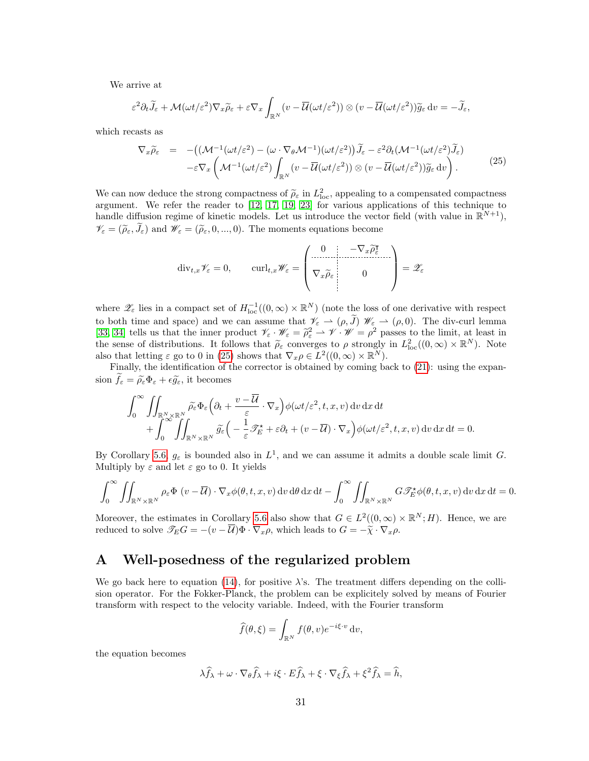We arrive at

$$
\varepsilon^2 \partial_t \widetilde{J}_\varepsilon + \mathcal{M}(\omega t/\varepsilon^2) \nabla_x \widetilde{\rho}_\varepsilon + \varepsilon \nabla_x \int_{\mathbb{R}^N} (v - \overline{\mathcal{U}}(\omega t/\varepsilon^2)) \otimes (v - \overline{\mathcal{U}}(\omega t/\varepsilon^2)) \widetilde{g}_\varepsilon dv = -\widetilde{J}_\varepsilon,
$$

which recasts as

<span id="page-30-1"></span>
$$
\nabla_x \widetilde{\rho}_{\varepsilon} = -\big( (\mathcal{M}^{-1}(\omega t/\varepsilon^2) - (\omega \cdot \nabla_{\theta} \mathcal{M}^{-1})(\omega t/\varepsilon^2) \big) \widetilde{J}_{\varepsilon} - \varepsilon^2 \partial_t (\mathcal{M}^{-1}(\omega t/\varepsilon^2) \widetilde{J}_{\varepsilon}) \n- \varepsilon \nabla_x \left( \mathcal{M}^{-1}(\omega t/\varepsilon^2) \int_{\mathbb{R}^N} (v - \overline{\mathcal{U}}(\omega t/\varepsilon^2)) \otimes (v - \overline{\mathcal{U}}(\omega t/\varepsilon^2)) \widetilde{g}_{\varepsilon} dv \right).
$$
\n(25)

We can now deduce the strong compactness of  $\tilde{\rho}_{\varepsilon}$  in  $L_{\text{loc}}^2$ , appealing to a compensated compactness<br>example We refer the reader to [12, 17, 19, 23] for various applications of this technique to argument. We refer the reader to [\[12,](#page-37-11) [17,](#page-37-18) [19,](#page-37-19) [23\]](#page-37-20) for various applications of this technique to handle diffusion regime of kinetic models. Let us introduce the vector field (with value in  $\mathbb{R}^{N+1}$ ),  $\mathscr{V}_{\varepsilon} = (\widetilde{\rho}_{\varepsilon}, \widetilde{J}_{\varepsilon})$  and  $\mathscr{W}_{\varepsilon} = (\widetilde{\rho}_{\varepsilon}, 0, ..., 0)$ . The moments equations become

$$
\operatorname{div}_{t,x} \mathscr{V}_{\varepsilon} = 0, \qquad \operatorname{curl}_{t,x} \mathscr{W}_{\varepsilon} = \begin{pmatrix} 0 & -\nabla_x \widetilde{\rho}_{\varepsilon}^{\mathsf{T}} \\ \nabla_x \widetilde{\rho}_{\varepsilon} & 0 \\ 0 & 0 \end{pmatrix} = \mathscr{Z}_{\varepsilon}
$$

where  $\mathscr{Z}_{\varepsilon}$  lies in a compact set of  $H^{-1}_{loc}((0,\infty)\times\mathbb{R}^N)$  (note the loss of one derivative with respect to both time and space) and we can assume that  $\mathscr{V}_{\varepsilon} \to (\rho, J)$   $\mathscr{W}_{\varepsilon} \to (\rho, 0)$ . The div-curl lemma [\[33,](#page-38-9) [34\]](#page-38-10) tells us that the inner product  $\mathscr{V}_{\varepsilon} \cdot \mathscr{W}_{\varepsilon} = \tilde{\rho}_{\varepsilon}^2 \rightarrow \mathscr{V} \cdot \mathscr{W} = \rho^2$  passes to the limit, at least in the sense of distributions. It follows that  $\tilde{\rho}$  converges to a strongly in  $L^2$ the sense of distributions. It follows that  $\tilde{\rho}_{\varepsilon}$  converges to  $\rho$  strongly in  $L^2_{loc}((0,\infty) \times \mathbb{R}^N)$ . Note also that letting  $\varepsilon$  go to 0 in [\(25\)](#page-30-1) shows that  $\nabla_x \rho \in L^2((0,\infty) \times \mathbb{R}^N)$ .

Finally, the identification of the corrector is obtained by coming back to [\(21\)](#page-19-0): using the expansion  $\tilde{f}_{\varepsilon} = \tilde{\rho}_{\varepsilon} \Phi_{\varepsilon} + \epsilon \tilde{g}_{\varepsilon}$ , it becomes

$$
\int_0^\infty \iint_{\mathbb{R}^N \times \mathbb{R}^N} \widetilde{\rho_{\varepsilon}} \Phi_{\varepsilon} \left( \partial_t + \frac{v - \overline{\mathcal{U}}}{\varepsilon} \cdot \nabla_x \right) \phi(\omega t/\varepsilon^2, t, x, v) dv dx dt + \int_0^\infty \iint_{\mathbb{R}^N \times \mathbb{R}^N} \widetilde{g_{\varepsilon}} \left( -\frac{1}{\varepsilon} \mathcal{F}_E^{\star} + \varepsilon \partial_t + (v - \overline{\mathcal{U}}) \cdot \nabla_x \right) \phi(\omega t/\varepsilon^2, t, x, v) dv dx dt = 0.
$$

By Corollary [5.6,](#page-25-0)  $g_{\varepsilon}$  is bounded also in  $L^1$ , and we can assume it admits a double scale limit G. Multiply by  $\varepsilon$  and let  $\varepsilon$  go to 0. It yields

$$
\int_0^\infty \iint_{\mathbb{R}^N \times \mathbb{R}^N} \rho_\varepsilon \Phi(v - \overline{\mathcal{U}}) \cdot \nabla_x \phi(\theta, t, x, v) \, dv \, d\theta \, dx \, dt - \int_0^\infty \iint_{\mathbb{R}^N \times \mathbb{R}^N} G \mathscr{T}_E^{\star} \phi(\theta, t, x, v) \, dv \, dx \, dt = 0.
$$

Moreover, the estimates in Corollary [5.6](#page-25-0) also show that  $G \in L^2((0,\infty) \times \mathbb{R}^N;H)$ . Hence, we are reduced to solve  $\mathscr{T}_E G = -(v - \overline{U}) \Phi \cdot \nabla_x \rho$ , which leads to  $G = -\tilde{\chi} \cdot \nabla_x \rho$ .

## <span id="page-30-0"></span>A Well-posedness of the regularized problem

We go back here to equation [\(14\)](#page-8-0), for positive  $\lambda$ 's. The treatment differs depending on the collision operator. For the Fokker-Planck, the problem can be explicitely solved by means of Fourier transform with respect to the velocity variable. Indeed, with the Fourier transform

$$
\widehat{f}(\theta,\xi) = \int_{\mathbb{R}^N} f(\theta,v) e^{-i\xi \cdot v} dv,
$$

the equation becomes

$$
\lambda \widehat{f}_{\lambda} + \omega \cdot \nabla_{\theta} \widehat{f}_{\lambda} + i\xi \cdot E \widehat{f}_{\lambda} + \xi \cdot \nabla_{\xi} \widehat{f}_{\lambda} + \xi^2 \widehat{f}_{\lambda} = \widehat{h},
$$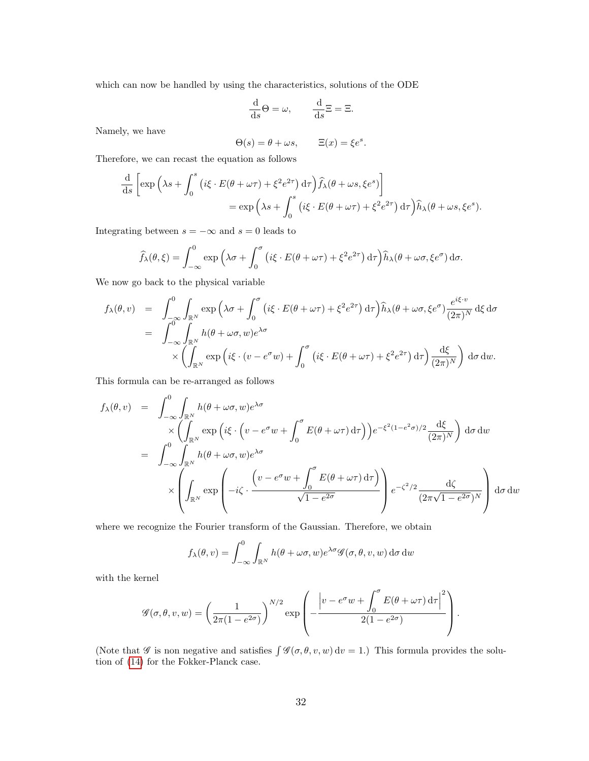which can now be handled by using the characteristics, solutions of the ODE

$$
\frac{\mathrm{d}}{\mathrm{d}s} \Theta = \omega, \qquad \frac{\mathrm{d}}{\mathrm{d}s} \Xi = \Xi.
$$

Namely, we have

$$
\Theta(s) = \theta + \omega s, \qquad \Xi(x) = \xi e^s.
$$

Therefore, we can recast the equation as follows

$$
\frac{\mathrm{d}}{\mathrm{d}s} \left[ \exp \left( \lambda s + \int_0^s \left( i\xi \cdot E(\theta + \omega \tau) + \xi^2 e^{2\tau} \right) \mathrm{d}\tau \right) \hat{f}_{\lambda}(\theta + \omega s, \xi e^s) \right] \n= \exp \left( \lambda s + \int_0^s \left( i\xi \cdot E(\theta + \omega \tau) + \xi^2 e^{2\tau} \right) \mathrm{d}\tau \right) \hat{h}_{\lambda}(\theta + \omega s, \xi e^s).
$$

Integrating between  $s = -\infty$  and  $s = 0$  leads to

$$
\widehat{f}_{\lambda}(\theta,\xi) = \int_{-\infty}^{0} \exp\left(\lambda \sigma + \int_{0}^{\sigma} \left(i\xi \cdot E(\theta + \omega \tau) + \xi^{2} e^{2\tau}\right) d\tau\right) \widehat{h}_{\lambda}(\theta + \omega \sigma, \xi e^{\sigma}) d\sigma.
$$

We now go back to the physical variable

$$
f_{\lambda}(\theta, v) = \int_{-\infty}^{0} \int_{\mathbb{R}^{N}} \exp\left(\lambda \sigma + \int_{0}^{\sigma} \left(i\xi \cdot E(\theta + \omega \tau) + \xi^{2} e^{2\tau}\right) d\tau\right) \hat{h}_{\lambda}(\theta + \omega \sigma, \xi e^{\sigma}) \frac{e^{i\xi \cdot v}}{(2\pi)^{N}} d\xi d\sigma
$$
  
\n
$$
= \int_{-\infty}^{0} \int_{\mathbb{R}^{N}} h(\theta + \omega \sigma, w) e^{\lambda \sigma} \times \left(\int_{\mathbb{R}^{N}} \exp\left(i\xi \cdot (v - e^{\sigma} w) + \int_{0}^{\sigma} \left(i\xi \cdot E(\theta + \omega \tau) + \xi^{2} e^{2\tau}\right) d\tau\right) \frac{d\xi}{(2\pi)^{N}}\right) d\sigma dw.
$$

This formula can be re-arranged as follows

$$
f_{\lambda}(\theta, v) = \int_{-\infty}^{0} \int_{\mathbb{R}^{N}} h(\theta + \omega \sigma, w) e^{\lambda \sigma} \times \left( \int_{\mathbb{R}^{N}} \exp \left( i \xi \cdot \left( v - e^{\sigma} w + \int_{0}^{\sigma} E(\theta + \omega \tau) d\tau \right) \right) e^{-\xi^{2} (1 - e^{2} \sigma)/2} \frac{d\xi}{(2\pi)^{N}} \right) d\sigma dw
$$
  
\n
$$
= \int_{-\infty}^{0} \int_{\mathbb{R}^{N}} h(\theta + \omega \sigma, w) e^{\lambda \sigma} \times \left( \int_{\mathbb{R}^{N}} \exp \left( -i \zeta \cdot \frac{\left( v - e^{\sigma} w + \int_{0}^{\sigma} E(\theta + \omega \tau) d\tau \right)}{\sqrt{1 - e^{2\sigma}}} \right) e^{-\zeta^{2}/2} \frac{d\zeta}{(2\pi\sqrt{1 - e^{2\sigma}})^{N}} \right) d\sigma dw
$$

where we recognize the Fourier transform of the Gaussian. Therefore, we obtain

$$
f_{\lambda}(\theta, v) = \int_{-\infty}^{0} \int_{\mathbb{R}^{N}} h(\theta + \omega \sigma, w) e^{\lambda \sigma} \mathscr{G}(\sigma, \theta, v, w) d\sigma dw
$$

with the kernel

$$
\mathscr{G}(\sigma,\theta,v,w) = \left(\frac{1}{2\pi(1-e^{2\sigma})}\right)^{N/2} \exp\left(-\frac{\left|v - e^{\sigma}w + \int_0^{\sigma} E(\theta + \omega \tau) d\tau\right|^2}{2(1-e^{2\sigma})}\right).
$$

(Note that  $\mathscr G$  is non negative and satisfies  $\int \mathscr G(\sigma,\theta,v,w) dv = 1$ .) This formula provides the solution of [\(14\)](#page-8-0) for the Fokker-Planck case.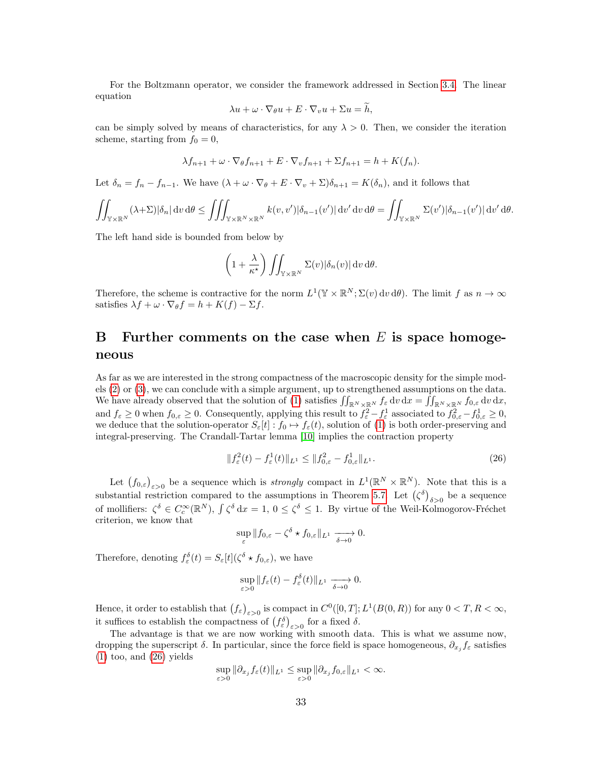For the Boltzmann operator, we consider the framework addressed in Section [3.4.](#page-14-2) The linear equation

$$
\lambda u + \omega \cdot \nabla_{\theta} u + E \cdot \nabla_{v} u + \Sigma u = h,
$$

can be simply solved by means of characteristics, for any  $\lambda > 0$ . Then, we consider the iteration scheme, starting from  $f_0 = 0$ ,

$$
\lambda f_{n+1} + \omega \cdot \nabla_{\theta} f_{n+1} + E \cdot \nabla_{v} f_{n+1} + \Sigma f_{n+1} = h + K(f_n).
$$

Let  $\delta_n = f_n - f_{n-1}$ . We have  $(\lambda + \omega \cdot \nabla_{\theta} + E \cdot \nabla_{\theta} + \Sigma) \delta_{n+1} = K(\delta_n)$ , and it follows that

$$
\iint_{\mathbb{Y}\times\mathbb{R}^N} (\lambda+\Sigma)|\delta_n| \, \mathrm{d} v \, \mathrm{d}\theta \le \iiint_{\mathbb{Y}\times\mathbb{R}^N\times\mathbb{R}^N} k(v,v')|\delta_{n-1}(v')| \, \mathrm{d} v' \, \mathrm{d} v \, \mathrm{d}\theta = \iint_{\mathbb{Y}\times\mathbb{R}^N} \Sigma(v')|\delta_{n-1}(v')| \, \mathrm{d} v' \, \mathrm{d}\theta.
$$

The left hand side is bounded from below by

$$
\left(1+\frac{\lambda}{\kappa^{\star}}\right)\iint_{\mathbb{Y}\times\mathbb{R}^N}\Sigma(v)|\delta_n(v)|\,\mathrm{d} v\,\mathrm{d}\theta.
$$

Therefore, the scheme is contractive for the norm  $L^1(\mathbb{Y} \times \mathbb{R}^N; \Sigma(v) dv d\theta)$ . The limit f as  $n \to \infty$ satisfies  $\lambda f + \omega \cdot \nabla_{\theta} f = h + K(f) - \Sigma f$ .

# <span id="page-32-0"></span>B Further comments on the case when  $E$  is space homogeneous

As far as we are interested in the strong compactness of the macroscopic density for the simple models [\(2\)](#page-0-1) or [\(3\)](#page-0-2), we can conclude with a simple argument, up to strengthened assumptions on the data. We have already observed that the solution of [\(1\)](#page-0-0) satisfies  $\iint_{\mathbb{R}^N\times\mathbb{R}^N} f_{\varepsilon} \,dv \,dx = \iint_{\mathbb{R}^N\times\mathbb{R}^N} f_{0,\varepsilon} \,dv \,dx$ , and  $f_{\varepsilon} \geq 0$  when  $f_{0,\varepsilon} \geq 0$ . Consequently, applying this result to  $f_{\varepsilon}^2 - f_{\varepsilon}^1$  associated to  $f_{0,\varepsilon}^2 - f_{0,\varepsilon}^1 \geq 0$ , we deduce that the solution-operator  $S_{\varepsilon}[t] : f_0 \mapsto f_{\varepsilon}(t)$ , solution of [\(1\)](#page-0-0) is both order-preserving and integral-preserving. The Crandall-Tartar lemma [\[10\]](#page-37-21) implies the contraction property

<span id="page-32-1"></span>
$$
||f_{\varepsilon}^{2}(t) - f_{\varepsilon}^{1}(t)||_{L^{1}} \le ||f_{0,\varepsilon}^{2} - f_{0,\varepsilon}^{1}||_{L^{1}}.
$$
\n(26)

Let  $(f_{0,\varepsilon})_{\varepsilon>0}$  be a sequence which is *strongly* compact in  $L^1(\mathbb{R}^N\times\mathbb{R}^N)$ . Note that this is a substantial restriction compared to the assumptions in Theorem [5.7.](#page-27-1) Let  $(\zeta^{\delta})_{\delta>0}$  be a sequence of mollifiers:  $\zeta^{\delta} \in C_c^{\infty}(\mathbb{R}^N)$ ,  $\int \zeta^{\delta} dx = 1$ ,  $0 \leq \zeta^{\delta} \leq 1$ . By virtue of the Weil-Kolmogorov-Fréchet criterion, we know that

$$
\sup_{\varepsilon} \|f_{0,\varepsilon} - \zeta^{\delta} \star f_{0,\varepsilon}\|_{L^1} \xrightarrow[\delta \to 0]{} 0.
$$

Therefore, denoting  $f_{\varepsilon}^{\delta}(t) = S_{\varepsilon}[t](\zeta^{\delta} \star f_{0,\varepsilon})$ , we have

$$
\sup_{\varepsilon>0}||f_{\varepsilon}(t)-f_{\varepsilon}^{\delta}(t)||_{L^{1}} \xrightarrow[\delta\to 0]{} 0.
$$

Hence, it order to establish that  $(f_{\varepsilon})_{\varepsilon>0}$  is compact in  $C^0([0,T];L^1(B(0,R))$  for any  $0 < T, R < \infty$ , it suffices to establish the compactness of  $(f_{\varepsilon}^{\delta})_{\varepsilon>0}$  for a fixed  $\delta$ .

The advantage is that we are now working with smooth data. This is what we assume now, dropping the superscript  $\delta$ . In particular, since the force field is space homogeneous,  $\partial_{x_j} f_\varepsilon$  satisfies [\(1\)](#page-0-0) too, and [\(26\)](#page-32-1) yields

$$
\sup_{\varepsilon>0} \|\partial_{x_j} f_{\varepsilon}(t)\|_{L^1} \leq \sup_{\varepsilon>0} \|\partial_{x_j} f_{0,\varepsilon}\|_{L^1} < \infty.
$$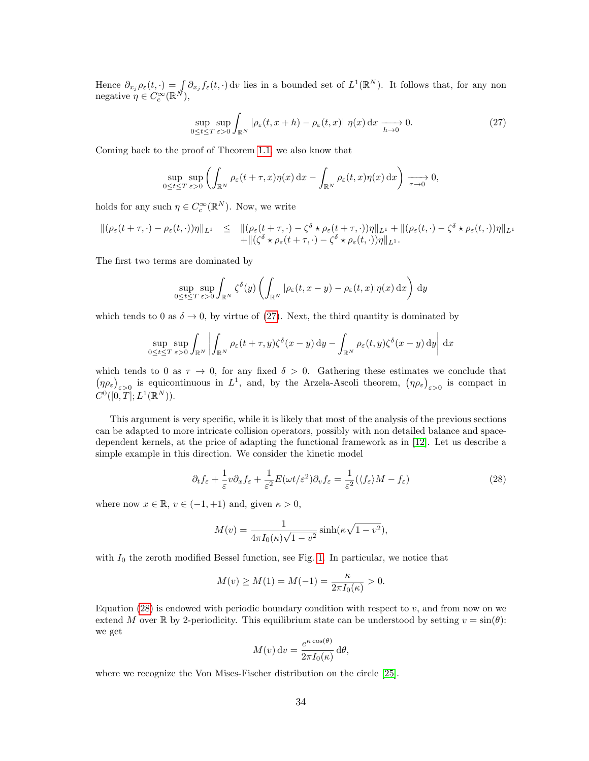Hence  $\partial_{x_j} \rho_{\varepsilon}(t, \cdot) = \int \partial_{x_j} f_{\varepsilon}(t, \cdot) \, \mathrm{d}v$  lies in a bounded set of  $L^1(\mathbb{R}^N)$ . It follows that, for any non negative  $\eta \in C_c^{\infty}(\mathbb{R}^N)$ ,

<span id="page-33-0"></span>
$$
\sup_{0 \le t \le T} \sup_{\varepsilon > 0} \int_{\mathbb{R}^N} |\rho_{\varepsilon}(t, x + h) - \rho_{\varepsilon}(t, x)| \eta(x) \, dx \xrightarrow[h \to 0]{} 0. \tag{27}
$$

Coming back to the proof of Theorem [1.1,](#page-2-1) we also know that

$$
\sup_{0\leq t\leq T}\sup_{\varepsilon>0}\left(\int_{\mathbb{R}^N}\rho_{\varepsilon}(t+\tau,x)\eta(x)\,\mathrm{d}x-\int_{\mathbb{R}^N}\rho_{\varepsilon}(t,x)\eta(x)\,\mathrm{d}x\right)\xrightarrow[\tau\to 0]{}0,
$$

holds for any such  $\eta \in C_c^{\infty}(\mathbb{R}^N)$ . Now, we write

$$
\begin{array}{rcl}\n\|(\rho_{\varepsilon}(t+\tau,\cdot)-\rho_{\varepsilon}(t,\cdot))\eta\|_{L^{1}} & \leq & \|\rho_{\varepsilon}(t+\tau,\cdot)-\zeta^{\delta}\star\rho_{\varepsilon}(t+\tau,\cdot))\eta\|_{L^{1}} + \|\rho_{\varepsilon}(t,\cdot)-\zeta^{\delta}\star\rho_{\varepsilon}(t,\cdot))\eta\|_{L^{1}} \\
& \quad + \|\zeta^{\delta}\star\rho_{\varepsilon}(t+\tau,\cdot)-\zeta^{\delta}\star\rho_{\varepsilon}(t,\cdot))\eta\|_{L^{1}}.\n\end{array}
$$

The first two terms are dominated by

$$
\sup_{0 \le t \le T} \sup_{\varepsilon > 0} \int_{\mathbb{R}^N} \zeta^{\delta}(y) \left( \int_{\mathbb{R}^N} |\rho_{\varepsilon}(t, x - y) - \rho_{\varepsilon}(t, x)| \eta(x) dx \right) dy
$$

which tends to 0 as  $\delta \to 0$ , by virtue of [\(27\)](#page-33-0). Next, the third quantity is dominated by

$$
\sup_{0 \le t \le T} \sup_{\varepsilon > 0} \int_{\mathbb{R}^N} \left| \int_{\mathbb{R}^N} \rho_{\varepsilon}(t + \tau, y) \zeta^{\delta}(x - y) \, dy - \int_{\mathbb{R}^N} \rho_{\varepsilon}(t, y) \zeta^{\delta}(x - y) \, dy \right| \, dx
$$

which tends to 0 as  $\tau \to 0$ , for any fixed  $\delta > 0$ . Gathering these estimates we conclude that  $(\eta \rho_{\varepsilon})_{\varepsilon>0}$  is equicontinuous in  $L^1$ , and, by the Arzela-Ascoli theorem,  $(\eta \rho_{\varepsilon})_{\varepsilon>0}$  is compact in  $C^0([0,T];L^1(\mathbb{R}^N)).$ 

This argument is very specific, while it is likely that most of the analysis of the previous sections can be adapted to more intricate collision operators, possibly with non detailed balance and spacedependent kernels, at the price of adapting the functional framework as in [\[12\]](#page-37-11). Let us describe a simple example in this direction. We consider the kinetic model

<span id="page-33-1"></span>
$$
\partial_t f_{\varepsilon} + \frac{1}{\varepsilon} v \partial_x f_{\varepsilon} + \frac{1}{\varepsilon^2} E(\omega t/\varepsilon^2) \partial_v f_{\varepsilon} = \frac{1}{\varepsilon^2} (\langle f_{\varepsilon} \rangle M - f_{\varepsilon}) \tag{28}
$$

where now  $x \in \mathbb{R}$ ,  $v \in (-1, +1)$  and, given  $\kappa > 0$ ,

$$
M(v) = \frac{1}{4\pi I_0(\kappa)\sqrt{1 - v^2}} \sinh(\kappa\sqrt{1 - v^2}),
$$

with  $I_0$  the zeroth modified Bessel function, see Fig. [1.](#page-34-0) In particular, we notice that

$$
M(v) \ge M(1) = M(-1) = \frac{\kappa}{2\pi I_0(\kappa)} > 0.
$$

Equation  $(28)$  is endowed with periodic boundary condition with respect to v, and from now on we extend M over R by 2-periodicity. This equilibrium state can be understood by setting  $v = \sin(\theta)$ : we get

$$
M(v) dv = \frac{e^{\kappa \cos(\theta)}}{2\pi I_0(\kappa)} d\theta,
$$

where we recognize the Von Mises-Fischer distribution on the circle [\[25\]](#page-38-11).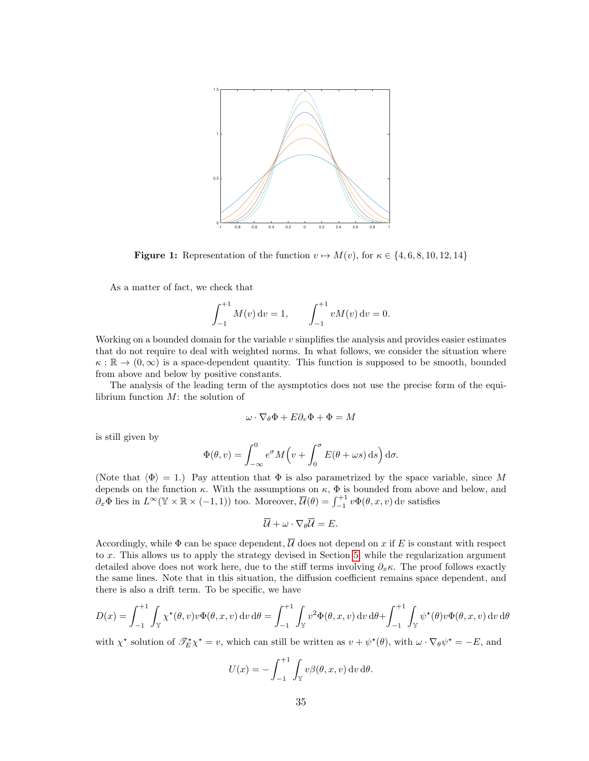<span id="page-34-0"></span>

**Figure 1:** Representation of the function  $v \mapsto M(v)$ , for  $\kappa \in \{4, 6, 8, 10, 12, 14\}$ 

As a matter of fact, we check that

$$
\int_{-1}^{+1} M(v) dv = 1, \qquad \int_{-1}^{+1} v M(v) dv = 0.
$$

Working on a bounded domain for the variable  $v$  simplifies the analysis and provides easier estimates that do not require to deal with weighted norms. In what follows, we consider the situation where  $\kappa : \mathbb{R} \to (0,\infty)$  is a space-dependent quantity. This function is supposed to be smooth, bounded from above and below by positive constants.

The analysis of the leading term of the aysmptotics does not use the precise form of the equilibrium function M: the solution of

$$
\omega \cdot \nabla_{\theta} \Phi + E \partial_v \Phi + \Phi = M
$$

is still given by

$$
\Phi(\theta, v) = \int_{-\infty}^{0} e^{\sigma} M(v + \int_{0}^{\sigma} E(\theta + \omega s) \,ds) d\sigma.
$$

(Note that  $\langle \Phi \rangle = 1$ .) Pay attention that  $\Phi$  is also parametrized by the space variable, since M depends on the function  $\kappa$ . With the assumptions on  $\kappa$ ,  $\Phi$  is bounded from above and below, and  $\partial_x \Phi$  lies in  $L^{\infty}(\mathbb{Y} \times \mathbb{R} \times (-1,1))$  too. Moreover,  $\overline{\mathcal{U}}(\theta) = \int_{-1}^{+1} v \Phi(\theta, x, v) dv$  satisfies

$$
\overline{\mathcal{U}} + \omega \cdot \nabla_{\theta} \overline{\mathcal{U}} = E.
$$

Accordingly, while  $\Phi$  can be space dependent,  $\overline{\mathcal{U}}$  does not depend on x if E is constant with respect to x. This allows us to apply the strategy devised in Section [5,](#page-22-0) while the regularization argument detailed above does not work here, due to the stiff terms involving  $\partial_x \kappa$ . The proof follows exactly the same lines. Note that in this situation, the diffusion coefficient remains space dependent, and there is also a drift term. To be specific, we have

$$
D(x) = \int_{-1}^{+1} \int_{\mathbb{Y}} \chi^{\star}(\theta, v) v \Phi(\theta, x, v) dv d\theta = \int_{-1}^{+1} \int_{\mathbb{Y}} v^2 \Phi(\theta, x, v) dv d\theta + \int_{-1}^{+1} \int_{\mathbb{Y}} \psi^{\star}(\theta) v \Phi(\theta, x, v) dv d\theta
$$

with  $\chi^*$  solution of  $\mathscr{T}_{E}^{\star}\chi^* = v$ , which can still be written as  $v + \psi^*(\theta)$ , with  $\omega \cdot \nabla_{\theta} \psi^* = -E$ , and

$$
U(x) = -\int_{-1}^{+1} \int_{\mathbb{Y}} v\beta(\theta, x, v) \,dv \,d\theta.
$$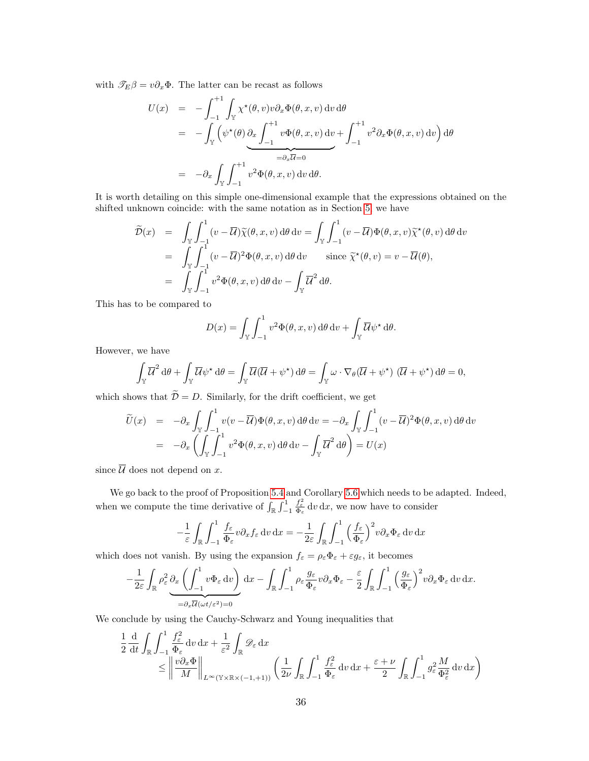with  $\mathcal{T}_E \beta = v \partial_x \Phi$ . The latter can be recast as follows

$$
U(x) = -\int_{-1}^{+1} \int_{\mathbb{Y}} \chi^{\star}(\theta, v) v \partial_x \Phi(\theta, x, v) dv d\theta
$$
  
= 
$$
-\int_{\mathbb{Y}} \left( \psi^{\star}(\theta) \frac{\partial_x}{\partial x} \int_{-1}^{+1} v \Phi(\theta, x, v) dv + \int_{-1}^{+1} v^2 \partial_x \Phi(\theta, x, v) dv \right) d\theta
$$
  
= 
$$
-\partial_x \int_{\mathbb{Y}} \int_{-1}^{+1} v^2 \Phi(\theta, x, v) dv d\theta.
$$

It is worth detailing on this simple one-dimensional example that the expressions obtained on the shifted unknown coincide: with the same notation as in Section [5,](#page-22-0) we have

$$
\widetilde{\mathcal{D}}(x) = \int_{\mathbb{Y}} \int_{-1}^{1} (v - \overline{\mathcal{U}}) \widetilde{\chi}(\theta, x, v) d\theta dv = \int_{\mathbb{Y}} \int_{-1}^{1} (v - \overline{\mathcal{U}}) \Phi(\theta, x, v) \widetilde{\chi}^{\star}(\theta, v) d\theta dv \n= \int_{\mathbb{Y}} \int_{-1}^{1} (v - \overline{\mathcal{U}})^{2} \Phi(\theta, x, v) d\theta dv \quad \text{since } \widetilde{\chi}^{\star}(\theta, v) = v - \overline{\mathcal{U}}(\theta), \n= \int_{\mathbb{Y}} \int_{-1}^{1} v^{2} \Phi(\theta, x, v) d\theta dv - \int_{\mathbb{Y}} \overline{\mathcal{U}}^{2} d\theta.
$$

This has to be compared to

$$
D(x) = \int_{\mathbb{Y}} \int_{-1}^{1} v^2 \Phi(\theta, x, v) d\theta dv + \int_{\mathbb{Y}} \overline{\mathcal{U}} \psi^* d\theta.
$$

However, we have

$$
\int_{\mathbb{Y}} \overline{\mathcal{U}}^2 d\theta + \int_{\mathbb{Y}} \overline{\mathcal{U}} \psi^* d\theta = \int_{\mathbb{Y}} \overline{\mathcal{U}} (\overline{\mathcal{U}} + \psi^*) d\theta = \int_{\mathbb{Y}} \omega \cdot \nabla_{\theta} (\overline{\mathcal{U}} + \psi^*) (\overline{\mathcal{U}} + \psi^*) d\theta = 0,
$$

which shows that  $D = D$ . Similarly, for the drift coefficient, we get

$$
\widetilde{U}(x) = -\partial_x \int_{\mathbb{Y}} \int_{-1}^1 v(v - \overline{\mathcal{U}}) \Phi(\theta, x, v) d\theta dv = -\partial_x \int_{\mathbb{Y}} \int_{-1}^1 (v - \overline{\mathcal{U}})^2 \Phi(\theta, x, v) d\theta dv \n= -\partial_x \left( \int_{\mathbb{Y}} \int_{-1}^1 v^2 \Phi(\theta, x, v) d\theta dv - \int_{\mathbb{Y}} \overline{\mathcal{U}}^2 d\theta \right) = U(x)
$$

since  $\overline{\mathcal{U}}$  does not depend on x.

We go back to the proof of Proposition [5.4](#page-24-0) and Corollary [5.6](#page-25-0) which needs to be adapted. Indeed, when we compute the time derivative of  $\int_{\mathbb{R}} \int_{-1}^{1}$  $\frac{f_{\varepsilon}^2}{\Phi_{\varepsilon}}$  dv dx, we now have to consider

$$
-\frac{1}{\varepsilon} \int_{\mathbb{R}} \int_{-1}^{1} \frac{f_{\varepsilon}}{\Phi_{\varepsilon}} v \partial_x f_{\varepsilon} \, dv \, dx = -\frac{1}{2\varepsilon} \int_{\mathbb{R}} \int_{-1}^{1} \left(\frac{f_{\varepsilon}}{\Phi_{\varepsilon}}\right)^2 v \partial_x \Phi_{\varepsilon} \, dv \, dx
$$

which does not vanish. By using the expansion  $f_{\varepsilon} = \rho_{\varepsilon} \Phi_{\varepsilon} + \varepsilon g_{\varepsilon}$ , it becomes

$$
-\frac{1}{2\varepsilon} \int_{\mathbb{R}} \rho_{\varepsilon}^{2} \underbrace{\partial_{x} \left( \int_{-1}^{1} v \Phi_{\varepsilon} dv \right)}_{=\partial_{x} \overline{\mathcal{U}}(\omega t/\varepsilon^{2})=0} dx - \int_{\mathbb{R}} \int_{-1}^{1} \rho_{\varepsilon} \frac{g_{\varepsilon}}{\Phi_{\varepsilon}} v \partial_{x} \Phi_{\varepsilon} - \frac{\varepsilon}{2} \int_{\mathbb{R}} \int_{-1}^{1} \left( \frac{g_{\varepsilon}}{\Phi_{\varepsilon}} \right)^{2} v \partial_{x} \Phi_{\varepsilon} dv dx.
$$

We conclude by using the Cauchy-Schwarz and Young inequalities that

$$
\frac{1}{2} \frac{d}{dt} \int_{\mathbb{R}} \int_{-1}^{1} \frac{f_{\varepsilon}^{2}}{\Phi_{\varepsilon}} dv dx + \frac{1}{\varepsilon^{2}} \int_{\mathbb{R}} \mathcal{D}_{\varepsilon} dx \n\leq \left\| \frac{v \partial_{x} \Phi}{M} \right\|_{L^{\infty}(\mathbb{Y} \times \mathbb{R} \times (-1, +1))} \left( \frac{1}{2\nu} \int_{\mathbb{R}} \int_{-1}^{1} \frac{f_{\varepsilon}^{2}}{\Phi_{\varepsilon}} dv dx + \frac{\varepsilon + \nu}{2} \int_{\mathbb{R}} \int_{-1}^{1} g_{\varepsilon}^{2} \frac{M}{\Phi_{\varepsilon}} dv dx \right)
$$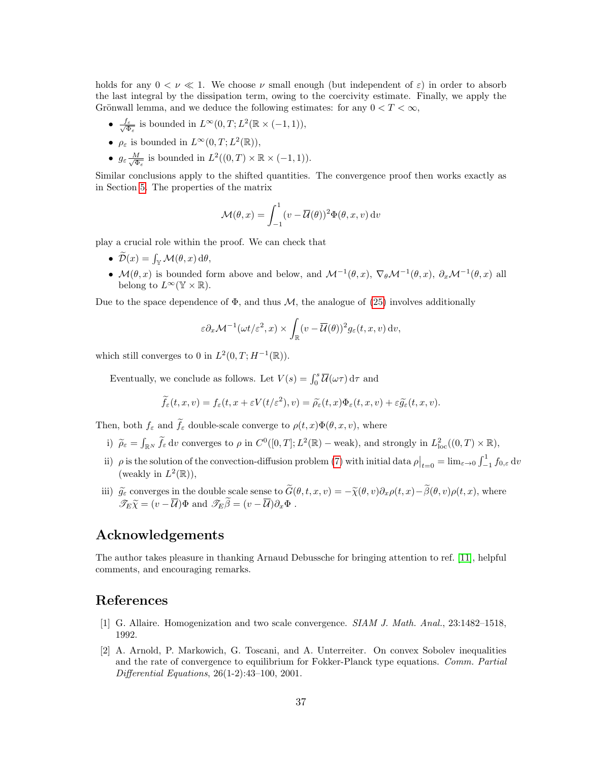holds for any  $0 < \nu \ll 1$ . We choose  $\nu$  small enough (but independent of  $\varepsilon$ ) in order to absorb the last integral by the dissipation term, owing to the coercivity estimate. Finally, we apply the Grönwall lemma, and we deduce the following estimates: for any  $0 < T < \infty$ ,

- $\bullet \frac{f_{\varepsilon}}{\sqrt{a}}$  $\frac{f_{\varepsilon}}{\Phi_{\varepsilon}}$  is bounded in  $L^{\infty}(0,T; L^{2}(\mathbb{R} \times (-1,1)),$
- $\rho_{\varepsilon}$  is bounded in  $L^{\infty}(0,T; L^{2}(\mathbb{R}))$ ,
- $\bullet$   $g_{\varepsilon} \frac{M}{\sqrt{\Phi}}$  $\frac{M}{\Phi_{\varepsilon}}$  is bounded in  $L^2((0,T) \times \mathbb{R} \times (-1,1)).$

Similar conclusions apply to the shifted quantities. The convergence proof then works exactly as in Section [5.](#page-22-0) The properties of the matrix

$$
\mathcal{M}(\theta, x) = \int_{-1}^{1} (v - \overline{\mathcal{U}}(\theta))^2 \Phi(\theta, x, v) dv
$$

play a crucial role within the proof. We can check that

- $\mathcal{D}(x) = \int_{\mathbb{Y}} \mathcal{M}(\theta, x) d\theta,$
- $\mathcal{M}(\theta, x)$  is bounded form above and below, and  $\mathcal{M}^{-1}(\theta, x)$ ,  $\nabla_{\theta} \mathcal{M}^{-1}(\theta, x)$ ,  $\partial_x \mathcal{M}^{-1}(\theta, x)$  all belong to  $L^{\infty}(\mathbb{Y} \times \mathbb{R})$ .

Due to the space dependence of  $\Phi$ , and thus M, the analogue of [\(25\)](#page-30-1) involves additionally

$$
\varepsilon \partial_x \mathcal{M}^{-1}(\omega t/\varepsilon^2, x) \times \int_{\mathbb{R}} (v - \overline{\mathcal{U}}(\theta))^2 g_{\varepsilon}(t, x, v) dv,
$$

which still converges to 0 in  $L^2(0,T;H^{-1}(\mathbb{R}))$ .

Eventually, we conclude as follows. Let  $V(s) = \int_0^s \overline{\mathcal{U}}(\omega \tau) d\tau$  and

$$
\widetilde{f}_{\varepsilon}(t,x,v)=f_{\varepsilon}(t,x+\varepsilon V(t/\varepsilon^2),v)=\widetilde{\rho}_{\varepsilon}(t,x)\Phi_{\varepsilon}(t,x,v)+\varepsilon \widetilde{g}_{\varepsilon}(t,x,v).
$$

Then, both  $f_{\varepsilon}$  and  $\tilde{f}_{\varepsilon}$  double-scale converge to  $\rho(t, x)\Phi(\theta, x, v)$ , where

- i)  $\tilde{\rho}_{\varepsilon} = \int_{\mathbb{R}^N} \tilde{f}_{\varepsilon} d\nu$  converges to  $\rho$  in  $C^0([0,T]; L^2(\mathbb{R})$  weak), and strongly in  $L^2_{loc}((0,T) \times \mathbb{R})$ ,
- ii)  $\rho$  is the solution of the convection-diffusion problem [\(7\)](#page-2-2) with initial data  $\rho|_{t=0} = \lim_{\varepsilon \to 0} \int_{-1}^{1} f_{0,\varepsilon} dv$ (weakly in  $L^2(\mathbb{R})$ ),
- iii)  $\widetilde{g}_{\varepsilon}$  converges in the double scale sense to  $G(\theta, t, x, v) = -\widetilde{\chi}(\theta, v)\partial_x \rho(t, x)-\beta(\theta, v)\rho(t, x)$ , where  $\mathscr{T}_E \widetilde{\chi} = (v - \overline{\mathcal{U}}) \Phi$  and  $\mathscr{T}_E \beta = (v - \overline{\mathcal{U}}) \partial_x \Phi$ .

## Acknowledgements

The author takes pleasure in thanking Arnaud Debussche for bringing attention to ref. [\[11\]](#page-37-7), helpful comments, and encouraging remarks.

# <span id="page-36-0"></span>References

- [1] G. Allaire. Homogenization and two scale convergence. SIAM J. Math. Anal., 23:1482-1518, 1992.
- <span id="page-36-1"></span>[2] A. Arnold, P. Markowich, G. Toscani, and A. Unterreiter. On convex Sobolev inequalities and the rate of convergence to equilibrium for Fokker-Planck type equations. Comm. Partial Differential Equations, 26(1-2):43–100, 2001.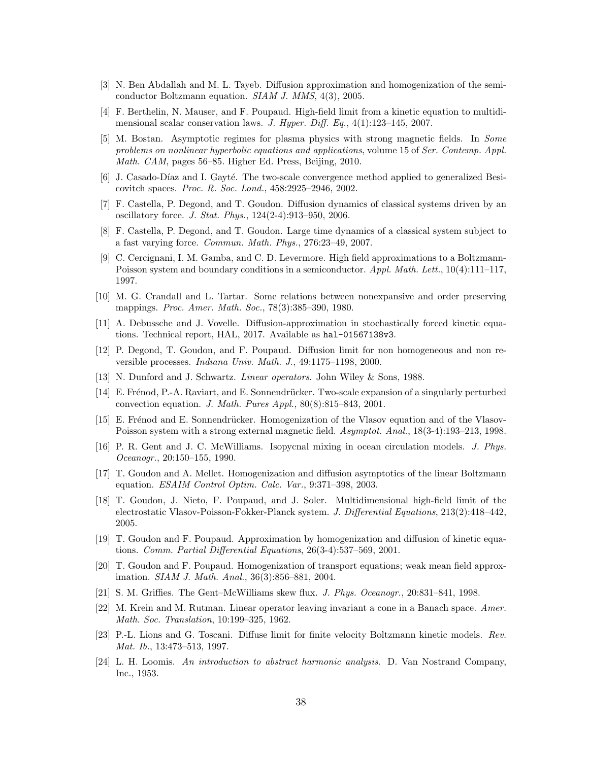- <span id="page-37-0"></span>[3] N. Ben Abdallah and M. L. Tayeb. Diffusion approximation and homogenization of the semiconductor Boltzmann equation. SIAM J. MMS, 4(3), 2005.
- <span id="page-37-2"></span>[4] F. Berthelin, N. Mauser, and F. Poupaud. High-field limit from a kinetic equation to multidimensional scalar conservation laws. J. Hyper. Diff. Eq., 4(1):123-145, 2007.
- <span id="page-37-4"></span>[5] M. Bostan. Asymptotic regimes for plasma physics with strong magnetic fields. In Some problems on nonlinear hyperbolic equations and applications, volume 15 of Ser. Contemp. Appl. Math. CAM, pages 56–85. Higher Ed. Press, Beijing, 2010.
- <span id="page-37-14"></span>[6] J. Casado-Díaz and I. Gayté. The two-scale convergence method applied to generalized Besicovitch spaces. Proc. R. Soc. Lond., 458:2925–2946, 2002.
- <span id="page-37-8"></span>[7] F. Castella, P. Degond, and T. Goudon. Diffusion dynamics of classical systems driven by an oscillatory force. J. Stat. Phys., 124(2-4):913–950, 2006.
- <span id="page-37-15"></span>[8] F. Castella, P. Degond, and T. Goudon. Large time dynamics of a classical system subject to a fast varying force. Commun. Math. Phys., 276:23–49, 2007.
- <span id="page-37-1"></span>[9] C. Cercignani, I. M. Gamba, and C. D. Levermore. High field approximations to a Boltzmann-Poisson system and boundary conditions in a semiconductor. Appl. Math. Lett., 10(4):111-117, 1997.
- <span id="page-37-21"></span>[10] M. G. Crandall and L. Tartar. Some relations between nonexpansive and order preserving mappings. Proc. Amer. Math. Soc., 78(3):385–390, 1980.
- <span id="page-37-7"></span>[11] A. Debussche and J. Vovelle. Diffusion-approximation in stochastically forced kinetic equations. Technical report, HAL, 2017. Available as hal-01567138v3.
- <span id="page-37-11"></span>[12] P. Degond, T. Goudon, and F. Poupaud. Diffusion limit for non homogeneous and non reversible processes. Indiana Univ. Math. J., 49:1175–1198, 2000.
- <span id="page-37-17"></span>[13] N. Dunford and J. Schwartz. Linear operators. John Wiley & Sons, 1988.
- <span id="page-37-5"></span>[14] E. Frénod, P.-A. Raviart, and E. Sonnendrücker. Two-scale expansion of a singularly perturbed convection equation. J. Math. Pures Appl., 80(8):815–843, 2001.
- <span id="page-37-6"></span>[15] E. Frénod and E. Sonnendrücker. Homogenization of the Vlasov equation and of the Vlasov-Poisson system with a strong external magnetic field. Asymptot. Anal., 18(3-4):193-213, 1998.
- <span id="page-37-9"></span>[16] P. R. Gent and J. C. McWilliams. Isopycnal mixing in ocean circulation models. J. Phys. Oceanogr., 20:150–155, 1990.
- <span id="page-37-18"></span>[17] T. Goudon and A. Mellet. Homogenization and diffusion asymptotics of the linear Boltzmann equation. ESAIM Control Optim. Calc. Var., 9:371–398, 2003.
- <span id="page-37-3"></span>[18] T. Goudon, J. Nieto, F. Poupaud, and J. Soler. Multidimensional high-field limit of the electrostatic Vlasov-Poisson-Fokker-Planck system. J. Differential Equations, 213(2):418–442, 2005.
- <span id="page-37-19"></span>[19] T. Goudon and F. Poupaud. Approximation by homogenization and diffusion of kinetic equations. Comm. Partial Differential Equations, 26(3-4):537–569, 2001.
- <span id="page-37-16"></span>[20] T. Goudon and F. Poupaud. Homogenization of transport equations; weak mean field approximation. SIAM J. Math. Anal., 36(3):856–881, 2004.
- <span id="page-37-10"></span>[21] S. M. Griffies. The Gent–McWilliams skew flux. J. Phys. Oceanogr., 20:831–841, 1998.
- <span id="page-37-12"></span>[22] M. Krein and M. Rutman. Linear operator leaving invariant a cone in a Banach space. Amer. Math. Soc. Translation, 10:199–325, 1962.
- <span id="page-37-20"></span>[23] P.-L. Lions and G. Toscani. Diffuse limit for finite velocity Boltzmann kinetic models. Rev. Mat. Ib., 13:473–513, 1997.
- <span id="page-37-13"></span>[24] L. H. Loomis. An introduction to abstract harmonic analysis. D. Van Nostrand Company, Inc., 1953.